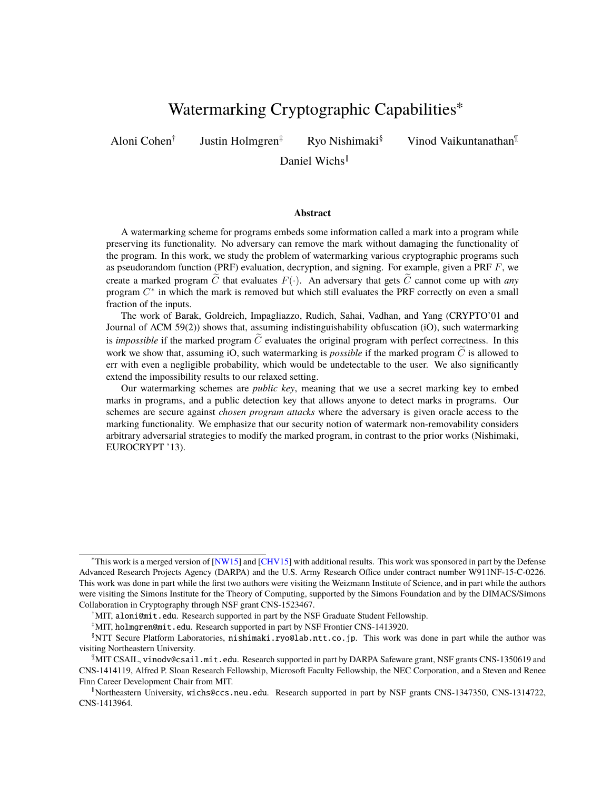## Watermarking Cryptographic Capabilities<sup>\*</sup>

Aloni Cohen† Justin Holmgren<sup>‡</sup> Ryo Nishimaki<sup>§</sup> Vinod Vaikuntanathan<sup>¶</sup>

Daniel Wichs‖

#### **Abstract**

A watermarking scheme for programs embeds some information called a mark into a program while preserving its functionality. No adversary can remove the mark without damaging the functionality of the program. In this work, we study the problem of watermarking various cryptographic programs such as pseudorandom function (PRF) evaluation, decryption, and signing. For example, given a PRF  $F$ , we create a marked program  $\tilde{C}$  that evaluates  $F(\cdot)$ . An adversary that gets  $\tilde{C}$  cannot come up with *any* program  $C^*$  in which the mark is removed but which still evaluates the PRF correctly on even a small fraction of the inputs.

The work of Barak, Goldreich, Impagliazzo, Rudich, Sahai, Vadhan, and Yang (CRYPTO'01 and Journal of ACM 59(2)) shows that, assuming indistinguishability obfuscation (iO), such watermarking is *impossible* if the marked program  $\tilde{C}$  evaluates the original program with perfect correctness. In this work we show that, assuming iO, such watermarking is *possible* if the marked program  $\hat{C}$  is allowed to err with even a negligible probability, which would be undetectable to the user. We also significantly extend the impossibility results to our relaxed setting.

Our watermarking schemes are *public key*, meaning that we use a secret marking key to embed marks in programs, and a public detection key that allows anyone to detect marks in programs. Our schemes are secure against *chosen program attacks* where the adversary is given oracle access to the marking functionality. We emphasize that our security notion of watermark non-removability considers arbitrary adversarial strategies to modify the marked program, in contrast to the prior works (Nishimaki, EUROCRYPT '13).

<sup>∗</sup>This work is a merged version of [\[NW15\]](#page-34-0) and [\[CHV15\]](#page-33-0) with additional results. This work was sponsored in part by the Defense Advanced Research Projects Agency (DARPA) and the U.S. Army Research Office under contract number W911NF-15-C-0226. This work was done in part while the first two authors were visiting the Weizmann Institute of Science, and in part while the authors were visiting the Simons Institute for the Theory of Computing, supported by the Simons Foundation and by the DIMACS/Simons Collaboration in Cryptography through NSF grant CNS-1523467.

<sup>&</sup>lt;sup>†</sup>MIT, aloni@mit.edu. Research supported in part by the NSF Graduate Student Fellowship.

<sup>‡</sup>MIT, holmgren@mit.edu. Research supported in part by NSF Frontier CNS-1413920.

<sup>§</sup>NTT Secure Platform Laboratories, nishimaki.ryo@lab.ntt.co.jp. This work was done in part while the author was visiting Northeastern University.

<sup>¶</sup>MIT CSAIL, vinodv@csail.mit.edu. Research supported in part by DARPA Safeware grant, NSF grants CNS-1350619 and CNS-1414119, Alfred P. Sloan Research Fellowship, Microsoft Faculty Fellowship, the NEC Corporation, and a Steven and Renee Finn Career Development Chair from MIT.

<sup>‖</sup>Northeastern University, wichs@ccs.neu.edu. Research supported in part by NSF grants CNS-1347350, CNS-1314722, CNS-1413964.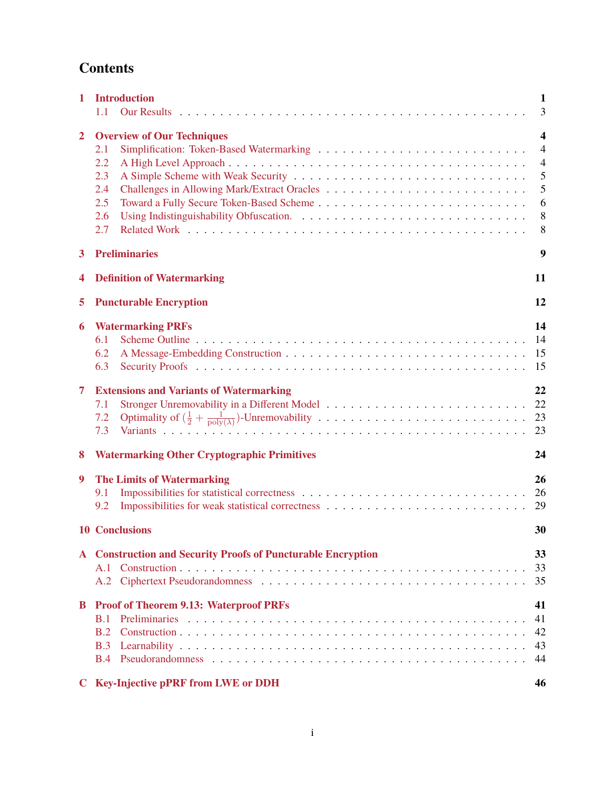# **Contents**

| 1              | <b>Introduction</b><br>1.1                                                                                                             | 1<br>3                                                                               |  |  |  |  |  |  |
|----------------|----------------------------------------------------------------------------------------------------------------------------------------|--------------------------------------------------------------------------------------|--|--|--|--|--|--|
| $\overline{2}$ | <b>Overview of Our Techniques</b><br>2.1<br>2.2<br>2.3<br>2.4<br>2.5<br>2.6<br>2.7                                                     | $\overline{\mathbf{4}}$<br>$\overline{4}$<br>$\overline{4}$<br>5<br>5<br>6<br>8<br>8 |  |  |  |  |  |  |
| 3              | <b>Preliminaries</b><br>9                                                                                                              |                                                                                      |  |  |  |  |  |  |
| 4              | <b>Definition of Watermarking</b><br>11                                                                                                |                                                                                      |  |  |  |  |  |  |
| 5              | 12<br><b>Puncturable Encryption</b>                                                                                                    |                                                                                      |  |  |  |  |  |  |
| 6              | <b>Watermarking PRFs</b><br>6.1<br>6.2<br>6.3                                                                                          | 14<br>14<br>15<br>15                                                                 |  |  |  |  |  |  |
| 7              | <b>Extensions and Variants of Watermarking</b><br>7.1<br>7.2<br>7.3                                                                    | 22<br>22<br>23<br>23                                                                 |  |  |  |  |  |  |
| 8              | <b>Watermarking Other Cryptographic Primitives</b><br>24                                                                               |                                                                                      |  |  |  |  |  |  |
| 9              | <b>The Limits of Watermarking</b><br>9.1<br>9.2                                                                                        | 26<br>26<br>29                                                                       |  |  |  |  |  |  |
|                | <b>10 Conclusions</b><br>30                                                                                                            |                                                                                      |  |  |  |  |  |  |
|                | A Construction and Security Proofs of Puncturable Encryption                                                                           | 33<br>33<br>35                                                                       |  |  |  |  |  |  |
| B              | <b>Proof of Theorem 9.13: Waterproof PRFs</b><br><b>B.1</b><br>B.2<br><b>B.3</b><br><b>B.4</b><br>C Key-Injective pPRF from LWE or DDH | 41<br>41<br>42<br>43<br>44<br>46                                                     |  |  |  |  |  |  |
|                |                                                                                                                                        |                                                                                      |  |  |  |  |  |  |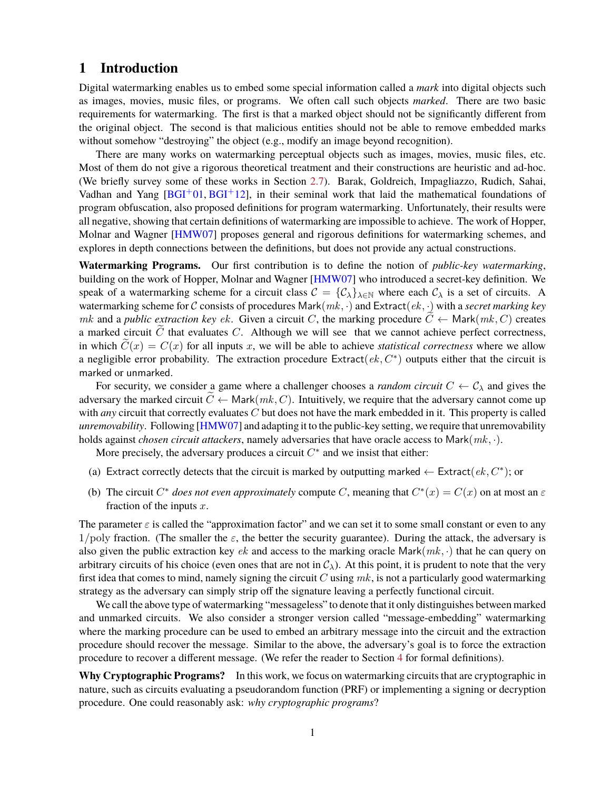### <span id="page-2-0"></span>**1 Introduction**

Digital watermarking enables us to embed some special information called a *mark* into digital objects such as images, movies, music files, or programs. We often call such objects *marked*. There are two basic requirements for watermarking. The first is that a marked object should not be significantly different from the original object. The second is that malicious entities should not be able to remove embedded marks without somehow "destroying" the object (e.g., modify an image beyond recognition).

There are many works on watermarking perceptual objects such as images, movies, music files, etc. Most of them do not give a rigorous theoretical treatment and their constructions are heuristic and ad-hoc. (We briefly survey some of these works in Section [2.7\)](#page-9-0). Barak, Goldreich, Impagliazzo, Rudich, Sahai, Vadhan and Yang  $[BGI^+01, BGI^+12]$  $[BGI^+01, BGI^+12]$  $[BGI^+01, BGI^+12]$  $[BGI^+01, BGI^+12]$ , in their seminal work that laid the mathematical foundations of program obfuscation, also proposed definitions for program watermarking. Unfortunately, their results were all negative, showing that certain definitions of watermarking are impossible to achieve. The work of Hopper, Molnar and Wagner [\[HMW07\]](#page-33-1) proposes general and rigorous definitions for watermarking schemes, and explores in depth connections between the definitions, but does not provide any actual constructions.

**Watermarking Programs.** Our first contribution is to define the notion of *public-key watermarking*, building on the work of Hopper, Molnar and Wagner [\[HMW07\]](#page-33-1) who introduced a secret-key definition. We speak of a watermarking scheme for a circuit class  $C = \{C_{\lambda}\}_{\lambda \in \mathbb{N}}$  where each  $C_{\lambda}$  is a set of circuits. A watermarking scheme for C consists of procedures  $\text{Mark}(mk, \cdot)$  and  $\text{Extract}(ek, \cdot)$  with a *secret marking key* mk and a *public extraction key ek.* Given a circuit C, the marking procedure  $C \leftarrow \text{Mark}(mk, C)$  creates a marked circuit  $\hat{C}$  that evaluates  $C$ . Although we will see that we cannot achieve perfect correctness, in which  $\tilde{C}(x) = C(x)$  for all inputs x, we will be able to achieve *statistical correctness* where we allow a negligible error probability. The extraction procedure  $\text{Extract}(ek, C^*)$  outputs either that the circuit is marked or unmarked.

For security, we consider a game where a challenger chooses a *random circuit*  $C \leftarrow C_\lambda$  and gives the adversary the marked circuit  $C \leftarrow \text{Mark}(mk, C)$ . Intuitively, we require that the adversary cannot come up with *any* circuit that correctly evaluates C but does not have the mark embedded in it. This property is called *unremovability*. Following [\[HMW07\]](#page-33-1) and adapting it to the public-key setting, we require that unremovability holds against *chosen circuit attackers*, namely adversaries that have oracle access to Mark $(mk, \cdot)$ .

More precisely, the adversary produces a circuit  $C^*$  and we insist that either:

- (a) Extract correctly detects that the circuit is marked by outputting marked  $\leftarrow$  Extract $(ek, C^*)$ ; or
- (b) The circuit  $C^*$  *does not even approximately* compute C, meaning that  $C^*(x) = C(x)$  on at most an  $\varepsilon$ fraction of the inputs  $x$ .

The parameter  $\varepsilon$  is called the "approximation factor" and we can set it to some small constant or even to any 1/poly fraction. (The smaller the  $\varepsilon$ , the better the security guarantee). During the attack, the adversary is also given the public extraction key ek and access to the marking oracle Mark $(mk, \cdot)$  that he can query on arbitrary circuits of his choice (even ones that are not in  $C_\lambda$ ). At this point, it is prudent to note that the very first idea that comes to mind, namely signing the circuit C using  $mk$ , is not a particularly good watermarking strategy as the adversary can simply strip off the signature leaving a perfectly functional circuit.

We call the above type of watermarking "messageless" to denote that it only distinguishes between marked and unmarked circuits. We also consider a stronger version called "message-embedding" watermarking where the marking procedure can be used to embed an arbitrary message into the circuit and the extraction procedure should recover the message. Similar to the above, the adversary's goal is to force the extraction procedure to recover a different message. (We refer the reader to Section [4](#page-12-0) for formal definitions).

**Why Cryptographic Programs?** In this work, we focus on watermarking circuits that are cryptographic in nature, such as circuits evaluating a pseudorandom function (PRF) or implementing a signing or decryption procedure. One could reasonably ask: *why cryptographic programs*?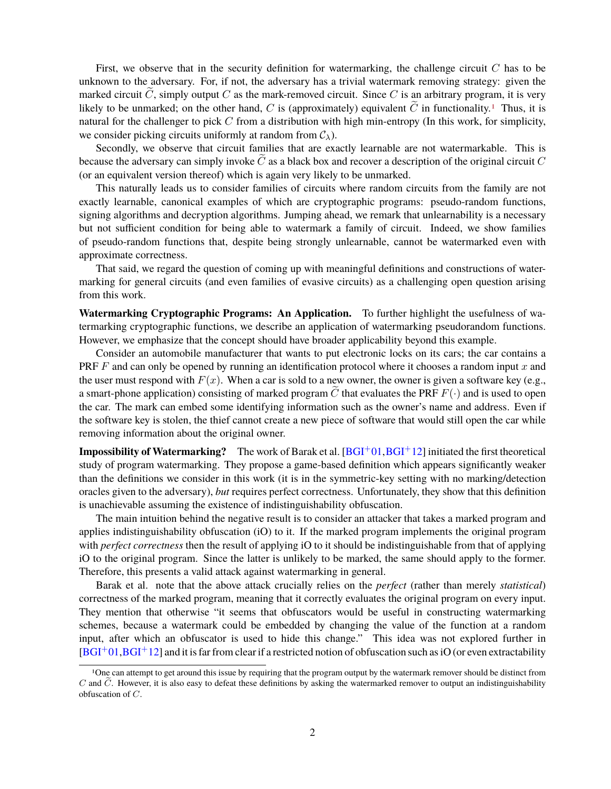First, we observe that in the security definition for watermarking, the challenge circuit  $C$  has to be unknown to the adversary. For, if not, the adversary has a trivial watermark removing strategy: given the marked circuit  $C$ , simply output C as the mark-removed circuit. Since C is an arbitrary program, it is very likely to be unmarked; on the other hand, C is (approximately) equivalent C in functionality.<sup>[1](#page-3-0)</sup> Thus, it is natural for the challenger to pick  $C$  from a distribution with high min-entropy (In this work, for simplicity, we consider picking circuits uniformly at random from  $C_{\lambda}$ ).

Secondly, we observe that circuit families that are exactly learnable are not watermarkable. This is because the adversary can simply invoke  $C$  as a black box and recover a description of the original circuit  $C$ (or an equivalent version thereof) which is again very likely to be unmarked.

This naturally leads us to consider families of circuits where random circuits from the family are not exactly learnable, canonical examples of which are cryptographic programs: pseudo-random functions, signing algorithms and decryption algorithms. Jumping ahead, we remark that unlearnability is a necessary but not sufficient condition for being able to watermark a family of circuit. Indeed, we show families of pseudo-random functions that, despite being strongly unlearnable, cannot be watermarked even with approximate correctness.

That said, we regard the question of coming up with meaningful definitions and constructions of watermarking for general circuits (and even families of evasive circuits) as a challenging open question arising from this work.

**Watermarking Cryptographic Programs: An Application.** To further highlight the usefulness of watermarking cryptographic functions, we describe an application of watermarking pseudorandom functions. However, we emphasize that the concept should have broader applicability beyond this example.

Consider an automobile manufacturer that wants to put electronic locks on its cars; the car contains a PRF  $F$  and can only be opened by running an identification protocol where it chooses a random input  $x$  and the user must respond with  $F(x)$ . When a car is sold to a new owner, the owner is given a software key (e.g., a smart-phone application) consisting of marked program C that evaluates the PRF  $F(\cdot)$  and is used to open the car. The mark can embed some identifying information such as the owner's name and address. Even if the software key is stolen, the thief cannot create a new piece of software that would still open the car while removing information about the original owner.

**Impossibility of Watermarking?** The work of Barak et al. [\[BGI](#page-32-0)<sup>+</sup>01, [BGI](#page-32-1)<sup>+</sup>12] initiated the first theoretical study of program watermarking. They propose a game-based definition which appears significantly weaker than the definitions we consider in this work (it is in the symmetric-key setting with no marking/detection oracles given to the adversary), *but* requires perfect correctness. Unfortunately, they show that this definition is unachievable assuming the existence of indistinguishability obfuscation.

The main intuition behind the negative result is to consider an attacker that takes a marked program and applies indistinguishability obfuscation (iO) to it. If the marked program implements the original program with *perfect correctness* then the result of applying iO to it should be indistinguishable from that of applying iO to the original program. Since the latter is unlikely to be marked, the same should apply to the former. Therefore, this presents a valid attack against watermarking in general.

Barak et al. note that the above attack crucially relies on the *perfect* (rather than merely *statistical*) correctness of the marked program, meaning that it correctly evaluates the original program on every input. They mention that otherwise "it seems that obfuscators would be useful in constructing watermarking schemes, because a watermark could be embedded by changing the value of the function at a random input, after which an obfuscator is used to hide this change." This idea was not explored further in  $[BGI^+01, BGI^+12]$  $[BGI^+01, BGI^+12]$  and it is far from clear if a restricted notion of obfuscation such as iO (or even extractability

<span id="page-3-0"></span><sup>1</sup>One can attempt to get around this issue by requiring that the program output by the watermark remover should be distinct from C and  $\tilde{C}$ . However, it is also easy to defeat these definitions by asking the watermarked remover to output an indistinguishability obfuscation of C.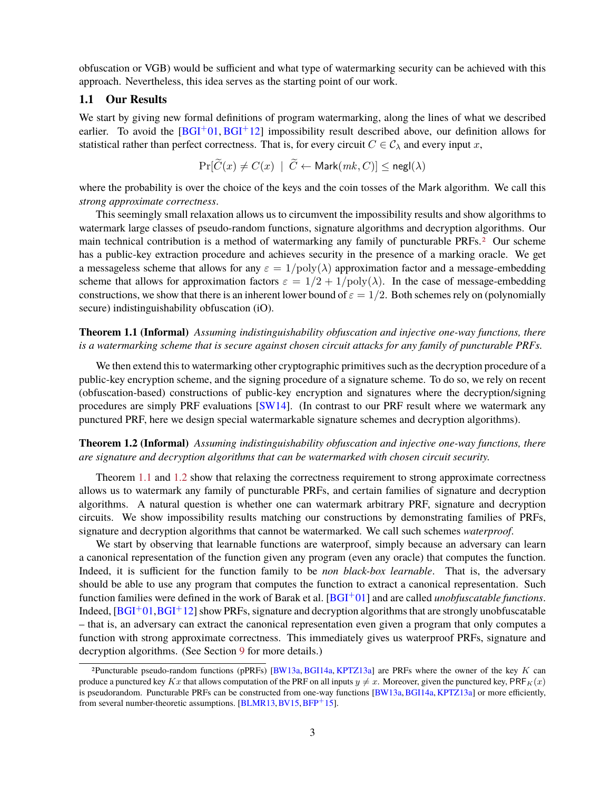obfuscation or VGB) would be sufficient and what type of watermarking security can be achieved with this approach. Nevertheless, this idea serves as the starting point of our work.

### <span id="page-4-0"></span>**1.1 Our Results**

We start by giving new formal definitions of program watermarking, along the lines of what we described earlier. To avoid the  $[BGI^+01, BGI^+12]$  $[BGI^+01, BGI^+12]$  $[BGI^+01, BGI^+12]$  $[BGI^+01, BGI^+12]$  impossibility result described above, our definition allows for statistical rather than perfect correctness. That is, for every circuit  $C \in C_{\lambda}$  and every input x,

$$
\Pr[\widetilde{C}(x) \neq C(x) \mid \widetilde{C} \leftarrow \mathsf{Mark}(mk, C)] \leq \mathsf{negl}(\lambda)
$$

where the probability is over the choice of the keys and the coin tosses of the Mark algorithm. We call this *strong approximate correctness*.

This seemingly small relaxation allows us to circumvent the impossibility results and show algorithms to watermark large classes of pseudo-random functions, signature algorithms and decryption algorithms. Our main technical contribution is a method of watermarking any family of puncturable PRFs.[2](#page-4-1) Our scheme has a public-key extraction procedure and achieves security in the presence of a marking oracle. We get a messageless scheme that allows for any  $\varepsilon = 1/\text{poly}(\lambda)$  approximation factor and a message-embedding scheme that allows for approximation factors  $\varepsilon = 1/2 + 1/\text{poly}(\lambda)$ . In the case of message-embedding constructions, we show that there is an inherent lower bound of  $\varepsilon = 1/2$ . Both schemes rely on (polynomially secure) indistinguishability obfuscation (iO).

<span id="page-4-2"></span>**Theorem 1.1 (Informal)** *Assuming indistinguishability obfuscation and injective one-way functions, there is a watermarking scheme that is secure against chosen circuit attacks for any family of puncturable PRFs.*

We then extend this to watermarking other cryptographic primitives such as the decryption procedure of a public-key encryption scheme, and the signing procedure of a signature scheme. To do so, we rely on recent (obfuscation-based) constructions of public-key encryption and signatures where the decryption/signing procedures are simply PRF evaluations [\[SW14\]](#page-34-3). (In contrast to our PRF result where we watermark any punctured PRF, here we design special watermarkable signature schemes and decryption algorithms).

<span id="page-4-3"></span>**Theorem 1.2 (Informal)** *Assuming indistinguishability obfuscation and injective one-way functions, there are signature and decryption algorithms that can be watermarked with chosen circuit security.*

Theorem [1.1](#page-4-2) and [1.2](#page-4-3) show that relaxing the correctness requirement to strong approximate correctness allows us to watermark any family of puncturable PRFs, and certain families of signature and decryption algorithms. A natural question is whether one can watermark arbitrary PRF, signature and decryption circuits. We show impossibility results matching our constructions by demonstrating families of PRFs, signature and decryption algorithms that cannot be watermarked. We call such schemes *waterproof*.

We start by observing that learnable functions are waterproof, simply because an adversary can learn a canonical representation of the function given any program (even any oracle) that computes the function. Indeed, it is sufficient for the function family to be *non black-box learnable*. That is, the adversary should be able to use any program that computes the function to extract a canonical representation. Such function families were defined in the work of Barak et al. [\[BGI](#page-32-0)+01] and are called *unobfuscatable functions*. Indeed,  $[BGI^+01, BGI^+12]$  $[BGI^+01, BGI^+12]$  show PRFs, signature and decryption algorithms that are strongly unobfuscatable – that is, an adversary can extract the canonical representation even given a program that only computes a function with strong approximate correctness. This immediately gives us waterproof PRFs, signature and decryption algorithms. (See Section [9](#page-26-0) for more details.)

<span id="page-4-4"></span><span id="page-4-1"></span><sup>&</sup>lt;sup>2</sup>Puncturable pseudo-random functions (pPRFs) [\[BW13a,](#page-32-2) [BGI14a,](#page-32-3) [KPTZ13a\]](#page-33-2) are PRFs where the owner of the key K can produce a punctured key Kx that allows computation of the PRF on all inputs  $y \neq x$ . Moreover, given the punctured key, PRF<sub>K</sub>(x) is pseudorandom. Puncturable PRFs can be constructed from one-way functions [\[BW13a,](#page-32-2)[BGI14a,](#page-32-3) [KPTZ13a\]](#page-33-2) or more efficiently, from several number-theoretic assumptions.  $[BLMR13, BV15, BFP<sup>+</sup>15]$  $[BLMR13, BV15, BFP<sup>+</sup>15]$  $[BLMR13, BV15, BFP<sup>+</sup>15]$  $[BLMR13, BV15, BFP<sup>+</sup>15]$  $[BLMR13, BV15, BFP<sup>+</sup>15]$  $[BLMR13, BV15, BFP<sup>+</sup>15]$ .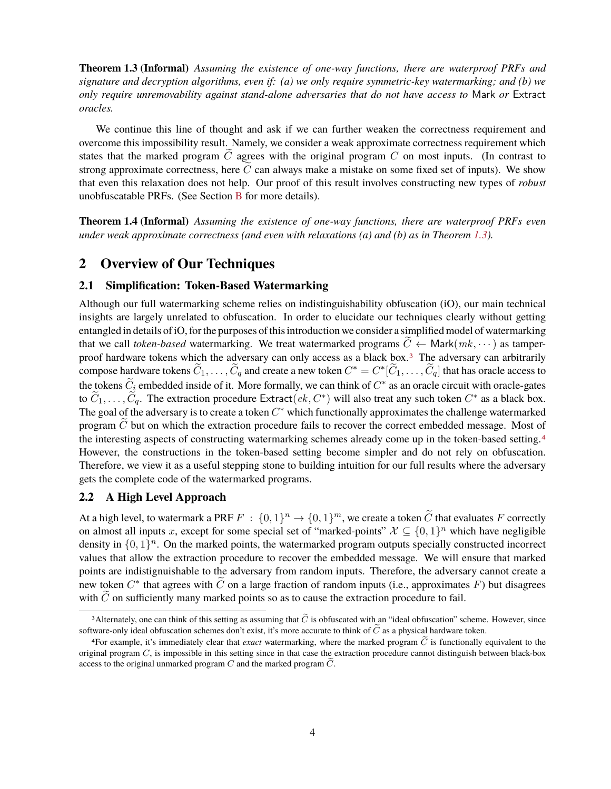**Theorem 1.3 (Informal)** *Assuming the existence of one-way functions, there are waterproof PRFs and signature and decryption algorithms, even if: (a) we only require symmetric-key watermarking; and (b) we only require unremovability against stand-alone adversaries that do not have access to* Mark *or* Extract *oracles.*

We continue this line of thought and ask if we can further weaken the correctness requirement and overcome this impossibility result. Namely, we consider a weak approximate correctness requirement which states that the marked program  $C$  agrees with the original program  $C$  on most inputs. (In contrast to strong approximate correctness, here  $\dot{C}$  can always make a mistake on some fixed set of inputs). We show that even this relaxation does not help. Our proof of this result involves constructing new types of *robust* unobfuscatable PRFs. (See Section [B](#page-42-0) for more details).

**Theorem 1.4 (Informal)** *Assuming the existence of one-way functions, there are waterproof PRFs even under weak approximate correctness (and even with relaxations (a) and (b) as in Theorem [1.3\)](#page-4-4).*

### <span id="page-5-0"></span>**2 Overview of Our Techniques**

### <span id="page-5-1"></span>**2.1 Simplification: Token-Based Watermarking**

Although our full watermarking scheme relies on indistinguishability obfuscation (iO), our main technical insights are largely unrelated to obfuscation. In order to elucidate our techniques clearly without getting entangled in details of iO, for the purposes of this introduction we consider a simplified model of watermarking that we call *token-based* watermarking. We treat watermarked programs  $C \leftarrow \text{Mark}(mk, \dots)$  as tamper-proof hardware tokens which the adversary can only access as a black box.<sup>[3](#page-5-4)</sup> The adversary can arbitrarily compose hardware tokens  $\widetilde C_1,\ldots,\widetilde C_q$  and create a new token  $C^*=C^*[\widetilde C_1,\ldots,\widetilde C_q]$  that has oracle access to the tokens  $\widetilde{C}_i$  embedded inside of it. More formally, we can think of  $C^*$  as an oracle circuit with oracle-gates to  $\widetilde{C}_1, \ldots, \widetilde{C}_q$ . The extraction procedure Extract $(ek, C^*)$  will also treat any such token  $C^*$  as a black box. The goal of the adversary is to create a token  $C^*$  which functionally approximates the challenge watermarked program  $C$  but on which the extraction procedure fails to recover the correct embedded message. Most of the interesting aspects of constructing watermarking schemes already come up in the token-based setting.[4](#page-5-5) However, the constructions in the token-based setting become simpler and do not rely on obfuscation. Therefore, we view it as a useful stepping stone to building intuition for our full results where the adversary gets the complete code of the watermarked programs.

### <span id="page-5-2"></span>**2.2 A High Level Approach**

At a high level, to watermark a PRF  $F : \{0,1\}^n \to \{0,1\}^m$ , we create a token  $\widetilde{C}$  that evaluates F correctly on almost all inputs x, except for some special set of "marked-points"  $\mathcal{X} \subseteq \{0,1\}^n$  which have negligible density in  $\{0,1\}^n$ . On the marked points, the watermarked program outputs specially constructed incorrect values that allow the extraction procedure to recover the embedded message. We will ensure that marked points are indistignuishable to the adversary from random inputs. Therefore, the adversary cannot create a new token  $C^*$  that agrees with  $\tilde{C}$  on a large fraction of random inputs (i.e., approximates F) but disagrees with  $C$  on sufficiently many marked points so as to cause the extraction procedure to fail.

<span id="page-5-4"></span><span id="page-5-3"></span><sup>&</sup>lt;sup>3</sup>Alternately, one can think of this setting as assuming that  $\tilde{C}$  is obfuscated with an "ideal obfuscation" scheme. However, since software-only ideal obfuscation schemes don't exist, it's more accurate to think of  $\check{C}$  as a physical hardware token.

<span id="page-5-5"></span> $4$ For example, it's immediately clear that *exact* watermarking, where the marked program  $\dot{C}$  is functionally equivalent to the original program C, is impossible in this setting since in that case the extraction procedure cannot distinguish between black-box access to the original unmarked program  $C$  and the marked program  $C$ .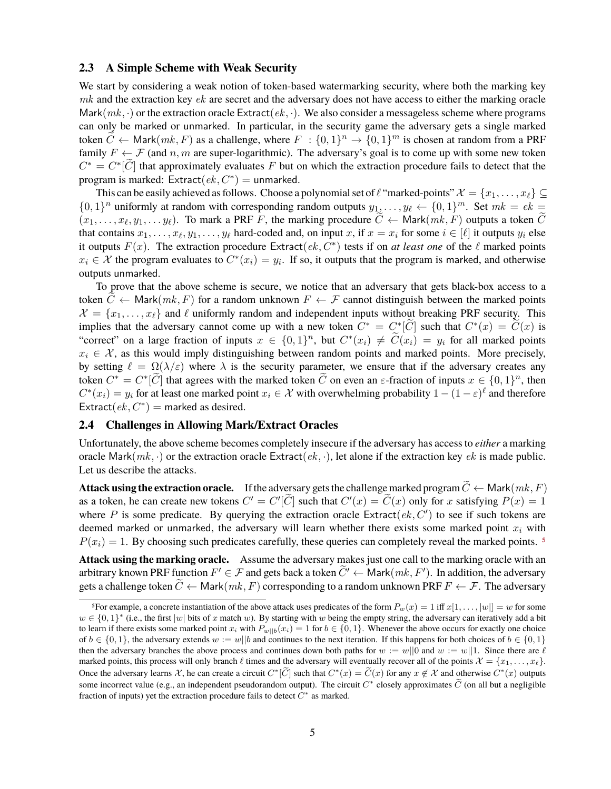### **2.3 A Simple Scheme with Weak Security**

We start by considering a weak notion of token-based watermarking security, where both the marking key  $mk$  and the extraction key  $ek$  are secret and the adversary does not have access to either the marking oracle Mark( $mk, \cdot$ ) or the extraction oracle Extract( $ek, \cdot$ ). We also consider a messageless scheme where programs can only be marked or unmarked. In particular, in the security game the adversary gets a single marked token  $\widetilde{C} \leftarrow$  Mark $(mk, F)$  as a challenge, where  $F : \{0, 1\}^n \rightarrow \{0, 1\}^m$  is chosen at random from a PRF family  $F \leftarrow F$  (and n, m are super-logarithmic). The adversary's goal is to come up with some new token  $C^* = C^*[\tilde{C}]$  that approximately evaluates F but on which the extraction procedure fails to detect that the program is marked:  $\textsf{Extract}(ek,C^*) = \textsf{unmarked}.$ 

This can be easily achieved as follows. Choose a polynomial set of  $\ell$  "marked-points"  $\mathcal{X} = \{x_1, \ldots, x_\ell\} \subseteq$  $\{0,1\}^n$  uniformly at random with corresponding random outputs  $y_1, \ldots, y_\ell \leftarrow \{0,1\}^m$ . Set  $mk = ek =$  $(x_1, \ldots, x_\ell, y_1, \ldots, y_\ell)$ . To mark a PRF F, the marking procedure  $\widetilde{C} \leftarrow$  Mark $(mk, F)$  outputs a token  $\widetilde{C}$ that contains  $x_1, \ldots, x_\ell, y_1, \ldots, y_\ell$  hard-coded and, on input  $x$ , if  $x = x_i$  for some  $i \in [\ell]$  it outputs  $y_i$  else it outputs  $F(x)$ . The extraction procedure  $Extract(ek, C^*)$  tests if on *at least one* of the  $\ell$  marked points  $x_i \in \mathcal{X}$  the program evaluates to  $C^*(x_i) = y_i$ . If so, it outputs that the program is marked, and otherwise outputs unmarked.

To prove that the above scheme is secure, we notice that an adversary that gets black-box access to a token  $C \leftarrow$  Mark $(mk, F)$  for a random unknown  $F \leftarrow F$  cannot distinguish between the marked points  $\mathcal{X} = \{x_1, \ldots, x_\ell\}$  and  $\ell$  uniformly random and independent inputs without breaking PRF security. This implies that the adversary cannot come up with a new token  $C^* = C^*[\tilde{C}]$  such that  $C^*(x) = \tilde{C}(x)$  is "correct" on a large fraction of inputs  $x \in \{0,1\}^n$ , but  $C^*(x_i) \neq \widetilde{C}(x_i) = y_i$  for all marked points  $x_i \in \mathcal{X}$ , as this would imply distinguishing between random points and marked points. More precisely, by setting  $\ell = \Omega(\lambda/\varepsilon)$  where  $\lambda$  is the security parameter, we ensure that if the adversary creates any token  $C^* = C^*[\widetilde{C}]$  that agrees with the marked token  $\widetilde{C}$  on even an  $\varepsilon$ -fraction of inputs  $x \in \{0,1\}^n$ , then  $C^*(x_i) = y_i$  for at least one marked point  $x_i \in \mathcal{X}$  with overwhelming probability  $1 - (1 - \varepsilon)^\ell$  and therefore Extract $(ek, C^*)$  = marked as desired.

#### <span id="page-6-0"></span>**2.4 Challenges in Allowing Mark/Extract Oracles**

Unfortunately, the above scheme becomes completely insecure if the adversary has access to *either* a marking oracle Mark $(mk, \cdot)$  or the extraction oracle Extract $(ek, \cdot)$ , let alone if the extraction key  $ek$  is made public. Let us describe the attacks.

**Attack using the extraction oracle.** If the adversary gets the challenge marked program  $\widetilde{C} \leftarrow$  Mark $(mk, F)$ as a token, he can create new tokens  $C' = C'[\tilde{C}]$  such that  $C'(x) = \tilde{C}(x)$  only for x satisfying  $P(x) = 1$ where P is some predicate. By querying the extraction oracle  $\textsf{Extract}(ek, C')$  to see if such tokens are deemed marked or unmarked, the adversary will learn whether there exists some marked point  $x_i$  with  $P(x_i) = 1$ . By choosing such predicates carefully, these queries can completely reveal the marked points.<sup>[5](#page-6-1)</sup>

**Attack using the marking oracle.** Assume the adversary makes just one call to the marking oracle with an arbitrary known PRF function  $F' \in \mathcal{F}$  and gets back a token  $\widetilde{C}' \leftarrow$  Mark $(mk, F')$ . In addition, the adversary gets a challenge token  $C \leftarrow \text{Mark}(mk, F)$  corresponding to a random unknown PRF  $F \leftarrow \mathcal{F}$ . The adversary

<span id="page-6-1"></span><sup>&</sup>lt;sup>5</sup>For example, a concrete instantiation of the above attack uses predicates of the form  $P_w(x) = 1$  iff  $x[1, \ldots, |w|] = w$  for some  $w \in \{0,1\}^*$  (i.e., the first |w| bits of x match w). By starting with w being the empty string, the adversary can iteratively add a bit to learn if there exists some marked point  $x_i$  with  $P_{w||b}(x_i) = 1$  for  $b \in \{0, 1\}$ . Whenever the above occurs for exactly one choice of  $b \in \{0,1\}$ , the adversary extends  $w := w||b$  and continues to the next iteration. If this happens for both choices of  $b \in \{0,1\}$ then the adversary branches the above process and continues down both paths for  $w := w||0$  and  $w := w||1$ . Since there are  $\ell$ marked points, this process will only branch  $\ell$  times and the adversary will eventually recover all of the points  $\mathcal{X} = \{x_1, \ldots, x_\ell\}$ . Once the adversary learns X, he can create a circuit  $C^*[\tilde{C}]$  such that  $C^*(x) = \tilde{C}(x)$  for any  $x \notin \mathcal{X}$  and otherwise  $C^*(x)$  outputs some incorrect value (e.g., an independent pseudorandom output). The circuit  $C^*$  closely approximates  $\tilde{C}$  (on all but a negligible fraction of inputs) yet the extraction procedure fails to detect  $\hat{C}^*$  as marked.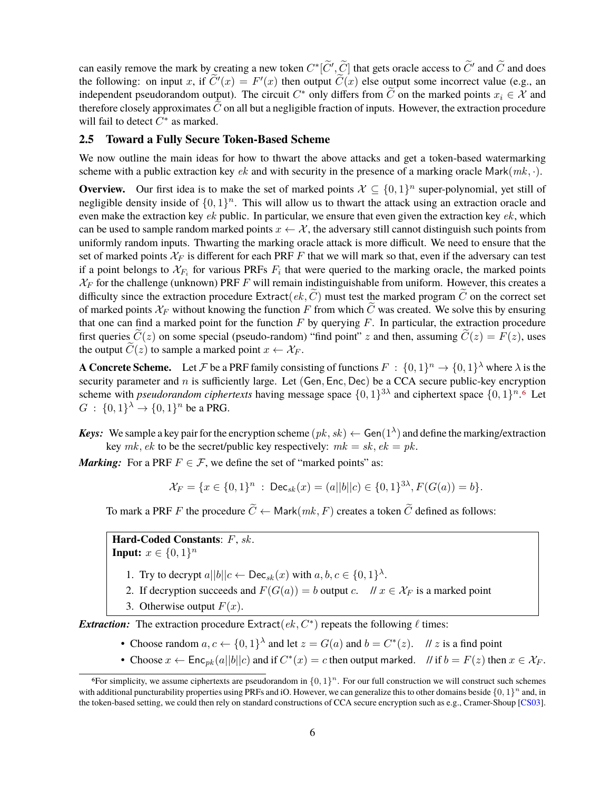can easily remove the mark by creating a new token  $C^*[\widetilde{C}', \widetilde{C}]$  that gets oracle access to  $\widetilde{C}'$  and  $\widetilde{C}$  and does the following: on input x, if  $\widetilde{C}'(x) = F'(x)$  then output  $\widetilde{C}(x)$  else output some incorrect value (e.g., an independent pseudorandom output). The circuit  $C^*$  only differs from  $\widetilde{C}$  on the marked points  $x_i \in \mathcal{X}$  and therefore closely approximates  $C$  on all but a negligible fraction of inputs. However, the extraction procedure will fail to detect  $C^*$  as marked.

### <span id="page-7-0"></span>**2.5 Toward a Fully Secure Token-Based Scheme**

We now outline the main ideas for how to thwart the above attacks and get a token-based watermarking scheme with a public extraction key ek and with security in the presence of a marking oracle Mark $(mk, \cdot)$ .

**Overview.** Our first idea is to make the set of marked points  $\mathcal{X} \subseteq \{0,1\}^n$  super-polynomial, yet still of negligible density inside of  $\{0, 1\}^n$ . This will allow us to thwart the attack using an extraction oracle and even make the extraction key  $ek$  public. In particular, we ensure that even given the extraction key  $ek$ , which can be used to sample random marked points  $x \leftarrow \mathcal{X}$ , the adversary still cannot distinguish such points from uniformly random inputs. Thwarting the marking oracle attack is more difficult. We need to ensure that the set of marked points  $\mathcal{X}_F$  is different for each PRF F that we will mark so that, even if the adversary can test if a point belongs to  $\mathcal{X}_{F_i}$  for various PRFs  $F_i$  that were queried to the marking oracle, the marked points  $X_F$  for the challenge (unknown) PRF F will remain indistinguishable from uniform. However, this creates a difficulty since the extraction procedure  $\textsf{Extract}(ek, \widetilde{C})$  must test the marked program  $\widetilde{C}$  on the correct set of marked points  $\mathcal{X}_F$  without knowing the function F from which C was created. We solve this by ensuring that one can find a marked point for the function  $F$  by querying  $F$ . In particular, the extraction procedure first queries  $\tilde{C}(z)$  on some special (pseudo-random) "find point" z and then, assuming  $\tilde{C}(z) = F(z)$ , uses the output  $\tilde{C}(z)$  to sample a marked point  $x \leftarrow \mathcal{X}_F$ .

**A Concrete Scheme.** Let F be a PRF family consisting of functions  $F : \{0,1\}^n \to \{0,1\}^{\lambda}$  where  $\lambda$  is the security parameter and  $n$  is sufficiently large. Let (Gen, Enc, Dec) be a CCA secure public-key encryption scheme with *pseudorandom ciphertexts* having message space  $\{0,1\}^{3\lambda}$  and ciphertext space  $\{0,1\}^{n}$ .<sup>[6](#page-7-1)</sup> Let  $G : \{0,1\}^{\lambda} \to \{0,1\}^n$  be a PRG.

*Keys:* We sample a key pair for the encryption scheme  $(pk, sk) \leftarrow Gen(1^{\lambda})$  and define the marking/extraction key mk, ek to be the secret/public key respectively:  $mk = sk$ ,  $ek = pk$ .

*Marking:* For a PRF  $F \in \mathcal{F}$ , we define the set of "marked points" as:

$$
\mathcal{X}_F = \{x \in \{0,1\}^n : \text{Dec}_{sk}(x) = (a||b||c) \in \{0,1\}^{3\lambda}, F(G(a)) = b\}.
$$

To mark a PRF F the procedure  $\widetilde{C} \leftarrow \text{Mark}(mk, F)$  creates a token  $\widetilde{C}$  defined as follows:

### **Hard-Coded Constants**: F, sk. **Input:**  $x \in \{0, 1\}^n$

1. Try to decrypt  $a||b||c \leftarrow \text{Dec}_{sk}(x)$  with  $a, b, c \in \{0, 1\}^{\lambda}$ .

- 2. If decryption succeeds and  $F(G(a)) = b$  output c.  $\forall x \in \mathcal{X}_F$  is a marked point
- 3. Otherwise output  $F(x)$ .

*Extraction:* The extraction procedure  $\text{Extract}(ek, C^*)$  repeats the following  $\ell$  times:

- Choose random  $a, c \leftarrow \{0, 1\}^{\lambda}$  and let  $z = G(a)$  and  $b = C^*(z)$ . *Il z* is a find point
- Choose  $x \leftarrow \text{Enc}_{pk}(a||b||c)$  and if  $C^*(x) = c$  then output marked.  $\forall i$  if  $b = F(z)$  then  $x \in \mathcal{X}_F$ .

<span id="page-7-1"></span><sup>&</sup>lt;sup>6</sup>For simplicity, we assume ciphertexts are pseudorandom in  $\{0, 1\}^n$ . For our full construction we will construct such schemes with additional puncturability properties using PRFs and iO. However, we can generalize this to other domains beside  $\{0,1\}^n$  and, in the token-based setting, we could then rely on standard constructions of CCA secure encryption such as e.g., Cramer-Shoup [\[CS03\]](#page-33-3).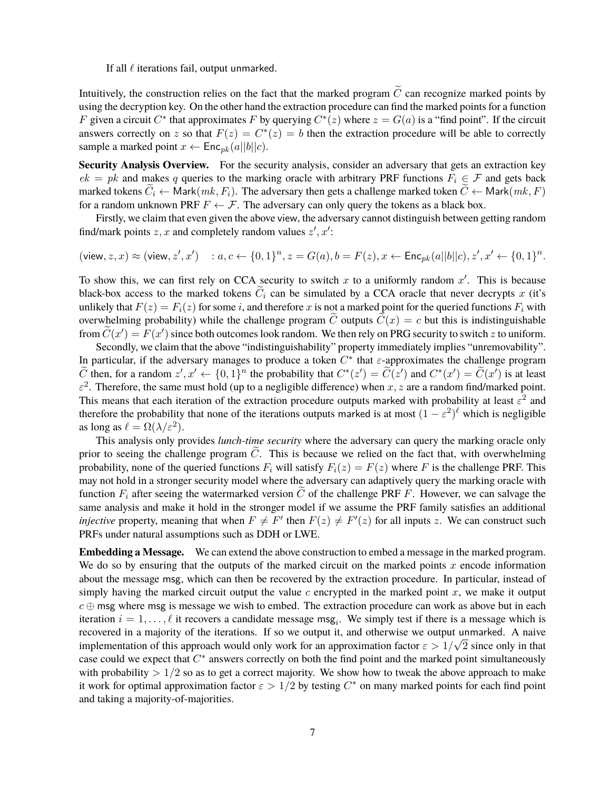If all  $\ell$  iterations fail, output unmarked.

Intuitively, the construction relies on the fact that the marked program  $\tilde{C}$  can recognize marked points by using the decryption key. On the other hand the extraction procedure can find the marked points for a function F given a circuit  $C^*$  that approximates F by querying  $C^*(z)$  where  $z = G(a)$  is a "find point". If the circuit answers correctly on z so that  $F(z) = C^*(z) = b$  then the extraction procedure will be able to correctly sample a marked point  $x \leftarrow \text{Enc}_{pk}(a||b||c)$ .

**Security Analysis Overview.** For the security analysis, consider an adversary that gets an extraction key  $ek = pk$  and makes q queries to the marking oracle with arbitrary PRF functions  $F_i \in \mathcal{F}$  and gets back marked tokens  $C_i \leftarrow \text{Mark}(mk, F_i)$ . The adversary then gets a challenge marked token  $\tilde{C} \leftarrow \text{Mark}(mk, F)$ for a random unknown PRF  $F \leftarrow \mathcal{F}$ . The adversary can only query the tokens as a black box.

Firstly, we claim that even given the above view, the adversary cannot distinguish between getting random find/mark points  $z$ , x and completely random values  $z'$ ,  $x'$ :

$$
(\mathsf{view}, z, x) \approx (\mathsf{view}, z', x') \quad : a, c \leftarrow \{0, 1\}^n, z = G(a), b = F(z), x \leftarrow \mathsf{Enc}_{pk}(a||b||c), z', x' \leftarrow \{0, 1\}^n.
$$

To show this, we can first rely on CCA security to switch x to a uniformly random  $x'$ . This is because black-box access to the marked tokens  $C_i$  can be simulated by a CCA oracle that never decrypts x (it's unlikely that  $F(z) = F_i(z)$  for some i, and therefore x is not a marked point for the queried functions  $F_i$  with overwhelming probability) while the challenge program C outputs  $\tilde{C}(x) = c$  but this is indistinguishable from  $\widetilde{C}(x') = F(x')$  since both outcomes look random. We then rely on PRG security to switch z to uniform.

Secondly, we claim that the above "indistinguishability" property immediately implies "unremovability". In particular, if the adversary manages to produce a token  $C^*$  that  $\varepsilon$ -approximates the challenge program  $\widetilde{C}$  then, for a random  $z', x' \leftarrow \{0, 1\}^n$  the probability that  $C^*(z') = \widetilde{C}(z')$  and  $C^*(x') = \widetilde{C}(x')$  is at least  $\varepsilon^2$ . Therefore, the same must hold (up to a negligible difference) when x, z are a random find/marked point. This means that each iteration of the extraction procedure outputs marked with probability at least  $\varepsilon^2$  and therefore the probability that none of the iterations outputs marked is at most  $(1 - \varepsilon^2)^\ell$  which is negligible as long as  $\ell = \Omega(\lambda/\varepsilon^2)$ .

This analysis only provides *lunch-time security* where the adversary can query the marking oracle only prior to seeing the challenge program  $C$ . This is because we relied on the fact that, with overwhelming probability, none of the queried functions  $F_i$  will satisfy  $F_i(z) = F(z)$  where F is the challenge PRF. This may not hold in a stronger security model where the adversary can adaptively query the marking oracle with function  $F_i$  after seeing the watermarked version C of the challenge PRF F. However, we can salvage the same analysis and make it hold in the stronger model if we assume the PRF family satisfies an additional *injective* property, meaning that when  $F \neq F'$  then  $F(z) \neq F'(z)$  for all inputs z. We can construct such PRFs under natural assumptions such as DDH or LWE.

<span id="page-8-0"></span>**Embedding a Message.** We can extend the above construction to embed a message in the marked program. We do so by ensuring that the outputs of the marked circuit on the marked points x encode information about the message msg, which can then be recovered by the extraction procedure. In particular, instead of simply having the marked circuit output the value c encrypted in the marked point  $x$ , we make it output  $c \oplus$  msg where msg is message we wish to embed. The extraction procedure can work as above but in each iteration  $i = 1, \ldots, \ell$  it recovers a candidate message msg<sub>i</sub>. We simply test if there is a message which is recovered in a majority of the iterations. If so we output it, and otherwise we output unmarked. A naive implementation of this approach would only work for an approximation factor  $\varepsilon > 1/\sqrt{2}$  since only in that case could we expect that  $C^*$  answers correctly on both the find point and the marked point simultaneously with probability  $> 1/2$  so as to get a correct majority. We show how to tweak the above approach to make it work for optimal approximation factor  $\varepsilon > 1/2$  by testing  $C^*$  on many marked points for each find point and taking a majority-of-majorities.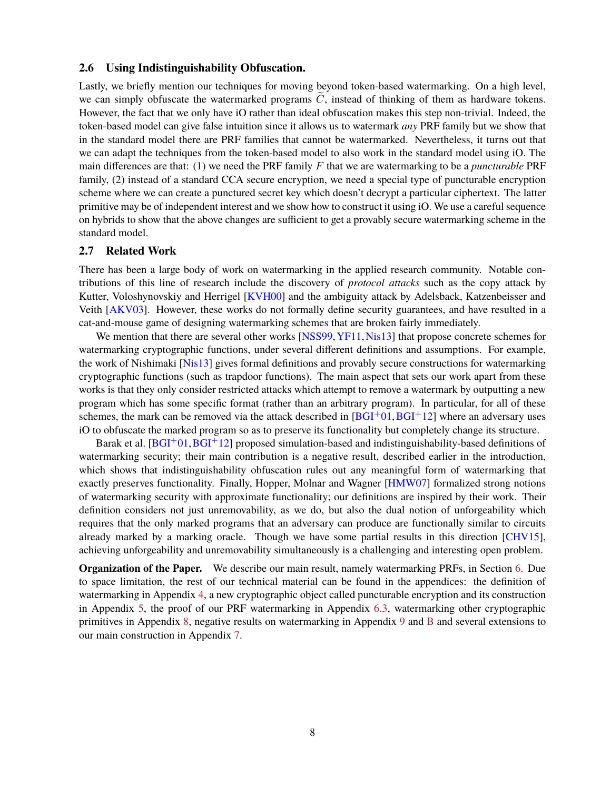#### **2.6 Using Indistinguishability Obfuscation.**

Lastly, we briefly mention our techniques for moving beyond token-based watermarking. On a high level, we can simply obfuscate the watermarked programs  $C$ , instead of thinking of them as hardware tokens. However, the fact that we only have iO rather than ideal obfuscation makes this step non-trivial. Indeed, the token-based model can give false intuition since it allows us to watermark *any* PRF family but we show that in the standard model there are PRF families that cannot be watermarked. Nevertheless, it turns out that we can adapt the techniques from the token-based model to also work in the standard model using iO. The main differences are that: (1) we need the PRF family F that we are watermarking to be a *puncturable* PRF family, (2) instead of a standard CCA secure encryption, we need a special type of puncturable encryption scheme where we can create a punctured secret key which doesn't decrypt a particular ciphertext. The latter primitive may be of independent interest and we show how to construct it using iO. We use a careful sequence on hybrids to show that the above changes are sufficient to get a provably secure watermarking scheme in the standard model.

### <span id="page-9-0"></span>**2.7 Related Work**

There has been a large body of work on watermarking in the applied research community. Notable contributions of this line of research include the discovery of *protocol attacks* such as the copy attack by Kutter, Voloshynovskiy and Herrigel [\[KVH00\]](#page-33-4) and the ambiguity attack by Adelsback, Katzenbeisser and Veith [\[AKV03\]](#page-32-7). However, these works do not formally define security guarantees, and have resulted in a cat-and-mouse game of designing watermarking schemes that are broken fairly immediately.

We mention that there are several other works [\[NSS99,](#page-34-4) [YF11,](#page-34-5) [Nis13\]](#page-34-6) that propose concrete schemes for watermarking cryptographic functions, under several different definitions and assumptions. For example, the work of Nishimaki [\[Nis13\]](#page-34-6) gives formal definitions and provably secure constructions for watermarking cryptographic functions (such as trapdoor functions). The main aspect that sets our work apart from these works is that they only consider restricted attacks which attempt to remove a watermark by outputting a new program which has some specific format (rather than an arbitrary program). In particular, for all of these schemes, the mark can be removed via the attack described in  $[BGI^+01, BGI^+12]$  $[BGI^+01, BGI^+12]$  $[BGI^+01, BGI^+12]$  $[BGI^+01, BGI^+12]$  where an adversary uses iO to obfuscate the marked program so as to preserve its functionality but completely change its structure.

Barak et al.  $[BGI^+01, BGI^+12]$  $[BGI^+01, BGI^+12]$  $[BGI^+01, BGI^+12]$  $[BGI^+01, BGI^+12]$  proposed simulation-based and indistinguishability-based definitions of watermarking security; their main contribution is a negative result, described earlier in the introduction, which shows that indistinguishability obfuscation rules out any meaningful form of watermarking that exactly preserves functionality. Finally, Hopper, Molnar and Wagner [\[HMW07\]](#page-33-1) formalized strong notions of watermarking security with approximate functionality; our definitions are inspired by their work. Their definition considers not just unremovability, as we do, but also the dual notion of unforgeability which requires that the only marked programs that an adversary can produce are functionally similar to circuits already marked by a marking oracle. Though we have some partial results in this direction [\[CHV15\]](#page-33-0), achieving unforgeability and unremovability simultaneously is a challenging and interesting open problem.

<span id="page-9-1"></span>**Organization of the Paper.** We describe our main result, namely watermarking PRFs, in Section [6.](#page-14-0) Due to space limitation, the rest of our technical material can be found in the appendices: the definition of watermarking in Appendix [4,](#page-12-0) a new cryptographic object called puncturable encryption and its construction in Appendix [5,](#page-13-0) the proof of our PRF watermarking in Appendix [6.3,](#page-16-0) watermarking other cryptographic primitives in Appendix [8,](#page-25-0) negative results on watermarking in Appendix [9](#page-26-0) and [B](#page-42-0) and several extensions to our main construction in Appendix [7.](#page-23-0)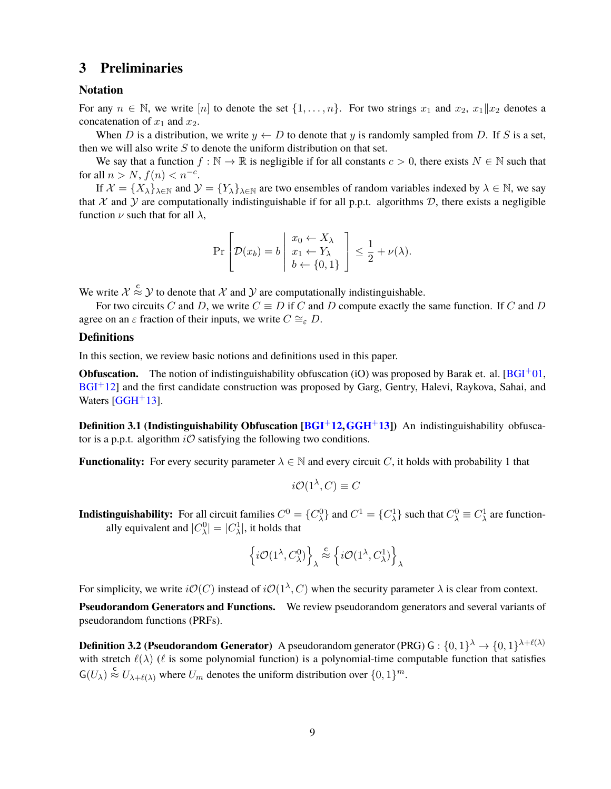### **3 Preliminaries**

#### **Notation**

For any  $n \in \mathbb{N}$ , we write  $[n]$  to denote the set  $\{1, \ldots, n\}$ . For two strings  $x_1$  and  $x_2, x_1||x_2$  denotes a concatenation of  $x_1$  and  $x_2$ .

When D is a distribution, we write  $y \leftarrow D$  to denote that y is randomly sampled from D. If S is a set, then we will also write  $S$  to denote the uniform distribution on that set.

We say that a function  $f : \mathbb{N} \to \mathbb{R}$  is negligible if for all constants  $c > 0$ , there exists  $N \in \mathbb{N}$  such that for all  $n > N$ ,  $f(n) < n^{-c}$ .

If  $\mathcal{X} = \{X_{\lambda}\}_{\lambda \in \mathbb{N}}$  and  $\mathcal{Y} = \{Y_{\lambda}\}_{\lambda \in \mathbb{N}}$  are two ensembles of random variables indexed by  $\lambda \in \mathbb{N}$ , we say that  $X$  and  $Y$  are computationally indistinguishable if for all p.p.t. algorithms  $D$ , there exists a negligible function  $\nu$  such that for all  $\lambda$ ,

$$
\Pr\left[\mathcal{D}(x_b) = b \middle| \begin{array}{l} x_0 \leftarrow X_{\lambda} \\ x_1 \leftarrow Y_{\lambda} \\ b \leftarrow \{0, 1\} \end{array} \right] \leq \frac{1}{2} + \nu(\lambda).
$$

We write  $\mathcal{X} \stackrel{c}{\approx} \mathcal{Y}$  to denote that  $\mathcal{X}$  and  $\mathcal{Y}$  are computationally indistinguishable.

For two circuits C and D, we write  $C \equiv D$  if C and D compute exactly the same function. If C and D agree on an  $\varepsilon$  fraction of their inputs, we write  $C \cong_{\varepsilon} D$ .

#### **Definitions**

In this section, we review basic notions and definitions used in this paper.

**Obfuscation.** The notion of indistinguishability obfuscation (iO) was proposed by Barak et. al.  $[BGI^+01]$  $[BGI^+01]$ , [BGI](#page-32-1)+12] and the first candidate construction was proposed by Garg, Gentry, Halevi, Raykova, Sahai, and Waters  $[GGH^+13]$  $[GGH^+13]$ .

**Definition 3.1 (Indistinguishability Obfuscation**  $[BGI^+12, GGH^+13]$  $[BGI^+12, GGH^+13]$  $[BGI^+12, GGH^+13]$  $[BGI^+12, GGH^+13]$ **) An indistinguishability obfusca**tor is a p.p.t. algorithm  $i\mathcal{O}$  satisfying the following two conditions.

**Functionality:** For every security parameter  $\lambda \in \mathbb{N}$  and every circuit C, it holds with probability 1 that

$$
i\mathcal{O}(1^{\lambda}, C) \equiv C
$$

**Indistinguishability:** For all circuit families  $C^0 = \{C^0_\lambda\}$  and  $C^1 = \{C^1_\lambda\}$  such that  $C^0_\lambda \equiv C^1_\lambda$  are functionally equivalent and  $|C_{\lambda}^0| = |C_{\lambda}^1|$ , it holds that

$$
\left\{i\mathcal{O}(1^{\lambda},C_{\lambda}^{0})\right\}_{\lambda}\stackrel{\mathsf{c}}{\approx}\left\{i\mathcal{O}(1^{\lambda},C_{\lambda}^{1})\right\}_{\lambda}
$$

For simplicity, we write  $i\mathcal{O}(C)$  instead of  $i\mathcal{O}(1^{\lambda}, C)$  when the security parameter  $\lambda$  is clear from context.

**Pseudorandom Generators and Functions.** We review pseudorandom generators and several variants of pseudorandom functions (PRFs).

**Definition 3.2 (Pseudorandom Generator)** A pseudorandom generator (PRG)  $G : \{0,1\}^{\lambda} \to \{0,1\}^{\lambda+\ell(\lambda)}$ with stretch  $\ell(\lambda)$  ( $\ell$  is some polynomial function) is a polynomial-time computable function that satisfies  $G(U_\lambda) \stackrel{c}{\approx} U_{\lambda+\ell(\lambda)}$  where  $U_m$  denotes the uniform distribution over  $\{0, 1\}^m$ .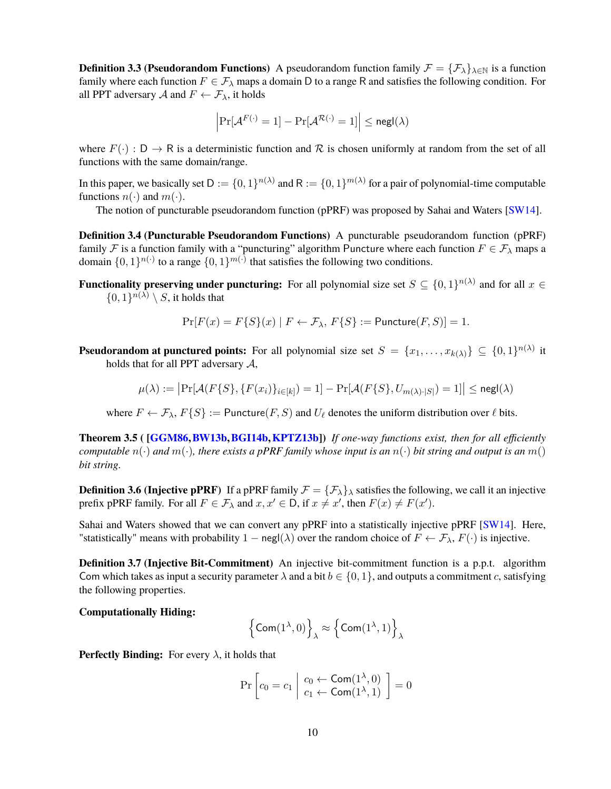**Definition 3.3 (Pseudorandom Functions)** A pseudorandom function family  $\mathcal{F} = {\{\mathcal{F}_{\lambda}\}}_{\lambda \in \mathbb{N}}$  is a function family where each function  $F \in \mathcal{F}_{\lambda}$  maps a domain D to a range R and satisfies the following condition. For all PPT adversary A and  $F \leftarrow \mathcal{F}_{\lambda}$ , it holds

$$
\left|\Pr[\mathcal{A}^{F(\cdot)}=1]-\Pr[\mathcal{A}^{\mathcal{R}(\cdot)}=1]\right|\leq \mathsf{negl}(\lambda)
$$

where  $F(\cdot): D \to \mathbb{R}$  is a deterministic function and  $\mathcal R$  is chosen uniformly at random from the set of all functions with the same domain/range.

In this paper, we basically set  $D := \{0,1\}^{n(\lambda)}$  and  $R := \{0,1\}^{m(\lambda)}$  for a pair of polynomial-time computable functions  $n(\cdot)$  and  $m(\cdot)$ .

The notion of puncturable pseudorandom function (pPRF) was proposed by Sahai and Waters [\[SW14\]](#page-34-3).

**Definition 3.4 (Puncturable Pseudorandom Functions)** A puncturable pseudorandom function (pPRF) family F is a function family with a "puncturing" algorithm Puncture where each function  $F \in \mathcal{F}_{\lambda}$  maps a domain  $\{0,1\}^{n(\cdot)}$  to a range  $\{0,1\}^{m(\cdot)}$  that satisfies the following two conditions.

**Functionality preserving under puncturing:** For all polynomial size set  $S \subseteq \{0,1\}^{n(\lambda)}$  and for all  $x \in$  $\{0,1\}^{n(\lambda)} \setminus S$ , it holds that

$$
\Pr[F(x) = F\{S\}(x) | F \leftarrow \mathcal{F}_{\lambda}, F\{S\} := \mathsf{Puncture}(F, S)] = 1.
$$

**Pseudorandom at punctured points:** For all polynomial size set  $S = \{x_1, \ldots, x_{k(\lambda)}\} \subseteq \{0,1\}^{n(\lambda)}$  it holds that for all PPT adversary  $A$ ,

$$
\mu(\lambda) := \left| \Pr[\mathcal{A}(F\{S\}, \{F(x_i)\}_{i \in [k]}) = 1] - \Pr[\mathcal{A}(F\{S\}, U_{m(\lambda) \cdot |S|}) = 1] \right| \le \mathsf{negl}(\lambda)
$$

where  $F \leftarrow \mathcal{F}_{\lambda}, F\{S\} := \text{Puncture}(F, S)$  and  $U_{\ell}$  denotes the uniform distribution over  $\ell$  bits.

**Theorem 3.5 ( [\[GGM86,](#page-33-6)[BW13b,](#page-33-7)[BGI14b,](#page-32-8)[KPTZ13b\]](#page-33-8))** *If one-way functions exist, then for all efficiently computable*  $n(\cdot)$  *and*  $m(\cdot)$ *, there exists a pPRF family whose input is an*  $n(\cdot)$  *bit string and output is an*  $m(\cdot)$ *bit string.*

<span id="page-11-0"></span>**Definition 3.6 (Injective pPRF)** If a pPRF family  $\mathcal{F} = {\{\mathcal{F}_{\lambda}\}}$  satisfies the following, we call it an injective prefix pPRF family. For all  $F \in \mathcal{F}_{\lambda}$  and  $x, x' \in D$ , if  $x \neq x'$ , then  $F(x) \neq F(x')$ .

Sahai and Waters showed that we can convert any pPRF into a statistically injective pPRF [\[SW14\]](#page-34-3). Here, "statistically" means with probability  $1 - \text{negl}(\lambda)$  over the random choice of  $F \leftarrow \mathcal{F}_{\lambda}$ ,  $F(\cdot)$  is injective.

**Definition 3.7 (Injective Bit-Commitment)** An injective bit-commitment function is a p.p.t. algorithm Com which takes as input a security parameter  $\lambda$  and a bit  $b \in \{0, 1\}$ , and outputs a commitment c, satisfying the following properties.

#### **Computationally Hiding:**

$$
\left\{\operatorname{Com}(1^{\lambda},0)\right\}_{\lambda} \approx \left\{\operatorname{Com}(1^{\lambda},1)\right\}_{\lambda}
$$

**Perfectly Binding:** For every  $\lambda$ , it holds that

$$
\Pr\left[c_0 = c_1 \mid \begin{array}{l} c_0 \leftarrow \textsf{Com}(1^{\lambda}, 0) \\ c_1 \leftarrow \textsf{Com}(1^{\lambda}, 1) \end{array}\right] = 0
$$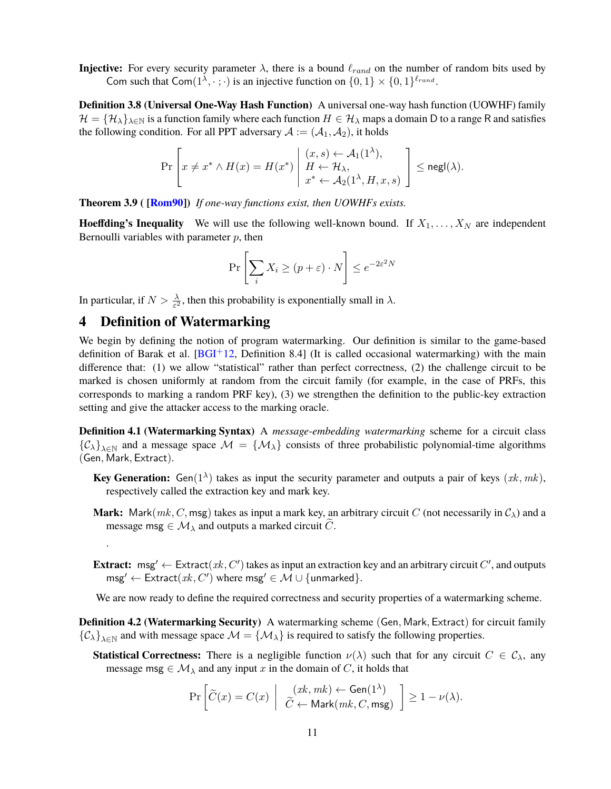**Injective:** For every security parameter  $\lambda$ , there is a bound  $\ell_{rand}$  on the number of random bits used by Com such that Com $(1^{\lambda}, \cdot; \cdot)$  is an injective function on  $\{0, 1\} \times \{0, 1\}^{\ell_{rand}}$ .

**Definition 3.8 (Universal One-Way Hash Function)** A universal one-way hash function (UOWHF) family  $\mathcal{H} = {\{\mathcal{H}_\lambda\}}_{\lambda \in \mathbb{N}}$  is a function family where each function  $H \in \mathcal{H}_\lambda$  maps a domain D to a range R and satisfies the following condition. For all PPT adversary  $A := (\mathcal{A}_1, \mathcal{A}_2)$ , it holds

$$
\Pr\left[x \neq x^* \land H(x) = H(x^*) \middle| \begin{array}{l} (x,s) \leftarrow \mathcal{A}_1(1^{\lambda}), \\ H \leftarrow \mathcal{H}_{\lambda}, \\ x^* \leftarrow \mathcal{A}_2(1^{\lambda}, H, x, s) \end{array} \right] \leq {\sf negl}(\lambda).
$$

**Theorem 3.9 ( [\[Rom90\]](#page-34-7))** *If one-way functions exist, then UOWHFs exists.*

**Hoeffding's Inequality** We will use the following well-known bound. If  $X_1, \ldots, X_N$  are independent Bernoulli variables with parameter  $p$ , then

$$
\Pr\left[\sum_{i} X_{i} \ge (p + \varepsilon) \cdot N\right] \le e^{-2\varepsilon^{2}N}
$$

In particular, if  $N > \frac{\lambda}{\varepsilon^2}$ , then this probability is exponentially small in  $\lambda$ .

### <span id="page-12-0"></span>**4 Definition of Watermarking**

.

We begin by defining the notion of program watermarking. Our definition is similar to the game-based definition of Barak et al.  $[BGI^+12,$  $[BGI^+12,$  Definition 8.4] (It is called occasional watermarking) with the main difference that: (1) we allow "statistical" rather than perfect correctness, (2) the challenge circuit to be marked is chosen uniformly at random from the circuit family (for example, in the case of PRFs, this corresponds to marking a random PRF key), (3) we strengthen the definition to the public-key extraction setting and give the attacker access to the marking oracle.

<span id="page-12-1"></span>**Definition 4.1 (Watermarking Syntax)** A *message-embedding watermarking* scheme for a circuit class  ${C_{\lambda}}_{\lambda \in \mathbb{N}}$  and a message space  $M = {M_{\lambda}}$  consists of three probabilistic polynomial-time algorithms (Gen, Mark, Extract).

- **Key Generation:** Gen( $1^{\lambda}$ ) takes as input the security parameter and outputs a pair of keys  $(xk, mk)$ , respectively called the extraction key and mark key.
- **Mark:** Mark $(mk, C, \text{msg})$  takes as input a mark key, an arbitrary circuit C (not necessarily in  $C_\lambda$ ) and a message msg  $\in \mathcal{M}_{\lambda}$  and outputs a marked circuit C.
- **Extract:**  $\text{msg}' \leftarrow \text{Extract}(x_k, C')$  takes as input an extraction key and an arbitrary circuit  $C'$ , and outputs  $\mathsf{msg}' \leftarrow \mathsf{Extract}(xk,C')$  where  $\mathsf{msg}' \in \mathcal{M} \cup \{\mathsf{unmarked}\}.$

We are now ready to define the required correctness and security properties of a watermarking scheme.

**Definition 4.2 (Watermarking Security)** A watermarking scheme (Gen, Mark, Extract) for circuit family  ${\{\mathcal{C}_\lambda\}}_{\lambda \in \mathbb{N}}$  and with message space  $\mathcal{M} = {\{\mathcal{M}_\lambda\}}$  is required to satisfy the following properties.

**Statistical Correctness:** There is a negligible function  $\nu(\lambda)$  such that for any circuit  $C \in C_{\lambda}$ , any message msg  $\in \mathcal{M}_{\lambda}$  and any input x in the domain of C, it holds that

<span id="page-12-2"></span>
$$
\Pr\left[\widetilde{C}(x) = C(x) \middle| \begin{array}{c} (x k, m k) \leftarrow \textsf{Gen}(1^{\lambda}) \\ \widetilde{C} \leftarrow \textsf{Mark}(m k, C, \textsf{msg}) \end{array}\right] \ge 1 - \nu(\lambda).
$$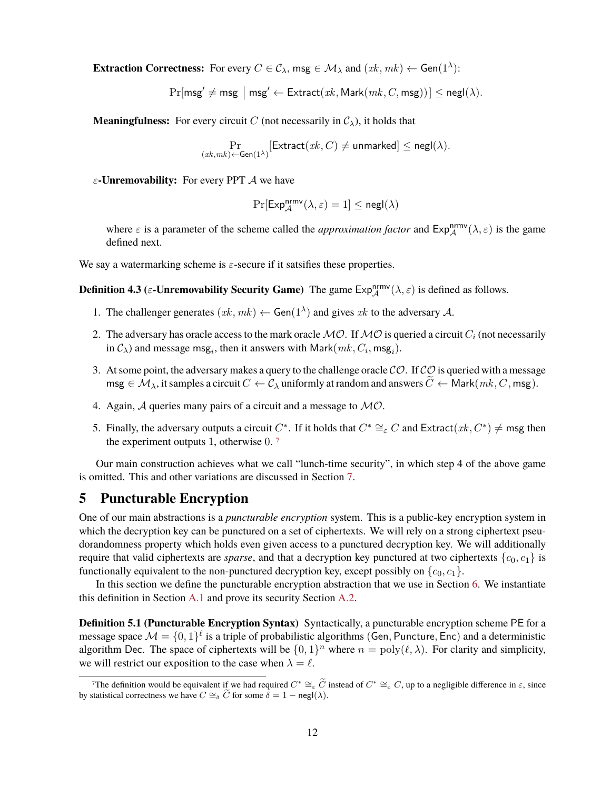**Extraction Correctness:** For every  $C \in \mathcal{C}_{\lambda}$ , msg  $\in \mathcal{M}_{\lambda}$  and  $(xk, mk) \leftarrow$  Gen $(1^{\lambda})$ :

$$
\Pr[\mathsf{msg}' \neq \mathsf{msg} \mid \mathsf{msg}' \leftarrow \mathsf{Extract}(xk, \mathsf{Mark}(mk, C, \mathsf{msg}))] \leq \mathsf{negl}(\lambda).
$$

**Meaningfulness:** For every circuit C (not necessarily in  $C_\lambda$ ), it holds that

$$
\Pr_{(x k, m k) \leftarrow \mathsf{Gen}(1^\lambda)}[\mathsf{Extract}(x k, C) \neq \mathsf{unmarked}] \leq \mathsf{negl}(\lambda).
$$

ε**-Unremovability:** For every PPT A we have

$$
\Pr[\mathsf{Exp}_{\mathcal{A}}^{\mathsf{nrmv}}(\lambda,\varepsilon)=1]\leq \mathsf{negl}(\lambda)
$$

where  $\varepsilon$  is a parameter of the scheme called the *approximation factor* and  $Exp_{\mathcal{A}}^{nrmv}(\lambda, \varepsilon)$  is the game defined next.

We say a watermarking scheme is  $\varepsilon$ -secure if it satsifies these properties.

<span id="page-13-2"></span>**Definition 4.3** ( $\varepsilon$ -Unremovability Security Game) The game  $Exp_{\mathcal{A}}^{nrmv}(\lambda, \varepsilon)$  is defined as follows.

- 1. The challenger generates  $(xk, mk) \leftarrow$  Gen $(1^{\lambda})$  and gives  $xk$  to the adversary A.
- 2. The adversary has oracle access to the mark oracle  $MO$ . If  $MO$  is queried a circuit  $C_i$  (not necessarily in  $C_{\lambda}$ ) and message msg<sub>i</sub>, then it answers with Mark $(mk, C_i, \text{msg}_i)$ .
- 3. At some point, the adversary makes a query to the challenge oracle  $CO$ . If  $CO$  is queried with a message  $\text{msg } \in \mathcal{M}_{\lambda}$ , it samples a circuit  $C \leftarrow C_{\lambda}$  uniformly at random and answers  $\tilde{C} \leftarrow \text{Mark}(mk, C, \text{msg})$ .
- 4. Again, A queries many pairs of a circuit and a message to MO.
- 5. Finally, the adversary outputs a circuit  $C^*$ . If it holds that  $C^* \cong_{\varepsilon} C$  and  $\text{Extract}(x_k, C^*) \neq \text{msg}$  then the experiment outputs 1, otherwise 0. [7](#page-13-1)

Our main construction achieves what we call "lunch-time security", in which step 4 of the above game is omitted. This and other variations are discussed in Section [7.](#page-23-0)

### <span id="page-13-0"></span>**5 Puncturable Encryption**

One of our main abstractions is a *puncturable encryption* system. This is a public-key encryption system in which the decryption key can be punctured on a set of ciphertexts. We will rely on a strong ciphertext pseudorandomness property which holds even given access to a punctured decryption key. We will additionally require that valid ciphertexts are *sparse*, and that a decryption key punctured at two ciphertexts  $\{c_0, c_1\}$  is functionally equivalent to the non-punctured decryption key, except possibly on  $\{c_0, c_1\}$ .

In this section we define the puncturable encryption abstraction that we use in Section [6.](#page-14-0) We instantiate this definition in Section [A.1](#page-34-2) and prove its security Section [A.2.](#page-35-0)

**Definition 5.1 (Puncturable Encryption Syntax)** Syntactically, a puncturable encryption scheme PE for a message space  $\mathcal{M} = \{0,1\}^{\ell}$  is a triple of probabilistic algorithms (Gen, Puncture, Enc) and a deterministic algorithm Dec. The space of ciphertexts will be  $\{0, 1\}^n$  where  $n = \text{poly}(\ell, \lambda)$ . For clarity and simplicity, we will restrict our exposition to the case when  $\lambda = \ell$ .

<span id="page-13-1"></span>The definition would be equivalent if we had required  $C^* \cong_{\varepsilon} \widetilde{C}$  instead of  $C^* \cong_{\varepsilon} C$ , up to a negligible difference in  $\varepsilon$ , since by statistical correctness we have  $C \cong_{\delta} \tilde{C}$  for some  $\delta = 1 - \text{negl}(\lambda)$ .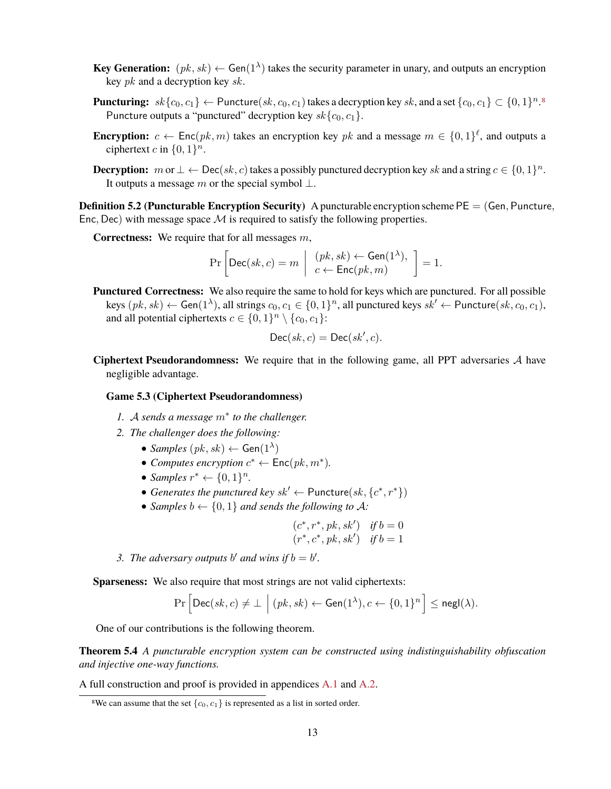- **Key Generation:**  $(pk, sk) \leftarrow Gen(1^{\lambda})$  takes the security parameter in unary, and outputs an encryption key  $pk$  and a decryption key  $sk$ .
- **Puncturing:**  $sk\{c_0, c_1\} \leftarrow$  Puncture $(sk, c_0, c_1)$  takes a decryption key  $sk$ , and a set  $\{c_0, c_1\} \subset \{0, 1\}^n$ .<sup>[8](#page-14-1)</sup> Puncture outputs a "punctured" decryption key  $sk{c_0, c_1}$ .
- **Encryption:**  $c \leftarrow \text{Enc}(pk, m)$  takes an encryption key pk and a message  $m \in \{0, 1\}^{\ell}$ , and outputs a ciphertext c in  $\{0, 1\}^n$ .
- **Decryption:**  $m$  or  $\perp \leftarrow$  Dec(sk, c) takes a possibly punctured decryption key sk and a string  $c \in \{0, 1\}^n$ . It outputs a message m or the special symbol  $\perp$ .

**Definition 5.2 (Puncturable Encryption Security)** A puncturable encryption scheme PE = (Gen, Puncture, Enc, Dec) with message space  $M$  is required to satisfy the following properties.

**Correctness:** We require that for all messages m,

$$
\Pr\left[\mathsf{Dec}(sk,c) = m \middle| \begin{array}{c} (pk, sk) \leftarrow \mathsf{Gen}(1^{\lambda}), \\ c \leftarrow \mathsf{Enc}(pk, m) \end{array} \right] = 1.
$$

**Punctured Correctness:** We also require the same to hold for keys which are punctured. For all possible keys  $(pk, sk) \leftarrow$  Gen $(1^{\lambda})$ , all strings  $c_0, c_1 \in \{0, 1\}^n$ , all punctured keys  $sk' \leftarrow$  Puncture $(sk, c_0, c_1)$ , and all potential ciphertexts  $c \in \{0, 1\}^n \setminus \{c_0, c_1\}$ :

$$
\mathsf{Dec}(sk, c) = \mathsf{Dec}(sk', c).
$$

**Ciphertext Pseudorandomness:** We require that in the following game, all PPT adversaries A have negligible advantage.

#### **Game 5.3 (Ciphertext Pseudorandomness)** *.*

- *1.* A *sends a message* m<sup>∗</sup> *to the challenger.*
- *2. The challenger does the following:*
	- *Samples*  $(pk, sk) \leftarrow$  Gen $(1^{\lambda})$
	- *Computes encryption*  $c^* \leftarrow \text{Enc}(pk, m^*)$ *.*
	- *Samples*  $r^* \leftarrow \{0, 1\}^n$ *.*
	- *Generates the punctured key sk'*  $\leftarrow$  Puncture(sk, { $c^*, r^*$ })
	- *Samples*  $b \leftarrow \{0, 1\}$  *and sends the following to A:*

$$
(c^*, r^*, pk, sk')
$$
 if  $b = 0$   
 $(r^*, c^*, pk, sk')$  if  $b = 1$ 

3. The adversary outputs b' and wins if  $b = b'$ .

**Sparseness:** We also require that most strings are not valid ciphertexts:

$$
\Pr\left[\mathsf{Dec}(sk,c) \neq \bot \mid (pk, sk) \leftarrow \mathsf{Gen}(1^{\lambda}), c \leftarrow \{0, 1\}^n\right] \leq \mathsf{negl}(\lambda).
$$

One of our contributions is the following theorem.

**Theorem 5.4** *A puncturable encryption system can be constructed using indistinguishability obfuscation and injective one-way functions.*

<span id="page-14-0"></span>A full construction and proof is provided in appendices [A.1](#page-34-2) and [A.2.](#page-35-0)

<span id="page-14-1"></span><sup>&</sup>lt;sup>8</sup>We can assume that the set  $\{c_0, c_1\}$  is represented as a list in sorted order.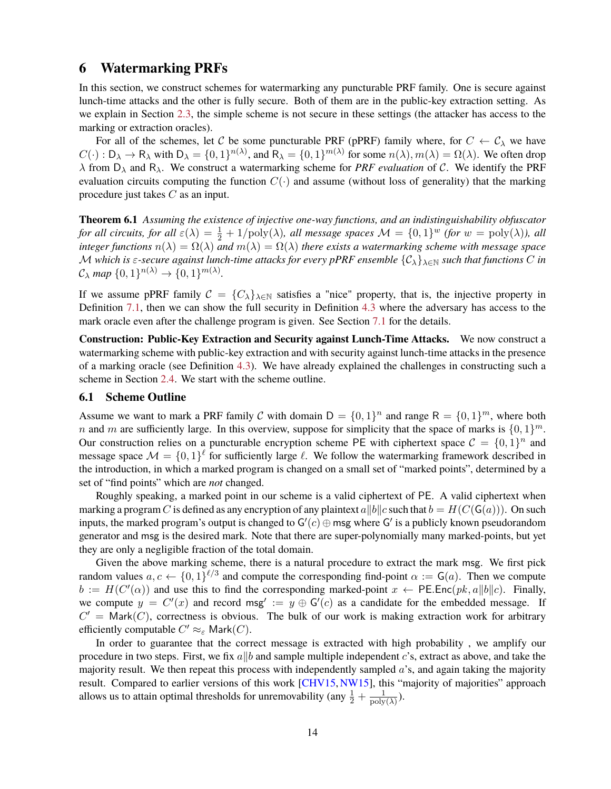### **6 Watermarking PRFs**

In this section, we construct schemes for watermarking any puncturable PRF family. One is secure against lunch-time attacks and the other is fully secure. Both of them are in the public-key extraction setting. As we explain in Section [2.3,](#page-5-3) the simple scheme is not secure in these settings (the attacker has access to the marking or extraction oracles).

For all of the schemes, let C be some puncturable PRF (pPRF) family where, for  $C \leftarrow C_\lambda$  we have  $C(\cdot): D_\lambda \to \mathsf{R}_\lambda$  with  $D_\lambda = \{0,1\}^{n(\lambda)}$ , and  $\mathsf{R}_\lambda = \{0,1\}^{m(\lambda)}$  for some  $n(\lambda)$ ,  $m(\lambda) = \Omega(\lambda)$ . We often drop  $\lambda$  from  $D_{\lambda}$  and  $R_{\lambda}$ . We construct a watermarking scheme for *PRF evaluation* of C. We identify the PRF evaluation circuits computing the function  $C(\cdot)$  and assume (without loss of generality) that the marking procedure just takes  $C$  as an input.

<span id="page-15-2"></span>**Theorem 6.1** *Assuming the existence of injective one-way functions, and an indistinguishability obfuscator for all circuits, for all*  $\varepsilon(\lambda) = \frac{1}{2} + 1/\text{poly}(\lambda)$ *, all message spaces*  $\mathcal{M} = \{0, 1\}^w$  *(for*  $w = \text{poly}(\lambda)$ *), all integer functions*  $n(\lambda) = \Omega(\lambda)$  *and*  $m(\lambda) = \Omega(\lambda)$  *there exists a watermarking scheme with message space* M which is  $\varepsilon$ -secure against lunch-time attacks for every pPRF ensemble  $\{\mathcal{C}_\lambda\}_{\lambda\in\mathbb{N}}$  such that functions C in  $C_{\lambda}$  map  $\{0,1\}^{n(\lambda)} \rightarrow \{0,1\}^{m(\lambda)}$ .

If we assume pPRF family  $C = \{C_{\lambda}\}_{\lambda \in \mathbb{N}}$  satisfies a "nice" property, that is, the injective property in Definition [7.1,](#page-23-3) then we can show the full security in Definition [4.3](#page-13-2) where the adversary has access to the mark oracle even after the challenge program is given. See Section [7.1](#page-23-1) for the details.

**Construction: Public-Key Extraction and Security against Lunch-Time Attacks.** We now construct a watermarking scheme with public-key extraction and with security against lunch-time attacks in the presence of a marking oracle (see Definition [4.3\)](#page-13-2). We have already explained the challenges in constructing such a scheme in Section [2.4.](#page-6-0) We start with the scheme outline.

### <span id="page-15-0"></span>**6.1 Scheme Outline**

Assume we want to mark a PRF family C with domain  $D = \{0, 1\}^n$  and range  $R = \{0, 1\}^m$ , where both n and m are sufficiently large. In this overview, suppose for simplicity that the space of marks is  $\{0, 1\}^m$ . Our construction relies on a puncturable encryption scheme PE with ciphertext space  $C = \{0, 1\}^n$  and message space  $\mathcal{M} = \{0,1\}^{\ell}$  for sufficiently large  $\ell$ . We follow the watermarking framework described in the introduction, in which a marked program is changed on a small set of "marked points", determined by a set of "find points" which are *not* changed.

Roughly speaking, a marked point in our scheme is a valid ciphertext of PE. A valid ciphertext when marking a program C is defined as any encryption of any plaintext  $a||b||c$  such that  $b = H(C(G(a)))$ . On such inputs, the marked program's output is changed to  $G'(c) \oplus \text{msg}$  where  $G'$  is a publicly known pseudorandom generator and msg is the desired mark. Note that there are super-polynomially many marked-points, but yet they are only a negligible fraction of the total domain.

Given the above marking scheme, there is a natural procedure to extract the mark msg. We first pick random values  $a, c \leftarrow \{0, 1\}^{\ell/3}$  and compute the corresponding find-point  $\alpha := G(a)$ . Then we compute  $b := H(C'(\alpha))$  and use this to find the corresponding marked-point  $x \leftarrow \text{PE}.\text{Enc}(pk, a||b||c)$ . Finally, we compute  $y = C'(x)$  and record msg' :=  $y \oplus G'(c)$  as a candidate for the embedded message. If  $C' = \text{Mark}(C)$ , correctness is obvious. The bulk of our work is making extraction work for arbitrary efficiently computable  $C' \approx_{\varepsilon}$  Mark $(C)$ .

<span id="page-15-1"></span>In order to guarantee that the correct message is extracted with high probability , we amplify our procedure in two steps. First, we fix  $a||b$  and sample multiple independent c's, extract as above, and take the majority result. We then repeat this process with independently sampled a's, and again taking the majority result. Compared to earlier versions of this work [\[CHV15,](#page-33-0) [NW15\]](#page-34-0), this "majority of majorities" approach allows us to attain optimal thresholds for unremovability (any  $\frac{1}{2} + \frac{1}{\text{poly}}$  $\frac{1}{\text{poly}(\lambda)}$ ).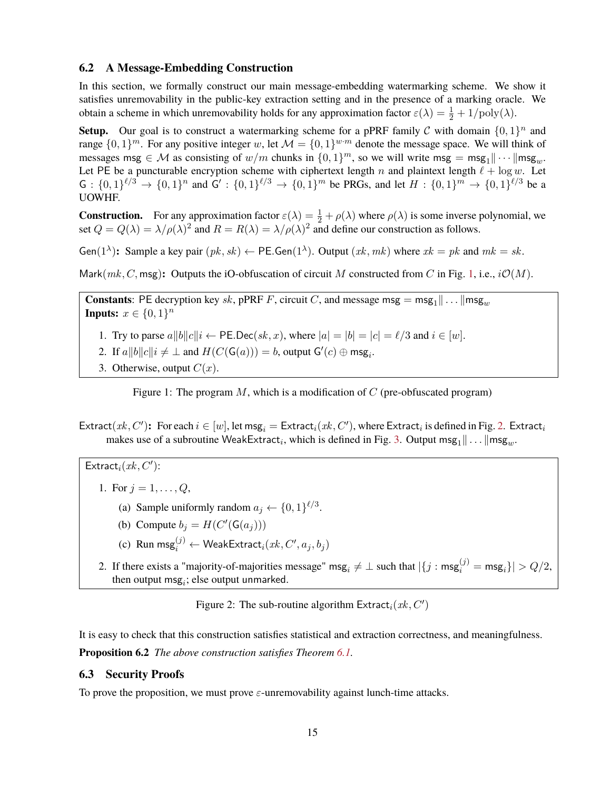### **6.2 A Message-Embedding Construction**

In this section, we formally construct our main message-embedding watermarking scheme. We show it satisfies unremovability in the public-key extraction setting and in the presence of a marking oracle. We obtain a scheme in which unremovability holds for any approximation factor  $\varepsilon(\lambda) = \frac{1}{2} + 1/\text{poly}(\lambda)$ .

**Setup.** Our goal is to construct a watermarking scheme for a pPRF family C with domain  $\{0,1\}^n$  and range  $\{0,1\}^m$ . For any positive integer w, let  $\mathcal{M} = \{0,1\}^{w \cdot m}$  denote the message space. We will think of messages msg  $\in \mathcal{M}$  as consisting of  $w/m$  chunks in  $\{0, 1\}^m$ , so we will write msg = msg<sub>1</sub> $\|\cdots\|$ msg<sub>w</sub>. Let PE be a puncturable encryption scheme with ciphertext length n and plaintext length  $\ell + \log w$ . Let  $G: \{0,1\}^{\ell/3} \to \{0,1\}^n$  and  $G': \{0,1\}^{\ell/3} \to \{0,1\}^m$  be PRGs, and let  $H: \{0,1\}^m \to \{0,1\}^{\ell/3}$  be a UOWHF.

**Construction.** For any approximation factor  $\varepsilon(\lambda) = \frac{1}{2} + \rho(\lambda)$  where  $\rho(\lambda)$  is some inverse polynomial, we set  $Q = Q(\lambda) = \lambda/\rho(\lambda)^2$  and  $R = R(\lambda) = \lambda/\rho(\lambda)^2$  and define our construction as follows.

Gen(1<sup> $\lambda$ </sup>): Sample a key pair  $(pk, sk) \leftarrow \text{PE.Gen}(1^{\lambda})$ . Output  $(xk, mk)$  where  $xk = pk$  and  $mk = sk$ .

Mark $(mk, C, \text{msg})$ : Outputs the iO-obfuscation of circuit M constructed from C in Fig. [1,](#page-16-1) i.e.,  $i\mathcal{O}(M)$ .

**Constants**: PE decryption key sk, pPRF F, circuit C, and message msg =  $\text{msg}_1 \| \dots \| \text{msg}_w$ **Inputs:**  $x \in \{0, 1\}^n$ 

- 1. Try to parse  $a||b||c||i \leftarrow \text{PE.Dec}(sk, x)$ , where  $|a| = |b| = |c| = \ell/3$  and  $i \in [w]$ .
- 2. If  $a||b||c||i \neq \perp$  and  $H(C(G(a))) = b$ , output  $G'(c) \oplus \text{msg}_i$ .
- 3. Otherwise, output  $C(x)$ .

<span id="page-16-1"></span>Figure 1: The program M, which is a modification of  $C$  (pre-obfuscated program)

 $\mathsf{Extract}(xk,C')$ : For each  $i\in[w]$ , let msg $_i = \mathsf{Extract}_{i}(xk,C')$ , where  $\mathsf{Extract}_{i}$  is defined in Fig. [2.](#page-16-2)  $\mathsf{Extract}_{i}$ makes use of a subroutine WeakExtract<sub>i</sub>, which is defined in Fig. [3.](#page-17-0) Output  $\text{msg}_1 \| \dots \| \text{msg}_w$ .

 $\mathsf{Extract}_{i}(\mathit{xk},C^{\prime})$ :

- 1. For  $j = 1, ..., Q$ ,
	- (a) Sample uniformly random  $a_j \leftarrow \{0,1\}^{\ell/3}$ .
	- (b) Compute  $b_j = H(C'(G(a_j)))$
	- (c)  $\textsf{Run} \, \textsf{msg}_i^{(j)} \leftarrow \textsf{WeakExtract}_i(xk, C', a_j, b_j)$
- 2. If there exists a "majority-of-majorities message" msg<sub>i</sub>  $\neq \bot$  such that  $|\{j : \text{msg}_i^{(j)} = \text{msg}_i\}| > Q/2$ , then output  $\mathsf{msg}_i$ ; else output unmarked.

<span id="page-16-2"></span>Figure 2: The sub-routine algorithm  $\textsf{Extract}_{i}(xk,C^{\prime})$ 

<span id="page-16-3"></span>It is easy to check that this construction satisfies statistical and extraction correctness, and meaningfulness. **Proposition 6.2** *The above construction satisfies Theorem [6.1.](#page-15-2)*

#### <span id="page-16-0"></span>**6.3 Security Proofs**

To prove the proposition, we must prove  $\varepsilon$ -unremovability against lunch-time attacks.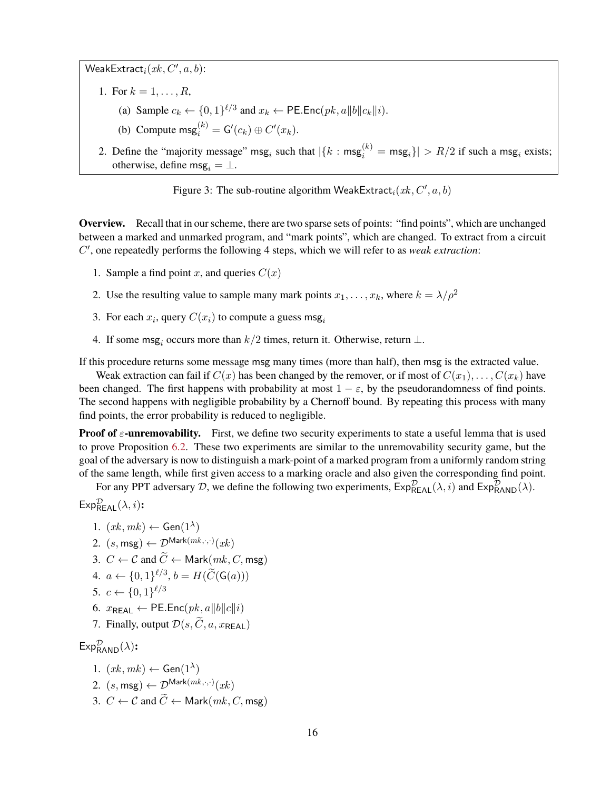$\mathsf{WeakExtract}_{i}(\mathit{x}k, C', a, b)$ :

- 1. For  $k = 1, ..., R$ ,
	- (a) Sample  $c_k \leftarrow \{0,1\}^{\ell/3}$  and  $x_k \leftarrow \textsf{PE}.\textsf{Enc}(pk, a||b||c_k||i).$
	- (b) Compute  $\mathsf{msg}_i^{(k)} = \mathsf{G}'(c_k) \oplus C'(x_k)$ .
- 2. Define the "majority message" msg<sub>i</sub> such that  $|\{k : \text{msg}_i^{(k)} = \text{msg}_i\}| > R/2$  if such a msg<sub>i</sub> exists; otherwise, define msg<sub>i</sub> =  $\perp$ .

<span id="page-17-0"></span>Figure 3: The sub-routine algorithm WeakExtract<sub>i</sub> $(xk, C', a, b)$ 

**Overview.** Recall that in our scheme, there are two sparse sets of points: "find points", which are unchanged between a marked and unmarked program, and "mark points", which are changed. To extract from a circuit C 0 , one repeatedly performs the following 4 steps, which we will refer to as *weak extraction*:

- 1. Sample a find point x, and queries  $C(x)$
- 2. Use the resulting value to sample many mark points  $x_1, \ldots, x_k$ , where  $k = \lambda/\rho^2$
- 3. For each  $x_i$ , query  $C(x_i)$  to compute a guess msg<sub>i</sub>
- 4. If some msg<sub>i</sub> occurs more than  $k/2$  times, return it. Otherwise, return  $\perp$ .

If this procedure returns some message msg many times (more than half), then msg is the extracted value.

Weak extraction can fail if  $C(x)$  has been changed by the remover, or if most of  $C(x_1), \ldots, C(x_k)$  have been changed. The first happens with probability at most  $1 - \varepsilon$ , by the pseudorandomness of find points. The second happens with negligible probability by a Chernoff bound. By repeating this process with many find points, the error probability is reduced to negligible.

**Proof of**  $\varepsilon$ **-unremovability.** First, we define two security experiments to state a useful lemma that is used to prove Proposition [6.2.](#page-16-3) These two experiments are similar to the unremovability security game, but the goal of the adversary is now to distinguish a mark-point of a marked program from a uniformly random string of the same length, while first given access to a marking oracle and also given the corresponding find point.

For any PPT adversary D, we define the following two experiments,  $Exp_{REAL}^{\mathcal{D}}(\lambda, i)$  and  $Exp_{RAND}^{\mathcal{D}}(\lambda)$ .

 $Exp_{\mathsf{REAL}}^{\mathcal{D}}(\lambda, i)$ :

- 1.  $(xk, mk) \leftarrow$  Gen $(1^{\lambda})$
- 2.  $(s, \text{msg}) \leftarrow \mathcal{D}^{\text{Mark}(mk, \cdot, \cdot)}(x_k)$
- 3.  $C \leftarrow C$  and  $\widetilde{C} \leftarrow \text{Mark}(mk, C, \text{msg})$

4. 
$$
a \leftarrow \{0, 1\}^{\ell/3}, b = H(\widetilde{C}(\mathsf{G}(a)))
$$

$$
5. \ c \leftarrow \{0,1\}^{\ell/3}
$$

- 6.  $x_{\text{REAL}} \leftarrow \text{PE.Enc}(pk, a||b||c||i)$
- 7. Finally, output  $\mathcal{D}(s, \widetilde{C}, a, x_{\text{REAL}})$

 $\mathsf{Exp}_{\mathsf{RAND}}^{\mathcal{D}}(\lambda)$ :

- 1.  $(xk, mk) \leftarrow$  Gen $(1^{\lambda})$
- 2.  $(s, \text{msg}) \leftarrow \mathcal{D}^{\text{Mark}(mk, \cdot, \cdot)}(x_k)$
- 3.  $C \leftarrow \mathcal{C}$  and  $\widetilde{C} \leftarrow$  Mark $(mk, C, \text{msg})$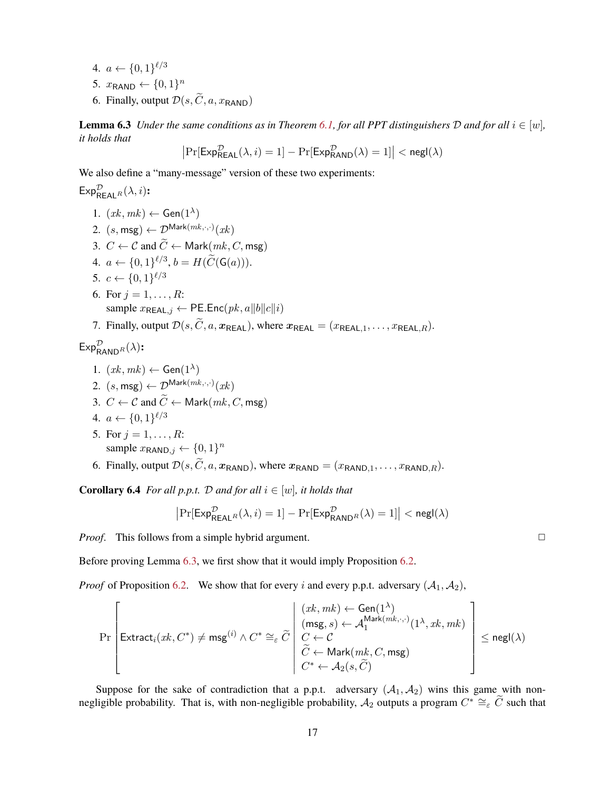- 4.  $a \leftarrow \{0,1\}^{\ell/3}$
- 5.  $x_{\text{RAND}} \leftarrow \{0, 1\}^n$
- 6. Finally, output  $\mathcal{D}(s, \tilde{C}, a, x_{\text{RAND}})$

<span id="page-18-0"></span>**Lemma 6.3** *Under the same conditions as in Theorem [6.1,](#page-15-2) for all PPT distinguishers*  $D$  *and for all*  $i \in [w]$ *, it holds that*

$$
\left|\Pr[\mathsf{Exp}_{\mathsf{REAL}}^{\mathcal{D}}(\lambda, i) = 1] - \Pr[\mathsf{Exp}_{\mathsf{RAND}}^{\mathcal{D}}(\lambda) = 1]\right| < \mathsf{negl}(\lambda)
$$

We also define a "many-message" version of these two experiments:

 $\mathsf{Exp}^{\mathcal{D}}_{\mathsf{REAL}^R}(\lambda,i)$ **:** 1.  $(xk, mk) \leftarrow$  Gen $(1^{\lambda})$ 2.  $(s, \text{msg}) \leftarrow \mathcal{D}^{\text{Mark}(mk, \cdot, \cdot)}(x_k)$ 3.  $C \leftarrow C$  and  $\widetilde{C} \leftarrow \text{Mark}(mk, C, \text{msg})$ 4.  $a \leftarrow \{0,1\}^{\ell/3}, b = H(\widetilde{C}(\mathsf{G}(a))).$ 5.  $c \leftarrow \{0,1\}^{\ell/3}$ 6. For  $j = 1, ..., R$ : sample  $x_{\text{REAL},i} \leftarrow \text{PE}.\text{Enc}(pk, a||b||c||i)$ 

7. Finally, output  $\mathcal{D}(s, \widetilde{C}, a, \mathbf{x}_{\mathsf{REAL}})$ , where  $\mathbf{x}_{\mathsf{REAL}} = (x_{\mathsf{REAL},1}, \dots, x_{\mathsf{REAL},R})$ .

 $\mathsf{Exp}_{\mathsf{RAND}^R}^{\mathcal{D}}(\lambda)$ :

- 1.  $(xk, mk) \leftarrow$  Gen $(1^{\lambda})$ 2.  $(s, \text{msg}) \leftarrow \mathcal{D}^{\text{Mark}(mk, \cdot, \cdot)}(x_k)$ 3.  $C \leftarrow C$  and  $\widetilde{C} \leftarrow \text{Mark}(mk, C, \text{msg})$ 4.  $a \leftarrow \{0,1\}^{\ell/3}$ 5. For  $j = 1, ..., R$ : sample  $x_{\mathsf{RAND},j} \leftarrow \{0,1\}^n$
- 6. Finally, output  $\mathcal{D}(s, \widetilde{C}, a, x_{\text{RAND}})$ , where  $x_{\text{RAND}} = (x_{\text{RAND},1}, \dots, x_{\text{RAND},R})$ .

<span id="page-18-1"></span>**Corollary 6.4** *For all p.p.t.*  $D$  *and for all*  $i \in [w]$ *, it holds that* 

$$
\left|\Pr[\mathsf{Exp}_{\mathsf{REAL}^R}^{\mathcal{D}}(\lambda, i) = 1] - \Pr[\mathsf{Exp}_{\mathsf{RAND}^R}^{\mathcal{D}}(\lambda) = 1]\right| < \mathsf{negl}(\lambda)
$$

*Proof.* This follows from a simple hybrid argument. □

Before proving Lemma [6.3,](#page-18-0) we first show that it would imply Proposition [6.2.](#page-16-3)

*Proof* of Proposition [6.2.](#page-16-3) We show that for every i and every p.p.t. adversary  $(A_1, A_2)$ ,

$$
\Pr\left[\text{Extract}_{i}(xk,C^{*})\neq \text{msg}^{(i)} \land C^{*}\cong_{\varepsilon} \widetilde{C} \left| \begin{array}{l} (xk,mk) \leftarrow \text{Gen}(1^{\lambda}) \\ (\text{msg},s) \leftarrow \mathcal{A}_{1}^{\text{Mark}(mk,\cdot,\cdot)}(1^{\lambda},xk,mk) \\ C \leftarrow C \\ \widetilde{C} \leftarrow \text{Mark}(mk,C,\text{msg}) \\ C^{*} \leftarrow \mathcal{A}_{2}(s,\widetilde{C}) \end{array} \right] \right| \leq \text{negl}(\lambda)
$$

Suppose for the sake of contradiction that a p.p.t. adversary  $(A_1, A_2)$  wins this game with nonnegligible probability. That is, with non-negligible probability,  $A_2$  outputs a program  $C^* \cong_{\varepsilon} \widetilde{C}$  such that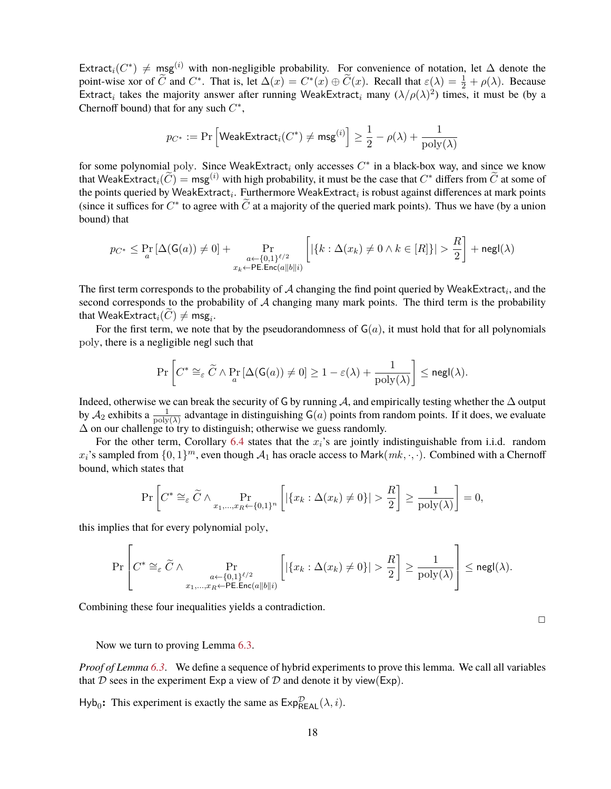Extract<sub>i</sub>( $C^*$ )  $\neq$  msg<sup>(i)</sup> with non-negligible probability. For convenience of notation, let  $\Delta$  denote the point-wise xor of  $\tilde{C}$  and  $C^*$ . That is, let  $\Delta(x) = C^*(x) \oplus \tilde{C}(x)$ . Recall that  $\varepsilon(\lambda) = \frac{1}{2} + \rho(\lambda)$ . Because Extract<sub>i</sub> takes the majority answer after running WeakExtract<sub>i</sub> many  $(\lambda/\rho(\lambda)^2)$  times, it must be (by a Chernoff bound) that for any such  $C^*$ ,

$$
p_{C^*} := \Pr\left[\mathsf{WeakExtract}_i(C^*) \ne \mathsf{msg}^{(i)}\right] \ge \frac{1}{2} - \rho(\lambda) + \frac{1}{\mathrm{poly}(\lambda)}
$$

for some polynomial poly. Since WeakExtract<sub>i</sub> only accesses  $C^*$  in a black-box way, and since we know that WeakExtract<sub>i</sub> $(\widetilde{C}) = \text{msg}^{(i)}$  with high probability, it must be the case that  $C^*$  differs from  $\widetilde{C}$  at some of the points queried by WeakExtract<sub>i</sub>. Furthermore WeakExtract<sub>i</sub> is robust against differences at mark points (since it suffices for  $C^*$  to agree with  $\tilde{C}$  at a majority of the queried mark points). Thus we have (by a union bound) that

$$
p_{C^*} \leq \Pr_a\left[\Delta(\mathsf{G}(a)) \neq 0\right] + \Pr_{\substack{a \leftarrow \{0,1\}^{\ell/2} \\ x_k \leftarrow \mathsf{PE}.\mathsf{Enc}(a||b||i)}}\left[|\{k:\Delta(x_k) \neq 0 \wedge k \in [R]\}| > \frac{R}{2}\right] + \mathsf{negl}(\lambda)
$$

The first term corresponds to the probability of  $A$  changing the find point queried by WeakExtract<sub>i</sub>, and the second corresponds to the probability of  $A$  changing many mark points. The third term is the probability that WeakExtract $_i(\widetilde{C}) \neq \mathsf{msg}_i$ .

For the first term, we note that by the pseudorandomness of  $G(a)$ , it must hold that for all polynomials poly, there is a negligible negl such that

$$
\Pr\left[C^*\cong_{\varepsilon}\widetilde{C}\wedge\Pr_a\left[\Delta(\mathsf{G}(a))\neq 0\right]\ge 1-\varepsilon(\lambda)+\frac{1}{\mathrm{poly}(\lambda)}\right]\le {\mathrm{\textsf{negl}}}(\lambda).
$$

Indeed, otherwise we can break the security of G by running A, and empirically testing whether the  $\Delta$  output by  $A_2$  exhibits a  $\frac{1}{poly(\lambda)}$  advantage in distinguishing G(*a*) points from random points. If it does, we evaluate  $\Delta$  on our challenge to try to distinguish; otherwise we guess randomly.

For the other term, Corollary [6.4](#page-18-1) states that the  $x_i$ 's are jointly indistinguishable from i.i.d. random  $x_i$ 's sampled from  $\{0,1\}^m$ , even though  $\mathcal{A}_1$  has oracle access to Mark $(mk, \cdot, \cdot)$ . Combined with a Chernoff bound, which states that

$$
\Pr\left[C^* \cong_{\varepsilon} \widetilde{C} \wedge \Pr_{x_1,\dots,x_R \leftarrow \{0,1\}^n} \left[ |\{x_k : \Delta(x_k) \neq 0\}| > \frac{R}{2} \right] \ge \frac{1}{\text{poly}(\lambda)} \right] = 0,
$$

this implies that for every polynomial poly,

$$
\Pr\left[C^*\cong_{\varepsilon}\widetilde{C}\wedge \Pr_{\substack{a\leftarrow\{0,1\}^{\ell/2}\\ x_1,\ldots,x_R\leftarrow\text{PE}.\text{Enc}(a||b||i)}}\left[|\{x_k:\Delta(x_k)\neq 0\}|>\frac{R}{2}\right]\geq \frac{1}{\text{poly}(\lambda)}\right]\leq \text{negl}(\lambda).
$$

Combining these four inequalities yields a contradiction.

Now we turn to proving Lemma [6.3.](#page-18-0)

*Proof of Lemma [6.3](#page-18-0)*. We define a sequence of hybrid experiments to prove this lemma. We call all variables that D sees in the experiment Exp a view of D and denote it by view(Exp).

Hyb<sub>0</sub>: This experiment is exactly the same as  $Exp_{\text{REAL}}^{\mathcal{D}}(\lambda, i)$ .

 $\Box$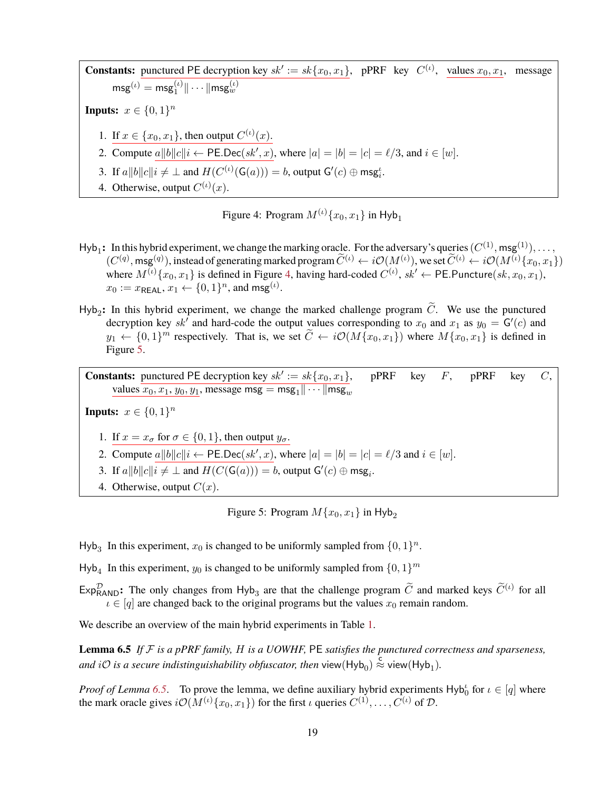**Constants:** punctured PE decryption key  $sk' := sk\{x_0, x_1\}$ , pPRF key  $C^{(\iota)}$ , values  $x_0, x_1$ , message  $\mathsf{msg}^{(\iota)}=\mathsf{msg}_1^{(\iota)}$  $\binom{\left(\iota\right)}{1} \| \cdots \| \mathsf{msg}_w^{(\iota)}$ **Inputs:**  $x \in \{0, 1\}^n$ 1. If  $x \in \{x_0, x_1\}$ , then output  $C^{(\iota)}(x)$ . 2. Compute  $a||b||c||i \leftarrow \text{PE.Dec}(sk', x)$ , where  $|a| = |b| = |c| = \ell/3$ , and  $i \in [w]$ . 3. If  $a||b||c||i \neq \perp$  and  $H(C^{(\iota)}(G(a))) = b$ , output  $G'(c) \oplus \text{msg}_i^{\iota}$ . 4. Otherwise, output  $C^{(\iota)}(x)$ .

<span id="page-20-0"></span>

- Hyb<sub>1</sub>: In this hybrid experiment, we change the marking oracle. For the adversary's queries  $(C^{(1)}, \text{msg}^{(1)}), \ldots$ ,  $(C^{(q)}, \text{msg}^{(q)})$ , instead of generating marked program  $\widetilde{C}^{(\iota)} \leftarrow i\mathcal{O}(M^{(\iota)}),$  we set  $\widetilde{C}^{(\iota)} \leftarrow i\mathcal{O}(M^{(\iota)}\{x_0, x_1\})$ where  $M^{(\iota)}\{x_0, x_1\}$  is defined in Figure [4,](#page-20-0) having hard-coded  $C^{(\iota)}$ ,  $sk' \leftarrow$  PE.Puncture $(sk, x_0, x_1)$ ,  $x_0 := x_{\mathsf{REAL}}, x_1 \leftarrow \{0, 1\}^n$ , and  $\mathsf{msg}^{(\iota)}$ .
- Hyb<sub>2</sub>: In this hybrid experiment, we change the marked challenge program  $\tilde{C}$ . We use the punctured decryption key sk<sup>t</sup> and hard-code the output values corresponding to  $x_0$  and  $x_1$  as  $y_0 = G'(c)$  and  $y_1 \leftarrow \{0,1\}^m$  respectively. That is, we set  $\widetilde{C} \leftarrow i\mathcal{O}(M\{x_0, x_1\})$  where  $M\{x_0, x_1\}$  is defined in Figure [5.](#page-20-1)

**Constants:** punctured PE decryption key  $sk' := sk\{x_0, x_1\}$ , pPRF key F, pPRF key C, values  $x_0, x_1, y_0, y_1$ , message msg = msg<sub>1</sub> $\|\cdots\|$ msg<sub>w</sub>

**Inputs:**  $x \in \{0, 1\}^n$ 

- 1. If  $x = x_{\sigma}$  for  $\sigma \in \{0, 1\}$ , then output  $y_{\sigma}$ .
- 2. Compute  $a||b||c||i \leftarrow \text{PE.Dec}(sk', x)$ , where  $|a| = |b| = |c| = \ell/3$  and  $i \in [w]$ .
- 3. If  $a||b||c||i \neq \perp$  and  $H(C(G(a))) = b$ , output  $G'(c) \oplus \text{msg}_i$ .
- 4. Otherwise, output  $C(x)$ .

<span id="page-20-1"></span>Figure 5: Program  $M\{x_0, x_1\}$  in Hyb<sub>2</sub>

Hyb<sub>3</sub> In this experiment,  $x_0$  is changed to be uniformly sampled from  $\{0, 1\}^n$ .

Hyb<sub>4</sub> In this experiment,  $y_0$  is changed to be uniformly sampled from  $\{0, 1\}^m$ 

 $Exp_{\text{RAND}}^{\mathcal{D}}$ : The only changes from Hyb<sub>3</sub> are that the challenge program  $\tilde{C}$  and marked keys  $\tilde{C}^{(\iota)}$  for all  $i \in [q]$  are changed back to the original programs but the values  $x_0$  remain random.

<span id="page-20-2"></span>We describe an overview of the main hybrid experiments in Table [1.](#page-21-0)

**Lemma 6.5** *If* F *is a pPRF family,* H *is a UOWHF,* PE *satisfies the punctured correctness and sparseness,* and iO is a secure indistinguishability obfuscator, then view( $\mathsf{Hyb}_0$ )  $\stackrel{\mathsf{c}}{\approx}$  view( $\mathsf{Hyb}_1$ ).

*Proof of Lemma* [6.5](#page-20-2). To prove the lemma, we define auxiliary hybrid experiments  $Hyb_0^t$  for  $\iota \in [q]$  where the mark oracle gives  $i\mathcal{O}(M^{(\iota)}\{x_0, x_1\})$  for the first  $\iota$  queries  $C^{(1)}, \ldots, C^{(\iota)}$  of  $\mathcal{D}$ .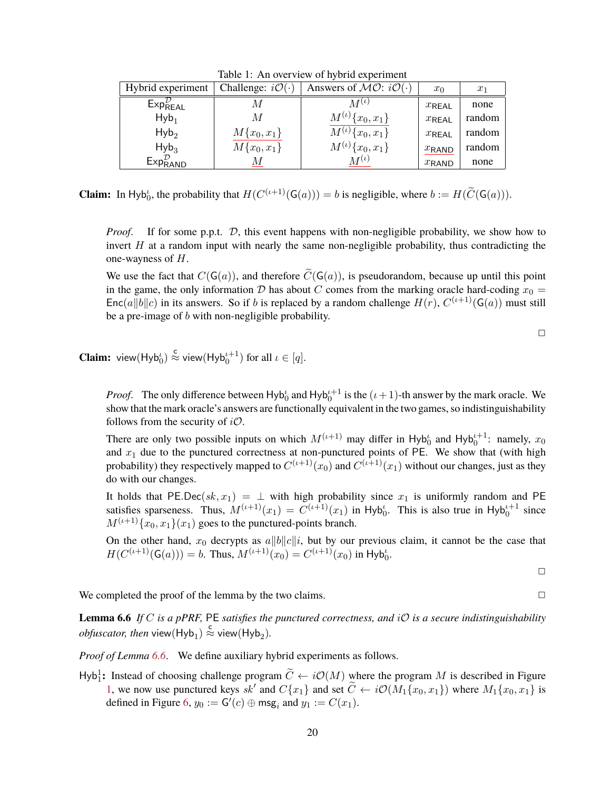| Hybrid experiment          | Challenge: $i\mathcal{O}(\cdot)$ | Answers of $\mathcal{MO}$ : $i\mathcal{O}(\cdot)$ | $x_0$             | $x_1$  |
|----------------------------|----------------------------------|---------------------------------------------------|-------------------|--------|
| $Exp_{REAL}^{\nu}$         | М                                | $M^{(\iota)}$                                     | $x_{\sf REAL}$    | none   |
| Hyb <sub>1</sub>           | М                                | $M^{(\iota)}\{x_0,x_1\}$                          | $x_{\text{REAL}}$ | random |
| Hyb <sub>2</sub>           | $M\{x_0, x_1\}$                  | $\overline{M^{(\iota)}\{x_0,x_1\}}$               | $x_{\text{REAL}}$ | random |
| Hyb <sub>3</sub>           | $M\{x_0, x_1\}$                  | $M^{(\iota)}\{x_0,x_1\}$                          | $x$ RAND          | random |
| $Exp_{RAND}^{\mathcal{D}}$ |                                  | $M^{(\iota)}$                                     | $x_{\text{RAND}}$ | none   |

<span id="page-21-0"></span>Table 1: An overview of hybrid experiment

**Claim:** In Hyb<sub>0</sub><sup>t</sup>, the probability that  $H(C^{(\iota+1)}(\mathsf{G}(a))) = b$  is negligible, where  $b := H(\widetilde{C}(\mathsf{G}(a)))$ .

*Proof.* If for some p.p.t. D, this event happens with non-negligible probability, we show how to invert  $H$  at a random input with nearly the same non-negligible probability, thus contradicting the one-wayness of H.

We use the fact that  $C(G(a))$ , and therefore  $\widetilde{C}(G(a))$ , is pseudorandom, because up until this point in the game, the only information D has about C comes from the marking oracle hard-coding  $x_0 =$ Enc(a||b||c) in its answers. So if b is replaced by a random challenge  $H(r)$ ,  $C^{(\iota+1)}(\mathsf{G}(a))$  must still be a pre-image of b with non-negligible probability.

 $\Box$ 

**Claim:** view(Hyb<sup> $\ell$ </sup>)  $\stackrel{\mathsf{c}}{\approx}$  view(Hyb $\stackrel{\ell}{0}^{t+1}$ ) for all  $\iota \in [q]$ .

*Proof.* The only difference between  $Hyb_0^t$  and  $Hyb_0^{t+1}$  is the  $(t+1)$ -th answer by the mark oracle. We show that the mark oracle's answers are functionally equivalent in the two games, so indistinguishability follows from the security of  $i\mathcal{O}$ .

There are only two possible inputs on which  $M^{(\iota+1)}$  may differ in Hyb $_0^{\iota}$  and Hyb $_0^{\iota+1}$ : namely,  $x_0$ and  $x_1$  due to the punctured correctness at non-punctured points of PE. We show that (with high probability) they respectively mapped to  $C^{(\iota+1)}(x_0)$  and  $C^{(\iota+1)}(x_1)$  without our changes, just as they do with our changes.

It holds that PE.Dec(sk,  $x_1$ ) =  $\perp$  with high probability since  $x_1$  is uniformly random and PE satisfies sparseness. Thus,  $M^{(\iota+1)}(x_1) = C^{(\iota+1)}(x_1)$  in Hyb<sub>0</sub>. This is also true in Hyb<sub>0</sub><sup> $\iota+1$ </sup> since  $M^{(\iota+1)}\{x_0, x_1\}(x_1)$  goes to the punctured-points branch.

On the other hand,  $x_0$  decrypts as  $a||b||c||i$ , but by our previous claim, it cannot be the case that  $H(C^{(\iota+1)}(\mathsf{G}(a))) = b$ . Thus,  $M^{(\iota+1)}(x_0) = C^{(\iota+1)}(x_0)$  in Hyb<sub>0</sub>.

 $\Box$ 

We completed the proof of the lemma by the two claims.  $\Box$ 

<span id="page-21-1"></span>**Lemma 6.6** *If* C is a pPRF, PE satisfies the punctured correctness, and  $iO$  is a secure indistinguishability *obfuscator, then* view( $Hyb<sub>1</sub>$ )  $\stackrel{c}{\approx}$  view( $Hyb<sub>2</sub>$ ).

*Proof of Lemma [6.6](#page-21-1)*. We define auxiliary hybrid experiments as follows.

Hyb<sub>1</sub>: Instead of choosing challenge program  $\widetilde{C} \leftarrow i\mathcal{O}(M)$  where the program M is described in Figure [1,](#page-16-1) we now use punctured keys sk<sup>t</sup> and  $C\{x_1\}$  and set  $\widetilde{C} \leftarrow i\mathcal{O}(M_1\{x_0, x_1\})$  where  $M_1\{x_0, x_1\}$  is defined in Figure [6,](#page-22-0)  $y_0 := G'(c) \oplus \text{msg}_i$  and  $y_1 := C(x_1)$ .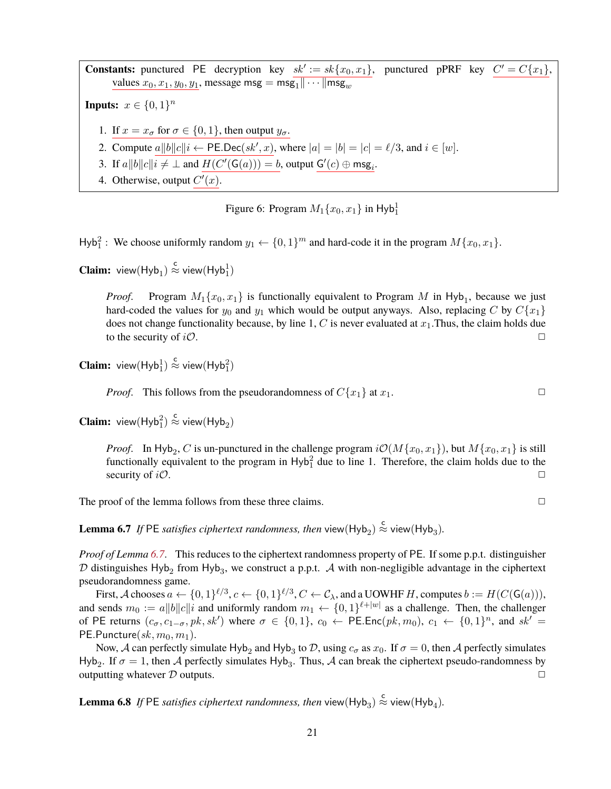**Constants:** punctured PE decryption key  $sk' := sk\{x_0, x_1\}$ , punctured pPRF key  $C' = C\{x_1\}$ , values  $x_0, x_1, y_0, y_1$ , message msg = msg<sub>1</sub> $\|\cdots\|$ msg<sub>w</sub> **Inputs:**  $x \in \{0, 1\}^n$ 1. If  $x = x_{\sigma}$  for  $\sigma \in \{0, 1\}$ , then output  $y_{\sigma}$ . 2. Compute  $a||b||c||i \leftarrow \text{PE.Dec}(sk', x)$ , where  $|a| = |b| = |c| = \ell/3$ , and  $i \in [w]$ . 3. If  $a||b||c||i \neq \perp$  and  $H(C'(G(a))) = b$ , output  $G'(c) \oplus \text{msg}_i$ . 4. Otherwise, output  $C'(x)$ .

<span id="page-22-0"></span>Figure 6: Program  $M_1\{x_0, x_1\}$  in Hyb $_1^1$ 

Hyb<sub>1</sub><sup>2</sup>: We choose uniformly random  $y_1 \leftarrow \{0, 1\}^m$  and hard-code it in the program  $M\{x_0, x_1\}$ .

**Claim:** view( $Hyb_1$ )  $\stackrel{c}{\approx}$  view( $Hyb_1^1$ )

*Proof.* Program  $M_1\{x_0, x_1\}$  is functionally equivalent to Program M in Hyb<sub>1</sub>, because we just hard-coded the values for  $y_0$  and  $y_1$  which would be output anyways. Also, replacing C by  $C\{x_1\}$ does not change functionality because, by line 1,  $C$  is never evaluated at  $x_1$ . Thus, the claim holds due to the security of  $iO$ .

**Claim:** view( $Hyb_1^1$ )  $\stackrel{c}{\approx}$  view( $Hyb_1^2$ )

*Proof.* This follows from the pseudorandomness of  $C\{x_1\}$  at  $x_1$ .

**Claim:** view( $Hyb<sub>1</sub><sup>2</sup>$ )  $\stackrel{c}{\approx}$  view( $Hyb<sub>2</sub>$ )

*Proof.* In Hyb<sub>2</sub>, C is un-punctured in the challenge program  $i\mathcal{O}(M\{x_0, x_1\})$ , but  $M\{x_0, x_1\}$  is still functionally equivalent to the program in  $Hyb<sub>1</sub><sup>2</sup>$  due to line 1. Therefore, the claim holds due to the security of iO.  $\Box$ 

The proof of the lemma follows from these three claims.  $\Box$ 

<span id="page-22-1"></span>**Lemma 6.7** If PE satisfies ciphertext randomness, then view(Hyb<sub>2</sub>)  $\stackrel{c}{\approx}$  view(Hyb<sub>3</sub>).

*Proof of Lemma [6.7](#page-22-1)*. This reduces to the ciphertext randomness property of PE. If some p.p.t. distinguisher D distinguishes Hyb<sub>2</sub> from Hyb<sub>3</sub>, we construct a p.p.t. A with non-negligible advantage in the ciphertext pseudorandomness game.

First,  $\mathcal A$  chooses  $a\leftarrow\{0,1\}^{\ell/3},c\leftarrow\{0,1\}^{\ell/3},C\leftarrow\mathcal C_{\lambda},$  and a UOWHF  $H,$  computes  $b:=H(C(\mathsf G(a))),$ and sends  $m_0 := a||b||c||i$  and uniformly random  $m_1 \leftarrow \{0,1\}^{\ell+|w|}$  as a challenge. Then, the challenger of PE returns  $(c_{\sigma}, c_{1-\sigma}, pk, sk')$  where  $\sigma \in \{0, 1\}$ ,  $c_0 \leftarrow$  PE.Enc $(pk, m_0)$ ,  $c_1 \leftarrow \{0, 1\}^n$ , and  $sk' =$ PE.Puncture( $sk, m_0, m_1$ ).

Now, A can perfectly simulate Hyb<sub>2</sub> and Hyb<sub>3</sub> to D, using  $c_{\sigma}$  as  $x_0$ . If  $\sigma = 0$ , then A perfectly simulates Hyb<sub>2</sub>. If  $\sigma = 1$ , then A perfectly simulates Hyb<sub>3</sub>. Thus, A can break the ciphertext pseudo-randomness by outputting whatever  $D$  outputs.  $\square$ 

<span id="page-22-2"></span>**Lemma 6.8** If PE satisfies ciphertext randomness, then view(Hyb<sub>3</sub>)  $\stackrel{\mathsf{c}}{\approx}$  view(Hyb<sub>4</sub>).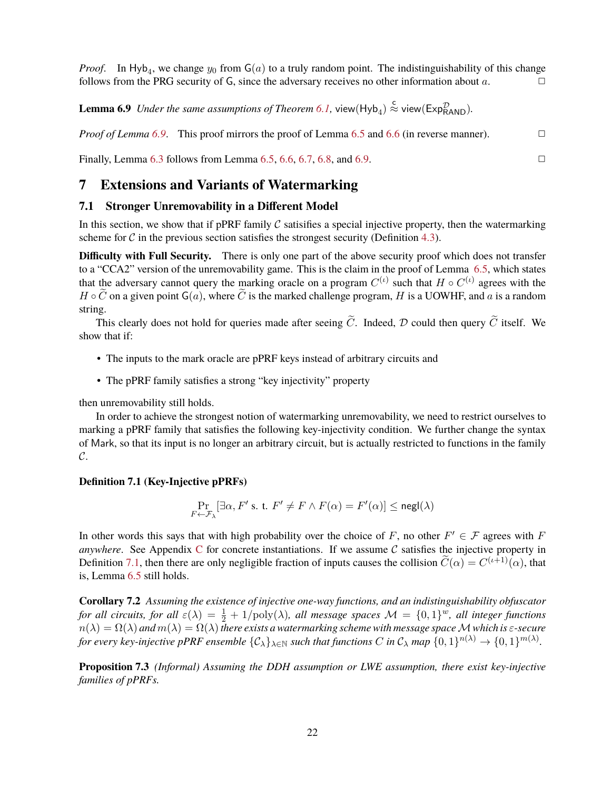*Proof.* In Hyb<sub>4</sub>, we change  $y_0$  from  $G(a)$  to a truly random point. The indistinguishability of this change follows from the PRG security of G, since the adversary receives no other information about  $a$ .  $\Box$ 

<span id="page-23-4"></span>**Lemma 6.9** *Under the same assumptions of Theorem 6.1*, view( $Hyb<sub>4</sub>$ )  $\stackrel{c}{\approx}$  view( $Exp<sup>D</sup><sub>RAND</sub>$ ).

*Proof of Lemma [6.9](#page-23-4).* This proof mirrors the proof of Lemma [6.5](#page-20-2) and [6.6](#page-21-1) (in reverse manner). □

Finally, Lemma [6.3](#page-18-0) follows from Lemma [6.5,](#page-20-2) [6.6,](#page-21-1) [6.7,](#page-22-1) [6.8,](#page-22-2) and [6.9.](#page-23-4)  $\Box$ 

### <span id="page-23-0"></span>**7 Extensions and Variants of Watermarking**

#### <span id="page-23-1"></span>**7.1 Stronger Unremovability in a Different Model**

In this section, we show that if pPRF family  $C$  satisifies a special injective property, then the watermarking scheme for C in the previous section satisfies the strongest security (Definition [4.3\)](#page-13-2).

**Difficulty with Full Security.** There is only one part of the above security proof which does not transfer to a "CCA2" version of the unremovability game. This is the claim in the proof of Lemma [6.5,](#page-20-2) which states that the adversary cannot query the marking oracle on a program  $C^{(\iota)}$  such that  $H \circ C^{(\iota)}$  agrees with the  $H \circ C$  on a given point  $G(a)$ , where C is the marked challenge program, H is a UOWHF, and a is a random string.

This clearly does not hold for queries made after seeing  $\tilde{C}$ . Indeed,  $\mathcal D$  could then query  $\tilde{C}$  itself. We show that if:

- The inputs to the mark oracle are pPRF keys instead of arbitrary circuits and
- The pPRF family satisfies a strong "key injectivity" property

then unremovability still holds.

In order to achieve the strongest notion of watermarking unremovability, we need to restrict ourselves to marking a pPRF family that satisfies the following key-injectivity condition. We further change the syntax of Mark, so that its input is no longer an arbitrary circuit, but is actually restricted to functions in the family  $\mathcal{C}$ .

### <span id="page-23-3"></span>**Definition 7.1 (Key-Injective pPRFs)**

$$
\Pr_{F \leftarrow \mathcal{F}_{\lambda}}[\exists \alpha, F' \text{ s. t. } F' \neq F \land F(\alpha) = F'(\alpha)] \leq \mathsf{negl}(\lambda)
$$

In other words this says that with high probability over the choice of F, no other  $F' \in \mathcal{F}$  agrees with F *anywhere*. See Appendix [C](#page-47-0) for concrete instantiations. If we assume C satisfies the injective property in Definition [7.1,](#page-23-3) then there are only negligible fraction of inputs causes the collision  $\widetilde{C}(\alpha) = C^{(\iota+1)}(\alpha)$ , that is, Lemma [6.5](#page-20-2) still holds.

**Corollary 7.2** *Assuming the existence of injective one-way functions, and an indistinguishability obfuscator for all circuits, for all*  $\varepsilon(\lambda) = \frac{1}{2} + 1/\text{poly}(\lambda)$ *, all message spaces*  $\mathcal{M} = \{0,1\}^w$ *, all integer functions*  $n(\lambda) = \Omega(\lambda)$  and  $m(\lambda) = \Omega(\lambda)$  there exists a watermarking scheme with message space M which is  $\varepsilon$ -secure *for every key-injective pPRF ensemble*  $\{\mathcal{C}_\lambda\}_{\lambda\in\mathbb{N}}$  *such that functions*  $C$  *in*  $\mathcal{C}_\lambda$  *map*  $\{0,1\}^{n(\lambda)}\to\{0,1\}^{m(\lambda)}.$ 

<span id="page-23-2"></span>**Proposition 7.3** *(Informal) Assuming the DDH assumption or LWE assumption, there exist key-injective families of pPRFs.*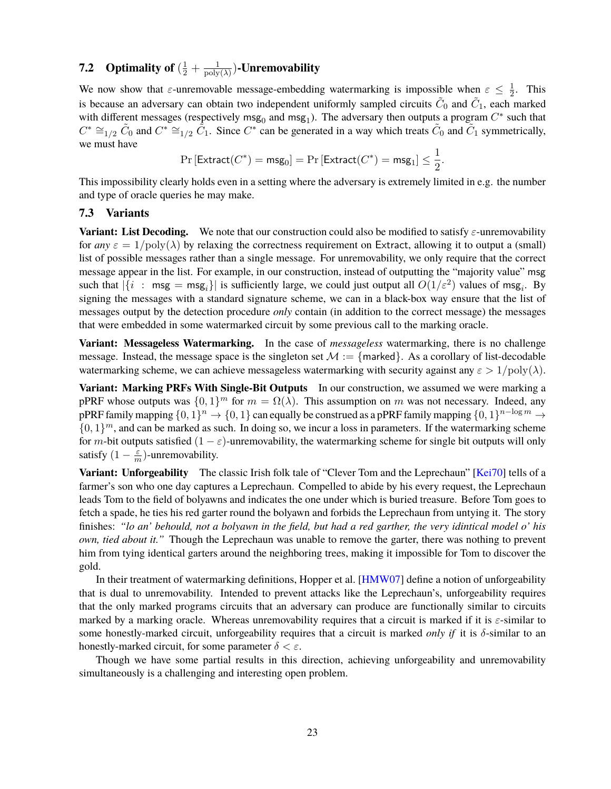#### **7.2 Optimality of**  $\left(\frac{1}{2} + \frac{1}{\text{poly}}\right)$  $\frac{1}{\text{poly}(\lambda)}$ )**-Unremovability**

We now show that  $\varepsilon$ -unremovable message-embedding watermarking is impossible when  $\varepsilon \leq \frac{1}{2}$  $\frac{1}{2}$ . This is because an adversary can obtain two independent uniformly sampled circuits  $\tilde{C}_0$  and  $\tilde{C}_1$ , each marked with different messages (respectively  $msg_0$  and msg<sub>1</sub>). The adversary then outputs a program  $C^*$  such that  $C^* \cong_{1/2} \tilde{C}_0$  and  $C^* \cong_{1/2} \tilde{C}_1$ . Since  $C^*$  can be generated in a way which treats  $\tilde{C}_0$  and  $\tilde{C}_1$  symmetrically, we must have

$$
\Pr\left[\mathsf{Extract}(C^*)=\mathsf{msg}_0\right]=\Pr\left[\mathsf{Extract}(C^*)=\mathsf{msg}_1\right]\leq\frac{1}{2}
$$

.

This impossibility clearly holds even in a setting where the adversary is extremely limited in e.g. the number and type of oracle queries he may make.

### <span id="page-24-0"></span>**7.3 Variants**

**Variant: List Decoding.** We note that our construction could also be modified to satisfy *ε*-unremovability for *any*  $\varepsilon = 1/\text{poly}(\lambda)$  by relaxing the correctness requirement on Extract, allowing it to output a (small) list of possible messages rather than a single message. For unremovability, we only require that the correct message appear in the list. For example, in our construction, instead of outputting the "majority value" msg such that  $|\{i : \text{msg} = \text{msg}_i\}|$  is sufficiently large, we could just output all  $O(1/\varepsilon^2)$  values of msg<sub>i</sub>. By signing the messages with a standard signature scheme, we can in a black-box way ensure that the list of messages output by the detection procedure *only* contain (in addition to the correct message) the messages that were embedded in some watermarked circuit by some previous call to the marking oracle.

**Variant: Messageless Watermarking.** In the case of *messageless* watermarking, there is no challenge message. Instead, the message space is the singleton set  $\mathcal{M} := \{$  marked $\}$ . As a corollary of list-decodable watermarking scheme, we can achieve messageless watermarking with security against any  $\varepsilon > 1/\text{poly}(\lambda)$ .

**Variant: Marking PRFs With Single-Bit Outputs** In our construction, we assumed we were marking a pPRF whose outputs was  $\{0,1\}^m$  for  $m = \Omega(\lambda)$ . This assumption on m was not necessary. Indeed, any pPRF family mapping  $\{0,1\}^n \to \{0,1\}$  can equally be construed as a pPRF family mapping  $\{0,1\}^{n-\log m} \to$  $\{0,1\}^m$ , and can be marked as such. In doing so, we incur a loss in parameters. If the watermarking scheme for m-bit outputs satisfied  $(1 - \varepsilon)$ -unremovability, the watermarking scheme for single bit outputs will only satisfy  $(1 - \frac{\varepsilon}{n})$  $\frac{\varepsilon}{m}$ )-unremovability.

**Variant: Unforgeability** The classic Irish folk tale of "Clever Tom and the Leprechaun" [\[Kei70\]](#page-33-9) tells of a farmer's son who one day captures a Leprechaun. Compelled to abide by his every request, the Leprechaun leads Tom to the field of bolyawns and indicates the one under which is buried treasure. Before Tom goes to fetch a spade, he ties his red garter round the bolyawn and forbids the Leprechaun from untying it. The story finishes: *"lo an' behould, not a bolyawn in the field, but had a red garther, the very idintical model o' his own, tied about it."* Though the Leprechaun was unable to remove the garter, there was nothing to prevent him from tying identical garters around the neighboring trees, making it impossible for Tom to discover the gold.

In their treatment of watermarking definitions, Hopper et al. [\[HMW07\]](#page-33-1) define a notion of unforgeability that is dual to unremovability. Intended to prevent attacks like the Leprechaun's, unforgeability requires that the only marked programs circuits that an adversary can produce are functionally similar to circuits marked by a marking oracle. Whereas unremovability requires that a circuit is marked if it is  $\varepsilon$ -similar to some honestly-marked circuit, unforgeability requires that a circuit is marked *only if* it is δ-similar to an honestly-marked circuit, for some parameter  $\delta < \varepsilon$ .

Though we have some partial results in this direction, achieving unforgeability and unremovability simultaneously is a challenging and interesting open problem.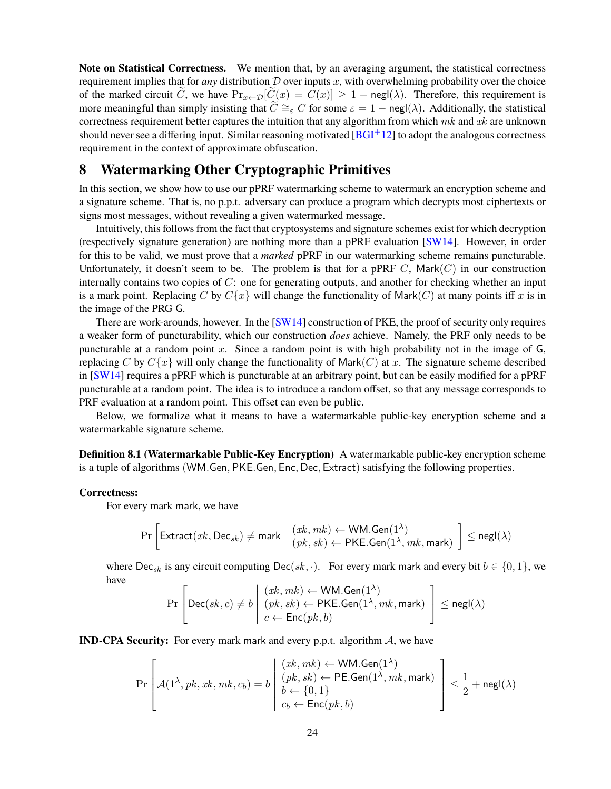**Note on Statistical Correctness.** We mention that, by an averaging argument, the statistical correctness requirement implies that for *any* distribution  $D$  over inputs  $x$ , with overwhelming probability over the choice of the marked circuit C, we have  $Pr_{x \leftarrow \mathcal{D}}[C(x) = C(x)] \ge 1 - \text{negl}(\lambda)$ . Therefore, this requirement is more meaningful than simply insisting that  $\tilde{C} \cong_{\varepsilon} C$  for some  $\varepsilon = 1 - \text{negl}(\lambda)$ . Additionally, the statistical correctness requirement better captures the intuition that any algorithm from which  $mk$  and  $x_k$  are unknown should never see a differing input. Similar reasoning motivated  $[BGI^+12]$  $[BGI^+12]$  to adopt the analogous correctness requirement in the context of approximate obfuscation.

### <span id="page-25-0"></span>**8 Watermarking Other Cryptographic Primitives**

In this section, we show how to use our pPRF watermarking scheme to watermark an encryption scheme and a signature scheme. That is, no p.p.t. adversary can produce a program which decrypts most ciphertexts or signs most messages, without revealing a given watermarked message.

Intuitively, this follows from the fact that cryptosystems and signature schemes exist for which decryption (respectively signature generation) are nothing more than a pPRF evaluation [\[SW14\]](#page-34-3). However, in order for this to be valid, we must prove that a *marked* pPRF in our watermarking scheme remains puncturable. Unfortunately, it doesn't seem to be. The problem is that for a pPRF  $C$ , Mark $(C)$  in our construction internally contains two copies of  $C$ : one for generating outputs, and another for checking whether an input is a mark point. Replacing C by  $C\{x\}$  will change the functionality of Mark $(C)$  at many points iff x is in the image of the PRG G.

There are work-arounds, however. In the [\[SW14\]](#page-34-3) construction of PKE, the proof of security only requires a weaker form of puncturability, which our construction *does* achieve. Namely, the PRF only needs to be puncturable at a random point x. Since a random point is with high probability not in the image of  $G$ , replacing C by  $C\{x\}$  will only change the functionality of Mark $(C)$  at x. The signature scheme described in [\[SW14\]](#page-34-3) requires a pPRF which is puncturable at an arbitrary point, but can be easily modified for a pPRF puncturable at a random point. The idea is to introduce a random offset, so that any message corresponds to PRF evaluation at a random point. This offset can even be public.

Below, we formalize what it means to have a watermarkable public-key encryption scheme and a watermarkable signature scheme.

**Definition 8.1 (Watermarkable Public-Key Encryption)** A watermarkable public-key encryption scheme is a tuple of algorithms (WM.Gen, PKE.Gen, Enc, Dec, Extract) satisfying the following properties.

#### **Correctness:**

For every mark mark, we have

$$
\Pr\left[\mathsf{Extract}(xk, \mathsf{Dec}_{sk}) \neq \mathsf{mark} \biggm| \begin{array}{l} (xk, mk) \leftarrow \mathsf{WM}.\mathsf{Gen}(1^{\lambda}) \\ (pk, sk) \leftarrow \mathsf{PKE}.\mathsf{Gen}(1^{\lambda}, mk, \mathsf{mark}) \end{array}\right] \leq \mathsf{negl}(\lambda)
$$

where  $\text{Dec}_{sk}$  is any circuit computing  $\text{Dec}(sk, \cdot)$ . For every mark mark and every bit  $b \in \{0, 1\}$ , we have  $\mathbf{r}$ 

$$
\Pr\left[\mathsf{Dec}(sk,c) \neq b \left| \begin{array}{l} (x k, m k) \leftarrow \mathsf{W M. Gen}(1^\lambda) \\ (p k, s k) \leftarrow \mathsf{PKE}.\mathsf{Gen}(1^\lambda, m k, \mathsf{mark}) \\ c \leftarrow \mathsf{Enc}(p k, b) \end{array} \right. \right] \leq \mathsf{negl}(\lambda)
$$

**IND-CPA Security:** For every mark mark and every p.p.t. algorithm A, we have

$$
\Pr\left[\mathcal{A}(1^{\lambda},pk,xk,mk,c_b)=b\left|\begin{array}{l} (x k, mk) \leftarrow \mathsf{W M.Gen}(1^{\lambda})\\ (pk, sk) \leftarrow \mathsf{PE.Gen}(1^{\lambda}, mk,mark)\\ b \leftarrow \{0,1\}\\ c_b \leftarrow \mathsf{Enc}(pk,b)\end{array}\right]\right|\leq \frac{1}{2}+\mathsf{negl}(\lambda)
$$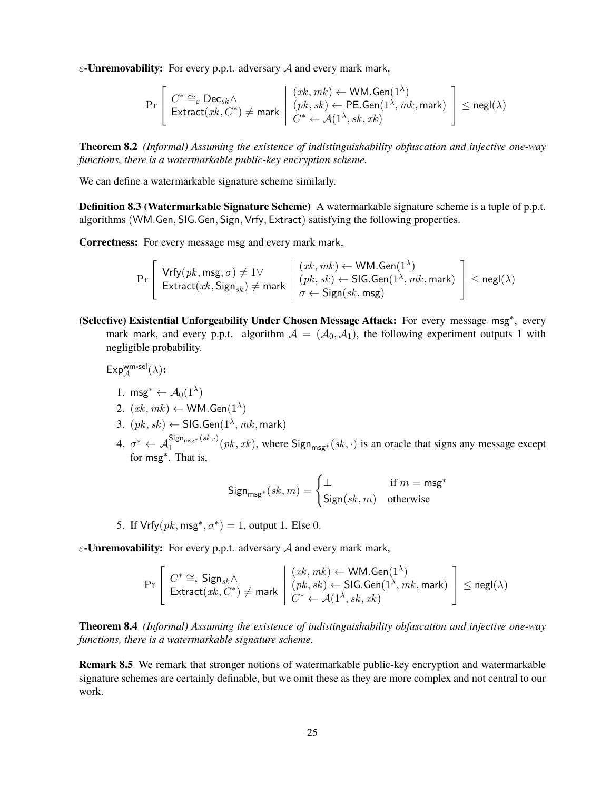$\varepsilon$ **-Unremovability:** For every p.p.t. adversary  $\mathcal A$  and every mark mark,

$$
\Pr\left[\begin{array}{l} C^* \cong_{\varepsilon} {\rm Dec}_{sk} \wedge \\ {\rm Extract}(xk,C^*) \neq {\rm mark} \end{array} \middle| \begin{array}{l} (xk,mk) \leftarrow {\rm WM}.\mathsf{Gen}(1^{\lambda}) \\ (pk,sk) \leftarrow {\rm PE}.\mathsf{Gen}(1^{\lambda},mk,{\rm mark}) \\ C^* \leftarrow \mathcal{A}(1^{\lambda},sk,xk) \end{array} \right] \leq {\rm negl}(\lambda)
$$

**Theorem 8.2** *(Informal) Assuming the existence of indistinguishability obfuscation and injective one-way functions, there is a watermarkable public-key encryption scheme.*

We can define a watermarkable signature scheme similarly.

**Definition 8.3 (Watermarkable Signature Scheme)** A watermarkable signature scheme is a tuple of p.p.t. algorithms (WM.Gen, SIG.Gen, Sign, Vrfy, Extract) satisfying the following properties.

**Correctness:** For every message msg and every mark mark,

$$
\Pr\left[\begin{array}{l}\mathsf{Vrfy}(pk,\mathsf{msg},\sigma)\neq 1 \lor \\ \mathsf{Extract}(xk,\mathsf{Sign}_{sk})\neq \mathsf{mark} \\\end{array} \middle| \begin{array}{l} (xk,mk) \leftarrow \mathsf{WM}.\mathsf{Gen}(1^{\lambda}) \\ (pk, sk) \leftarrow \mathsf{SIG}.\mathsf{Gen}(1^{\lambda},mk,\mathsf{mark}) \\\end{array} \right] \leq \mathsf{negl}(\lambda)
$$

**(Selective) Existential Unforgeability Under Chosen Message Attack:** For every message msg<sup>∗</sup> , every mark mark, and every p.p.t. algorithm  $A = (A_0, A_1)$ , the following experiment outputs 1 with negligible probability.

$$
\text{Exp}_{\mathcal A}^{\text{wm-sel}}(\lambda) \text{\bf :}
$$

- 1.  $\mathsf{msg}^* \leftarrow \mathcal{A}_0(1^\lambda)$
- 2.  $(xk, mk) \leftarrow$  WM.Gen $(1^{\lambda})$
- 3.  $(pk, sk) \leftarrow \mathsf{SIG}.\mathsf{Gen}(1^\lambda, mk, \mathsf{mark})$
- 4.  $\sigma^* \leftarrow A_1^{\mathsf{Sign}_{\mathsf{msg}^*}(sk,\cdot)}(pk,xk)$ , where  $\mathsf{Sign}_{\mathsf{msg}^*}(sk,\cdot)$  is an oracle that signs any message except for msg<sup>∗</sup> . That is,

$$
\mathsf{Sign}_{\mathsf{msg}^*}(sk, m) = \begin{cases} \bot & \text{if } m = \mathsf{msg}^* \\ \mathsf{Sign}(sk, m) & \text{otherwise} \end{cases}
$$

5. If  $Vrfy(pk, msg^*, \sigma^*) = 1$ , output 1. Else 0.

 $\varepsilon$ **-Unremovability:** For every p.p.t. adversary  $\mathcal A$  and every mark mark,

$$
\Pr\left[\begin{array}{c} C^* \cong_\varepsilon \mathrm{Sign}_{sk} \wedge \\ \mathrm{Extract}(xk,C^*) \neq \mathrm{mark} \end{array} \middle| \begin{array}{l} (xk,mk) \leftarrow \mathrm{WM}.\mathrm{Gen}(1^\lambda) \\ (pk,sk) \leftarrow \mathrm{SIG}.\mathrm{Gen}(1^\lambda,mk,\mathrm{mark}) \\ C^* \leftarrow \mathcal{A}(1^\lambda, sk, xk) \end{array} \right] \leq \mathrm{negl}(\lambda)
$$

**Theorem 8.4** *(Informal) Assuming the existence of indistinguishability obfuscation and injective one-way functions, there is a watermarkable signature scheme.*

<span id="page-26-0"></span>**Remark 8.5** We remark that stronger notions of watermarkable public-key encryption and watermarkable signature schemes are certainly definable, but we omit these as they are more complex and not central to our work.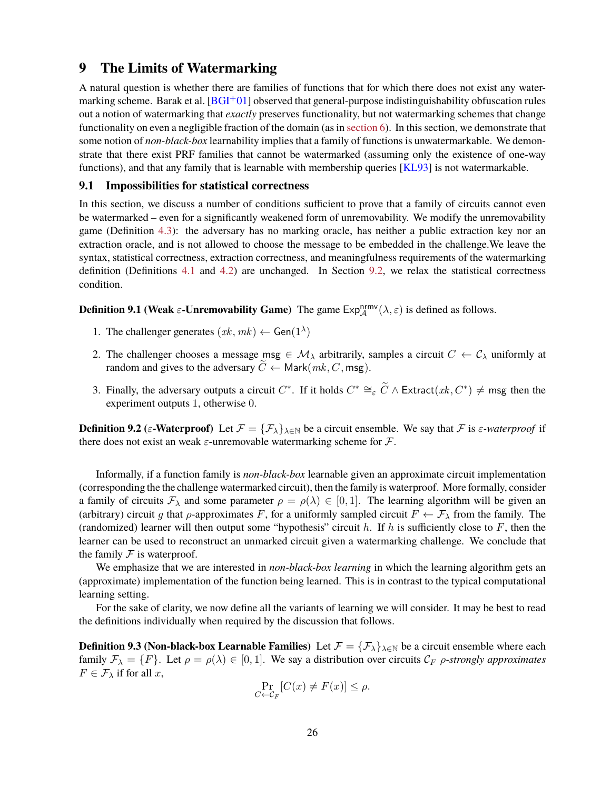### **9 The Limits of Watermarking**

A natural question is whether there are families of functions that for which there does not exist any watermarking scheme. Barak et al.  $[BGI^+01]$  $[BGI^+01]$  observed that general-purpose indistinguishability obfuscation rules out a notion of watermarking that *exactly* preserves functionality, but not watermarking schemes that change functionality on even a negligible fraction of the domain (as in [section 6\)](#page-14-0). In this section, we demonstrate that some notion of *non-black-box* learnability implies that a family of functions is unwatermarkable. We demonstrate that there exist PRF families that cannot be watermarked (assuming only the existence of one-way functions), and that any family that is learnable with membership queries [\[KL93\]](#page-33-10) is not watermarkable.

### <span id="page-27-0"></span>**9.1 Impossibilities for statistical correctness**

In this section, we discuss a number of conditions sufficient to prove that a family of circuits cannot even be watermarked – even for a significantly weakened form of unremovability. We modify the unremovability game (Definition [4.3\)](#page-13-2): the adversary has no marking oracle, has neither a public extraction key nor an extraction oracle, and is not allowed to choose the message to be embedded in the challenge.We leave the syntax, statistical correctness, extraction correctness, and meaningfulness requirements of the watermarking definition (Definitions [4.1](#page-12-1) and [4.2\)](#page-12-2) are unchanged. In Section [9.2,](#page-30-0) we relax the statistical correctness condition.

**Definition 9.1 (Weak**  $\varepsilon$ -**Unremovability Game**) The game  $Exp_{\mathcal{A}}^{nrmv}(\lambda, \varepsilon)$  is defined as follows.

- 1. The challenger generates  $(xk, mk) \leftarrow$  Gen $(1^{\lambda})$
- 2. The challenger chooses a message msg  $\in \mathcal{M}_{\lambda}$  arbitrarily, samples a circuit  $C \leftarrow C_{\lambda}$  uniformly at random and gives to the adversary  $C \leftarrow \text{Mark}(mk, C, \text{msg}).$
- 3. Finally, the adversary outputs a circuit  $C^*$ . If it holds  $C^* \cong_{\varepsilon} \widetilde{C} \wedge \text{Extract}(x_k, C^*) \neq \text{msg}$  then the experiment outputs 1, otherwise 0.

**Definition 9.2** ( $\varepsilon$ **-Waterproof**) Let  $\mathcal{F} = {\mathcal{F}_{\lambda}}_{\lambda \in \mathbb{N}}$  be a circuit ensemble. We say that  $\mathcal{F}$  is  $\varepsilon$ *-waterproof* if there does not exist an weak  $\varepsilon$ -unremovable watermarking scheme for  $\mathcal{F}$ .

Informally, if a function family is *non-black-box* learnable given an approximate circuit implementation (corresponding the the challenge watermarked circuit), then the family is waterproof. More formally, consider a family of circuits  $\mathcal{F}_{\lambda}$  and some parameter  $\rho = \rho(\lambda) \in [0,1]$ . The learning algorithm will be given an (arbitrary) circuit g that  $\rho$ -approximates F, for a uniformly sampled circuit  $F \leftarrow \mathcal{F}_{\lambda}$  from the family. The (randomized) learner will then output some "hypothesis" circuit h. If h is sufficiently close to  $F$ , then the learner can be used to reconstruct an unmarked circuit given a watermarking challenge. We conclude that the family  $\mathcal F$  is waterproof.

We emphasize that we are interested in *non-black-box learning* in which the learning algorithm gets an (approximate) implementation of the function being learned. This is in contrast to the typical computational learning setting.

For the sake of clarity, we now define all the variants of learning we will consider. It may be best to read the definitions individually when required by the discussion that follows.

**Definition 9.3 (Non-black-box Learnable Families)** Let  $\mathcal{F} = {\{\mathcal{F}_\lambda\}}_{\lambda \in \mathbb{N}}$  be a circuit ensemble where each family  $\mathcal{F}_{\lambda} = \{F\}$ . Let  $\rho = \rho(\lambda) \in [0, 1]$ . We say a distribution over circuits  $\mathcal{C}_F$   $\rho$ -strongly approximates  $F \in \mathcal{F}_{\lambda}$  if for all x,

<span id="page-27-1"></span>
$$
\Pr_{C \leftarrow C_F} [C(x) \neq F(x)] \leq \rho.
$$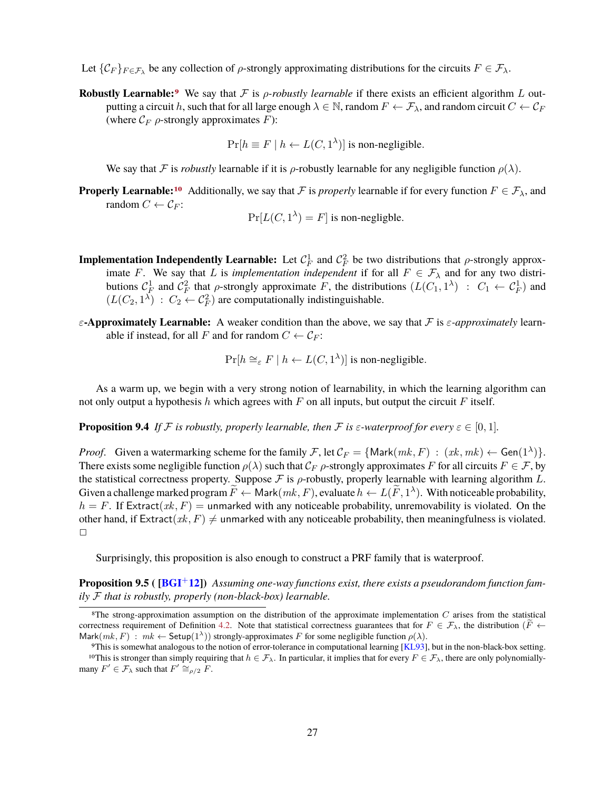Let  $\{C_F\}_{F \in \mathcal{F}_\lambda}$  be any collection of  $\rho$ -strongly approximating distributions for the circuits  $F \in \mathcal{F}_\lambda$ .

**Robustly Learnable:<sup>[9](#page-28-0)</sup>** We say that  $\mathcal F$  is *ρ-robustly learnable* if there exists an efficient algorithm  $L$  outputting a circuit h, such that for all large enough  $\lambda \in \mathbb{N}$ , random  $F \leftarrow \mathcal{F}_{\lambda}$ , and random circuit  $C \leftarrow C_F$ (where  $C_F$   $\rho$ -strongly approximates F):

$$
Pr[h \equiv F | h \leftarrow L(C, 1^{\lambda})]
$$
 is non-negligible.

We say that F is *robustly* learnable if it is  $\rho$ -robustly learnable for any negligible function  $\rho(\lambda)$ .

**Properly Learnable:<sup>[10](#page-28-1)</sup>** Additionally, we say that F is *properly* learnable if for every function  $F \in \mathcal{F}_{\lambda}$ , and random  $C \leftarrow C_F$ :

$$
Pr[L(C, 1^{\lambda}) = F]
$$
 is non-negligble.

- **Implementation Independently Learnable:** Let  $C_F^1$  and  $C_F^2$  be two distributions that  $\rho$ -strongly approximate F. We say that L is *implementation independent* if for all  $F \in \mathcal{F}_{\lambda}$  and for any two distributions  $C_F^1$  and  $C_F^2$  that  $\rho$ -strongly approximate F, the distributions  $(L(C_1, 1^{\lambda}) : C_1 \leftarrow C_F^1)$  and  $(L(C_2, 1^{\lambda}) : C_2 \leftarrow C_F^2)$  are computationally indistinguishable.
- ε**-Approximately Learnable:** A weaker condition than the above, we say that F is ε*-approximately* learnable if instead, for all F and for random  $C \leftarrow C_F$ :

$$
\Pr[h \cong_{\varepsilon} F \mid h \leftarrow L(C, 1^{\lambda})]
$$
 is non-negligible.

As a warm up, we begin with a very strong notion of learnability, in which the learning algorithm can not only output a hypothesis h which agrees with F on all inputs, but output the circuit F itself.

<span id="page-28-2"></span>**Proposition 9.4** *If*  $\mathcal F$  *is robustly, properly learnable, then*  $\mathcal F$  *is*  $\varepsilon$ *-waterproof for every*  $\varepsilon \in [0,1]$ *.* 

*Proof.* Given a watermarking scheme for the family F, let  $C_F = \{\text{Mark}(mk, F) : (x_k, mk) \leftarrow \text{Gen}(1^{\lambda})\}.$ There exists some negligible function  $\rho(\lambda)$  such that  $\mathcal{C}_F$   $\rho$ -strongly approximates F for all circuits  $F \in \mathcal{F}$ , by the statistical correctness property. Suppose  $\mathcal F$  is  $\rho$ -robustly, properly learnable with learning algorithm  $L$ . Given a challenge marked program  $\widetilde{F} \leftarrow \text{Mark}(mk, F)$ , evaluate  $h \leftarrow L(\widetilde{F}, 1^{\lambda})$ . With noticeable probability,  $h = F$ . If Extract $(xk, F)$  = unmarked with any noticeable probability, unremovability is violated. On the other hand, if Extract( $x, F$ )  $\neq$  unmarked with any noticeable probability, then meaningfulness is violated.  $\Box$ 

Surprisingly, this proposition is also enough to construct a PRF family that is waterproof.

<span id="page-28-3"></span>**Proposition 9.5 (** [\[BGI](#page-32-1)<sup>+</sup>12]) *Assuming one-way functions exist, there exists a pseudorandom function family* F *that is robustly, properly (non-black-box) learnable.*

<sup>&</sup>lt;sup>8</sup>The strong-approximation assumption on the distribution of the approximate implementation  $C$  arises from the statistical correctness requirement of Definition [4.2.](#page-12-2) Note that statistical correctness guarantees that for  $F \in \mathcal{F}_{\lambda}$ , the distribution ( $F \leftarrow$ Mark $(mk, F)$ :  $mk \leftarrow$  Setup $(1^{\lambda})$ ) strongly-approximates F for some negligible function  $\rho(\lambda)$ .

<span id="page-28-1"></span><span id="page-28-0"></span><sup>9</sup>This is somewhat analogous to the notion of error-tolerance in computational learning [\[KL93\]](#page-33-10), but in the non-black-box setting. <sup>10</sup>This is stronger than simply requiring that  $h \in \mathcal{F}_{\lambda}$ . In particular, it implies that for every  $F \in \mathcal{F}_{\lambda}$ , there are only polynomiallymany  $F' \in \mathcal{F}_{\lambda}$  such that  $F' \cong_{\rho/2} F$ .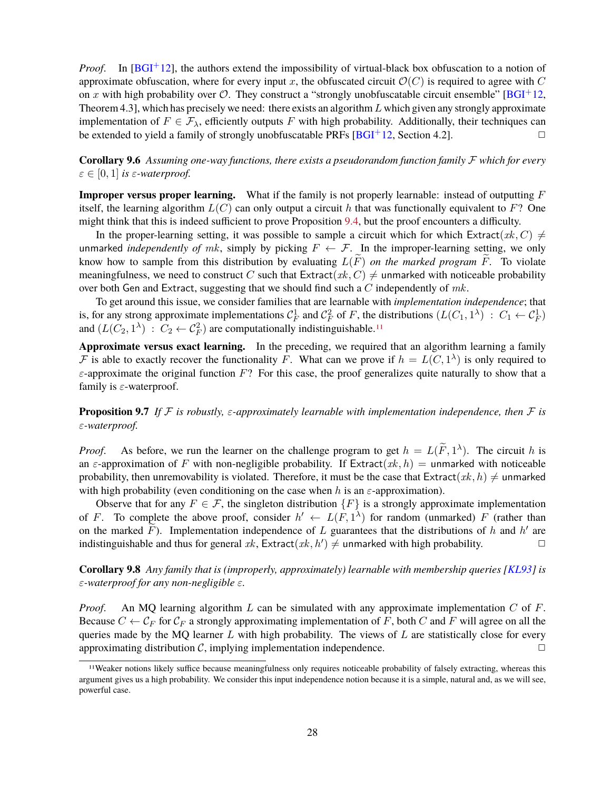*Proof.* In [\[BGI](#page-32-1)<sup>+</sup>12], the authors extend the impossibility of virtual-black box obfuscation to a notion of approximate obfuscation, where for every input x, the obfuscated circuit  $\mathcal{O}(C)$  is required to agree with C on x with high probability over  $\mathcal O$ . They construct a "strongly unobfuscatable circuit ensemble" [\[BGI](#page-32-1)+12, Theorem 4.3], which has precisely we need: there exists an algorithm  $L$  which given any strongly approximate implementation of  $F \in \mathcal{F}_{\lambda}$ , efficiently outputs F with high probability. Additionally, their techniques can be extended to yield a family of strongly unobfuscatable PRFs  $[BGI^+12, Section 4.2]$  $[BGI^+12, Section 4.2]$ .

**Corollary 9.6** *Assuming one-way functions, there exists a pseudorandom function family* F *which for every*  $\varepsilon \in [0,1]$  *is*  $\varepsilon$ *-waterproof.* 

**Improper versus proper learning.** What if the family is not properly learnable: instead of outputting F itself, the learning algorithm  $L(C)$  can only output a circuit h that was functionally equivalent to F? One might think that this is indeed sufficient to prove Proposition [9.4,](#page-28-2) but the proof encounters a difficulty.

In the proper-learning setting, it was possible to sample a circuit which for which Extract(xk, C)  $\neq$ unmarked *independently of mk*, simply by picking  $F \leftarrow \mathcal{F}$ . In the improper-learning setting, we only know how to sample from this distribution by evaluating  $L(F)$  *on the marked program*  $\overline{F}$ . To violate meaningfulness, we need to construct C such that  $\text{Extract}(x_k, C) \neq \text{unmarked with noticeable probability}$ over both Gen and Extract, suggesting that we should find such a  $C$  independently of  $mk$ .

To get around this issue, we consider families that are learnable with *implementation independence*; that is, for any strong approximate implementations  $C_F^1$  and  $C_F^2$  of F, the distributions  $(L(C_1, 1^{\lambda}) : C_1 \leftarrow C_F^1)$ and  $(L(C_2, 1^{\lambda}) : C_2 \leftarrow C_F^2)$  are computationally indistinguishable.<sup>[11](#page-29-0)</sup>

**Approximate versus exact learning.** In the preceding, we required that an algorithm learning a family F is able to exactly recover the functionality F. What can we prove if  $h = L(C, 1<sup>\lambda</sup>)$  is only required to  $\varepsilon$ -approximate the original function F? For this case, the proof generalizes quite naturally to show that a family is  $\varepsilon$ -waterproof.

<span id="page-29-2"></span>**Proposition 9.7** *If*  $F$  *is robustly,*  $\varepsilon$ -*approximately learnable with implementation independence, then*  $F$  *is* ε*-waterproof.*

*Proof.* As before, we run the learner on the challenge program to get  $h = L(\tilde{F}, 1^{\lambda})$ . The circuit h is an  $\varepsilon$ -approximation of F with non-negligible probability. If Extract( $x k$ , h) = unmarked with noticeable probability, then unremovability is violated. Therefore, it must be the case that  $\text{Extract}(xk, h) \neq \text{unmarked}$ with high probability (even conditioning on the case when h is an  $\varepsilon$ -approximation).

Observe that for any  $F \in \mathcal{F}$ , the singleton distribution  $\{F\}$  is a strongly approximate implementation of F. To complete the above proof, consider  $h' \leftarrow L(F, 1^{\lambda})$  for random (unmarked) F (rather than on the marked  $\widetilde{F}$ ). Implementation independence of L guarantees that the distributions of h and h' are indistinguishable and thus for general  $xk$ ,  $\textsf{Extract}(xk, h') \neq$  unmarked with high probability.

<span id="page-29-1"></span>**Corollary 9.8** *Any family that is (improperly, approximately) learnable with membership queries [\[KL93\]](#page-33-10) is* ε*-waterproof for any non-negligible* ε*.*

*Proof*. An MQ learning algorithm L can be simulated with any approximate implementation C of F. Because  $C \leftarrow C_F$  for  $C_F$  a strongly approximating implementation of F, both C and F will agree on all the queries made by the MQ learner  $L$  with high probability. The views of  $L$  are statistically close for every approximating distribution  $C$ , implying implementation independence.

<span id="page-29-0"></span><sup>11</sup>Weaker notions likely suffice because meaningfulness only requires noticeable probability of falsely extracting, whereas this argument gives us a high probability. We consider this input independence notion because it is a simple, natural and, as we will see, powerful case.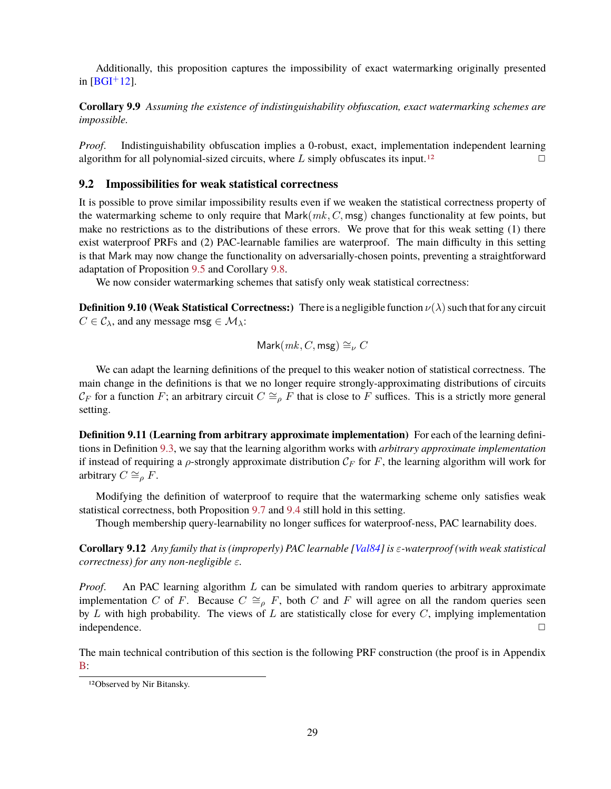Additionally, this proposition captures the impossibility of exact watermarking originally presented in  $[BGI^+12]$  $[BGI^+12]$ .

**Corollary 9.9** *Assuming the existence of indistinguishability obfuscation, exact watermarking schemes are impossible.*

*Proof.* Indistinguishability obfuscation implies a 0-robust, exact, implementation independent learning algorithm for all polynomial-sized circuits, where L simply obfuscates its input.<sup>[12](#page-30-2)</sup>  $\Box$ 

#### <span id="page-30-0"></span>**9.2 Impossibilities for weak statistical correctness**

It is possible to prove similar impossibility results even if we weaken the statistical correctness property of the watermarking scheme to only require that  $\text{Mark}(m_k, C, \text{msg})$  changes functionality at few points, but make no restrictions as to the distributions of these errors. We prove that for this weak setting (1) there exist waterproof PRFs and (2) PAC-learnable families are waterproof. The main difficulty in this setting is that Mark may now change the functionality on adversarially-chosen points, preventing a straightforward adaptation of Proposition [9.5](#page-28-3) and Corollary [9.8.](#page-29-1)

We now consider watermarking schemes that satisfy only weak statistical correctness:

**Definition 9.10 (Weak Statistical Correctness:)** There is a negligible function  $\nu(\lambda)$  such that for any circuit  $C \in \mathcal{C}_{\lambda}$ , and any message msg  $\in \mathcal{M}_{\lambda}$ :

$$
\mathsf{Mark}(mk, C, \mathsf{msg}) \cong_\nu C
$$

We can adapt the learning definitions of the prequel to this weaker notion of statistical correctness. The main change in the definitions is that we no longer require strongly-approximating distributions of circuits  $\mathcal{C}_F$  for a function F; an arbitrary circuit  $C \cong_{\rho} F$  that is close to F suffices. This is a strictly more general setting.

**Definition 9.11 (Learning from arbitrary approximate implementation)** For each of the learning definitions in Definition [9.3,](#page-27-1) we say that the learning algorithm works with *arbitrary approximate implementation* if instead of requiring a  $\rho$ -strongly approximate distribution  $\mathcal{C}_F$  for F, the learning algorithm will work for arbitrary  $C \cong_{\rho} F$ .

Modifying the definition of waterproof to require that the watermarking scheme only satisfies weak statistical correctness, both Proposition [9.7](#page-29-2) and [9.4](#page-28-2) still hold in this setting.

Though membership query-learnability no longer suffices for waterproof-ness, PAC learnability does.

**Corollary 9.12** *Any family that is (improperly) PAC learnable [\[Val84\]](#page-34-8) is* ε*-waterproof (with weak statistical correctness) for any non-negligible* ε*.*

*Proof.* An PAC learning algorithm L can be simulated with random queries to arbitrary approximate implementation C of F. Because  $C \cong_{\rho} F$ , both C and F will agree on all the random queries seen by  $L$  with high probability. The views of  $L$  are statistically close for every  $C$ , implying implementation independence. ✷

<span id="page-30-1"></span>The main technical contribution of this section is the following PRF construction (the proof is in Appendix [B:](#page-42-0)

<span id="page-30-2"></span><sup>12</sup>Observed by Nir Bitansky.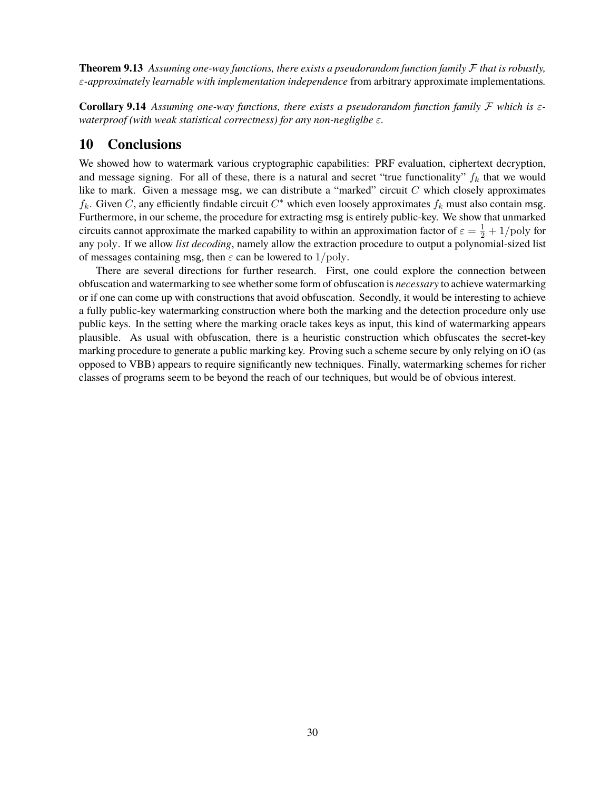**Theorem 9.13** *Assuming one-way functions, there exists a pseudorandom function family* F *that is robustly,* ε*-approximately learnable with implementation independence* from arbitrary approximate implementations*.*

**Corollary 9.14** *Assuming one-way functions, there exists a pseudorandom function family* F *which is* ε*waterproof (with weak statistical correctness) for any non-negliglbe* ε*.*

### <span id="page-31-0"></span>**10 Conclusions**

We showed how to watermark various cryptographic capabilities: PRF evaluation, ciphertext decryption, and message signing. For all of these, there is a natural and secret "true functionality"  $f_k$  that we would like to mark. Given a message msg, we can distribute a "marked" circuit  $C$  which closely approximates  $f_k$ . Given C, any efficiently findable circuit  $C^*$  which even loosely approximates  $f_k$  must also contain msg. Furthermore, in our scheme, the procedure for extracting msg is entirely public-key. We show that unmarked circuits cannot approximate the marked capability to within an approximation factor of  $\varepsilon = \frac{1}{2} + 1$ /poly for any poly. If we allow *list decoding*, namely allow the extraction procedure to output a polynomial-sized list of messages containing msg, then  $\varepsilon$  can be lowered to  $1/\text{poly}$ .

There are several directions for further research. First, one could explore the connection between obfuscation and watermarking to see whether some form of obfuscation is *necessary* to achieve watermarking or if one can come up with constructions that avoid obfuscation. Secondly, it would be interesting to achieve a fully public-key watermarking construction where both the marking and the detection procedure only use public keys. In the setting where the marking oracle takes keys as input, this kind of watermarking appears plausible. As usual with obfuscation, there is a heuristic construction which obfuscates the secret-key marking procedure to generate a public marking key. Proving such a scheme secure by only relying on iO (as opposed to VBB) appears to require significantly new techniques. Finally, watermarking schemes for richer classes of programs seem to be beyond the reach of our techniques, but would be of obvious interest.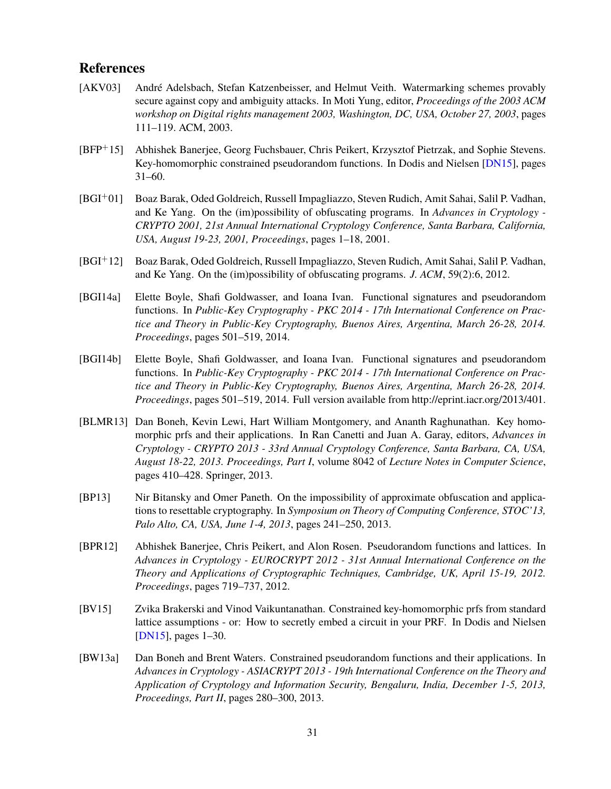### **References**

- <span id="page-32-7"></span>[AKV03] André Adelsbach, Stefan Katzenbeisser, and Helmut Veith. Watermarking schemes provably secure against copy and ambiguity attacks. In Moti Yung, editor, *Proceedings of the 2003 ACM workshop on Digital rights management 2003, Washington, DC, USA, October 27, 2003*, pages 111–119. ACM, 2003.
- <span id="page-32-6"></span>[BFP+15] Abhishek Banerjee, Georg Fuchsbauer, Chris Peikert, Krzysztof Pietrzak, and Sophie Stevens. Key-homomorphic constrained pseudorandom functions. In Dodis and Nielsen [\[DN15\]](#page-33-11), pages 31–60.
- <span id="page-32-0"></span>[BGI+01] Boaz Barak, Oded Goldreich, Russell Impagliazzo, Steven Rudich, Amit Sahai, Salil P. Vadhan, and Ke Yang. On the (im)possibility of obfuscating programs. In *Advances in Cryptology - CRYPTO 2001, 21st Annual International Cryptology Conference, Santa Barbara, California, USA, August 19-23, 2001, Proceedings*, pages 1–18, 2001.
- <span id="page-32-1"></span>[BGI+12] Boaz Barak, Oded Goldreich, Russell Impagliazzo, Steven Rudich, Amit Sahai, Salil P. Vadhan, and Ke Yang. On the (im)possibility of obfuscating programs. *J. ACM*, 59(2):6, 2012.
- <span id="page-32-3"></span>[BGI14a] Elette Boyle, Shafi Goldwasser, and Ioana Ivan. Functional signatures and pseudorandom functions. In *Public-Key Cryptography - PKC 2014 - 17th International Conference on Practice and Theory in Public-Key Cryptography, Buenos Aires, Argentina, March 26-28, 2014. Proceedings*, pages 501–519, 2014.
- <span id="page-32-8"></span>[BGI14b] Elette Boyle, Shafi Goldwasser, and Ioana Ivan. Functional signatures and pseudorandom functions. In *Public-Key Cryptography - PKC 2014 - 17th International Conference on Practice and Theory in Public-Key Cryptography, Buenos Aires, Argentina, March 26-28, 2014. Proceedings*, pages 501–519, 2014. Full version available from http://eprint.iacr.org/2013/401.
- <span id="page-32-4"></span>[BLMR13] Dan Boneh, Kevin Lewi, Hart William Montgomery, and Ananth Raghunathan. Key homomorphic prfs and their applications. In Ran Canetti and Juan A. Garay, editors, *Advances in Cryptology - CRYPTO 2013 - 33rd Annual Cryptology Conference, Santa Barbara, CA, USA, August 18-22, 2013. Proceedings, Part I*, volume 8042 of *Lecture Notes in Computer Science*, pages 410–428. Springer, 2013.
- <span id="page-32-9"></span>[BP13] Nir Bitansky and Omer Paneth. On the impossibility of approximate obfuscation and applications to resettable cryptography. In *Symposium on Theory of Computing Conference, STOC'13, Palo Alto, CA, USA, June 1-4, 2013*, pages 241–250, 2013.
- <span id="page-32-10"></span>[BPR12] Abhishek Banerjee, Chris Peikert, and Alon Rosen. Pseudorandom functions and lattices. In *Advances in Cryptology - EUROCRYPT 2012 - 31st Annual International Conference on the Theory and Applications of Cryptographic Techniques, Cambridge, UK, April 15-19, 2012. Proceedings*, pages 719–737, 2012.
- <span id="page-32-5"></span>[BV15] Zvika Brakerski and Vinod Vaikuntanathan. Constrained key-homomorphic prfs from standard lattice assumptions - or: How to secretly embed a circuit in your PRF. In Dodis and Nielsen [\[DN15\]](#page-33-11), pages 1–30.
- <span id="page-32-2"></span>[BW13a] Dan Boneh and Brent Waters. Constrained pseudorandom functions and their applications. In *Advances in Cryptology - ASIACRYPT 2013 - 19th International Conference on the Theory and Application of Cryptology and Information Security, Bengaluru, India, December 1-5, 2013, Proceedings, Part II*, pages 280–300, 2013.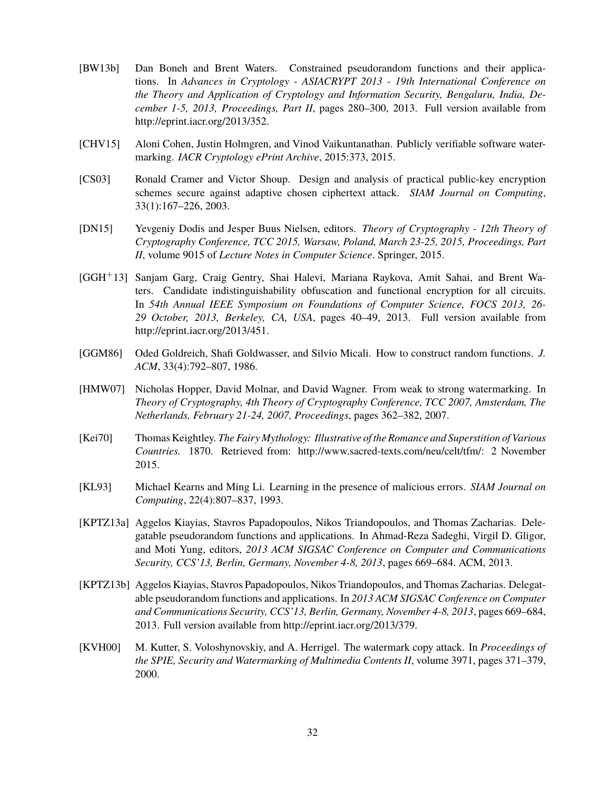- <span id="page-33-7"></span>[BW13b] Dan Boneh and Brent Waters. Constrained pseudorandom functions and their applications. In *Advances in Cryptology - ASIACRYPT 2013 - 19th International Conference on the Theory and Application of Cryptology and Information Security, Bengaluru, India, December 1-5, 2013, Proceedings, Part II*, pages 280–300, 2013. Full version available from http://eprint.iacr.org/2013/352.
- <span id="page-33-0"></span>[CHV15] Aloni Cohen, Justin Holmgren, and Vinod Vaikuntanathan. Publicly verifiable software watermarking. *IACR Cryptology ePrint Archive*, 2015:373, 2015.
- <span id="page-33-3"></span>[CS03] Ronald Cramer and Victor Shoup. Design and analysis of practical public-key encryption schemes secure against adaptive chosen ciphertext attack. *SIAM Journal on Computing*, 33(1):167–226, 2003.
- <span id="page-33-11"></span>[DN15] Yevgeniy Dodis and Jesper Buus Nielsen, editors. *Theory of Cryptography - 12th Theory of Cryptography Conference, TCC 2015, Warsaw, Poland, March 23-25, 2015, Proceedings, Part II*, volume 9015 of *Lecture Notes in Computer Science*. Springer, 2015.
- <span id="page-33-5"></span>[GGH+13] Sanjam Garg, Craig Gentry, Shai Halevi, Mariana Raykova, Amit Sahai, and Brent Waters. Candidate indistinguishability obfuscation and functional encryption for all circuits. In *54th Annual IEEE Symposium on Foundations of Computer Science, FOCS 2013, 26- 29 October, 2013, Berkeley, CA, USA*, pages 40–49, 2013. Full version available from http://eprint.iacr.org/2013/451.
- <span id="page-33-6"></span>[GGM86] Oded Goldreich, Shafi Goldwasser, and Silvio Micali. How to construct random functions. *J. ACM*, 33(4):792–807, 1986.
- <span id="page-33-1"></span>[HMW07] Nicholas Hopper, David Molnar, and David Wagner. From weak to strong watermarking. In *Theory of Cryptography, 4th Theory of Cryptography Conference, TCC 2007, Amsterdam, The Netherlands, February 21-24, 2007, Proceedings*, pages 362–382, 2007.
- <span id="page-33-9"></span>[Kei70] Thomas Keightley. *The Fairy Mythology: Illustrative of the Romance and Superstition of Various Countries.* 1870. Retrieved from: http://www.sacred-texts.com/neu/celt/tfm/: 2 November 2015.
- <span id="page-33-10"></span>[KL93] Michael Kearns and Ming Li. Learning in the presence of malicious errors. *SIAM Journal on Computing*, 22(4):807–837, 1993.
- <span id="page-33-2"></span>[KPTZ13a] Aggelos Kiayias, Stavros Papadopoulos, Nikos Triandopoulos, and Thomas Zacharias. Delegatable pseudorandom functions and applications. In Ahmad-Reza Sadeghi, Virgil D. Gligor, and Moti Yung, editors, *2013 ACM SIGSAC Conference on Computer and Communications Security, CCS'13, Berlin, Germany, November 4-8, 2013*, pages 669–684. ACM, 2013.
- <span id="page-33-8"></span>[KPTZ13b] Aggelos Kiayias, Stavros Papadopoulos, Nikos Triandopoulos, and Thomas Zacharias. Delegatable pseudorandom functions and applications. In *2013 ACM SIGSAC Conference on Computer and Communications Security, CCS'13, Berlin, Germany, November 4-8, 2013*, pages 669–684, 2013. Full version available from http://eprint.iacr.org/2013/379.
- <span id="page-33-4"></span>[KVH00] M. Kutter, S. Voloshynovskiy, and A. Herrigel. The watermark copy attack. In *Proceedings of the SPIE, Security and Watermarking of Multimedia Contents II*, volume 3971, pages 371–379, 2000.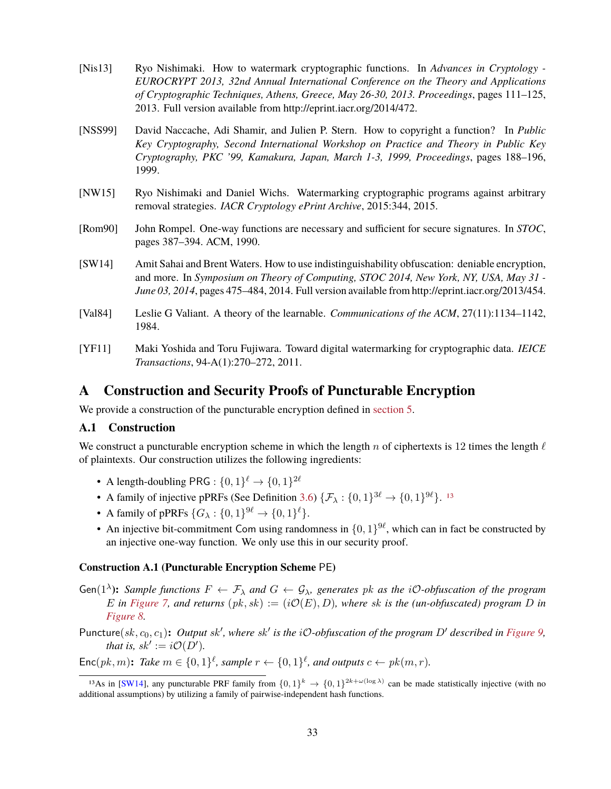- <span id="page-34-6"></span>[Nis13] Ryo Nishimaki. How to watermark cryptographic functions. In *Advances in Cryptology - EUROCRYPT 2013, 32nd Annual International Conference on the Theory and Applications of Cryptographic Techniques, Athens, Greece, May 26-30, 2013. Proceedings*, pages 111–125, 2013. Full version available from http://eprint.iacr.org/2014/472.
- <span id="page-34-4"></span>[NSS99] David Naccache, Adi Shamir, and Julien P. Stern. How to copyright a function? In *Public Key Cryptography, Second International Workshop on Practice and Theory in Public Key Cryptography, PKC '99, Kamakura, Japan, March 1-3, 1999, Proceedings*, pages 188–196, 1999.
- <span id="page-34-0"></span>[NW15] Ryo Nishimaki and Daniel Wichs. Watermarking cryptographic programs against arbitrary removal strategies. *IACR Cryptology ePrint Archive*, 2015:344, 2015.
- <span id="page-34-7"></span>[Rom90] John Rompel. One-way functions are necessary and sufficient for secure signatures. In *STOC*, pages 387–394. ACM, 1990.
- <span id="page-34-3"></span>[SW14] Amit Sahai and Brent Waters. How to use indistinguishability obfuscation: deniable encryption, and more. In *Symposium on Theory of Computing, STOC 2014, New York, NY, USA, May 31 - June 03, 2014*, pages 475–484, 2014. Full version available from http://eprint.iacr.org/2013/454.
- <span id="page-34-8"></span>[Val84] Leslie G Valiant. A theory of the learnable. *Communications of the ACM*, 27(11):1134–1142, 1984.
- <span id="page-34-5"></span>[YF11] Maki Yoshida and Toru Fujiwara. Toward digital watermarking for cryptographic data. *IEICE Transactions*, 94-A(1):270–272, 2011.

### <span id="page-34-1"></span>**A Construction and Security Proofs of Puncturable Encryption**

We provide a construction of the puncturable encryption defined in [section 5.](#page-13-0)

### <span id="page-34-2"></span>**A.1 Construction**

We construct a puncturable encryption scheme in which the length n of ciphertexts is 12 times the length  $\ell$ of plaintexts. Our construction utilizes the following ingredients:

- A length-doubling PRG :  $\{0,1\}^{\ell} \rightarrow \{0,1\}^{2\ell}$
- A family of injective pPRFs (See Definition [3.6\)](#page-11-0)  $\{\mathcal{F}_{\lambda} : \{0,1\}^{3\ell} \to \{0,1\}^{9\ell}\}\.$ <sup>[13](#page-34-9)</sup>
- A family of pPRFs  $\{G_\lambda : \{0,1\}^{9\ell} \to \{0,1\}^\ell\}.$
- An injective bit-commitment Com using randomness in  $\{0, 1\}^{9\ell}$ , which can in fact be constructed by an injective one-way function. We only use this in our security proof.

#### **Construction A.1 (Puncturable Encryption Scheme** PE**)** *.*

- Gen(1<sup> $\lambda$ </sup>): *Sample functions*  $F \leftarrow \mathcal{F}_{\lambda}$  *and*  $G \leftarrow \mathcal{G}_{\lambda}$ *, generates pk as the iO-obfuscation of the program* E in [Figure 7,](#page-35-1) and returns  $(pk, sk) := (i\mathcal{O}(E), D)$ , where sk is the (un-obfuscated) program D in *[Figure 8.](#page-35-2)*
- $P$ uncture $(sk, c_0, c_1)$ : Output  $sk'$ , where  $sk'$  is the *i*O-obfuscation of the program D' described in [Figure 9,](#page-35-3) *that is,*  $sk' := i\mathcal{O}(D').$

 $Enc(pk, m)$ : Take  $m \in \{0, 1\}^{\ell}$ , sample  $r \leftarrow \{0, 1\}^{\ell}$ , and outputs  $c \leftarrow pk(m, r)$ .

<span id="page-34-9"></span><sup>&</sup>lt;sup>13</sup>As in [\[SW14\]](#page-34-3), any puncturable PRF family from  $\{0,1\}^k \to \{0,1\}^{2k+\omega(\log \lambda)}$  can be made statistically injective (with no additional assumptions) by utilizing a family of pairwise-independent hash functions.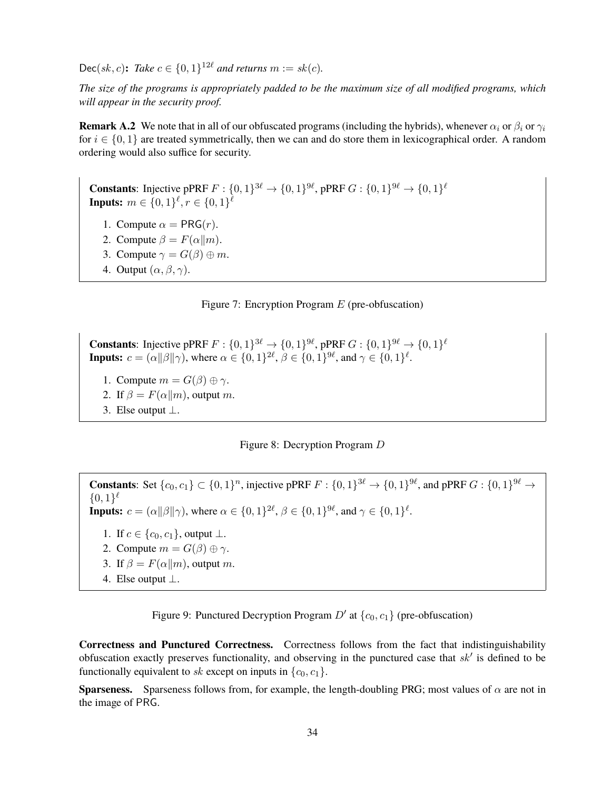Dec(sk, c): Take  $c \in \{0, 1\}^{12\ell}$  and returns  $m := sk(c)$ .

*The size of the programs is appropriately padded to be the maximum size of all modified programs, which will appear in the security proof.*

**Remark A.2** We note that in all of our obfuscated programs (including the hybrids), whenever  $\alpha_i$  or  $\beta_i$  or  $\gamma_i$ for  $i \in \{0, 1\}$  are treated symmetrically, then we can and do store them in lexicographical order. A random ordering would also suffice for security.

**Constants**: Injective pPRF  $F : \{0, 1\}^{3\ell} \to \{0, 1\}^{9\ell}$ , pPRF  $G : \{0, 1\}^{9\ell} \to \{0, 1\}^{\ell}$ **Inputs:**  $m \in \{0,1\}^{\ell}, r \in \{0,1\}^{\ell}$ 

- 1. Compute  $\alpha = PRG(r)$ .
- 2. Compute  $\beta = F(\alpha||m)$ .
- 3. Compute  $\gamma = G(\beta) \oplus m$ .
- 4. Output  $(\alpha, \beta, \gamma)$ .

<span id="page-35-1"></span>

**Constants**: Injective pPRF  $F : \{0, 1\}^{3\ell} \to \{0, 1\}^{9\ell}$ , pPRF  $G : \{0, 1\}^{9\ell} \to \{0, 1\}^{\ell}$ **Inputs:**  $c = (\alpha ||\beta||\gamma)$ , where  $\alpha \in \{0, 1\}^{2\ell}, \beta \in \{0, 1\}^{9\ell}$ , and  $\gamma \in \{0, 1\}^{\ell}$ .

- 1. Compute  $m = G(\beta) \oplus \gamma$ .
- 2. If  $\beta = F(\alpha||m)$ , output m.
- 3. Else output ⊥.

<span id="page-35-2"></span>

**Constants**: Set  $\{c_0, c_1\}$  ⊂  $\{0, 1\}^n$ , injective pPRF  $F : \{0, 1\}^{3\ell} \to \{0, 1\}^{9\ell}$ , and pPRF  $G : \{0, 1\}^{9\ell} \to$  $\{0,1\}^{\ell}$ **Inputs:**  $c = (\alpha ||\beta||\gamma)$ , where  $\alpha \in \{0, 1\}^{2\ell}, \beta \in \{0, 1\}^{9\ell}$ , and  $\gamma \in \{0, 1\}^{\ell}$ . 1. If  $c \in \{c_0, c_1\}$ , output  $\perp$ . 2. Compute  $m = G(\beta) \oplus \gamma$ . 3. If  $\beta = F(\alpha||m)$ , output m. 4. Else output ⊥.

<span id="page-35-3"></span>

**Correctness and Punctured Correctness.** Correctness follows from the fact that indistinguishability obfuscation exactly preserves functionality, and observing in the punctured case that  $sk'$  is defined to be functionally equivalent to sk except on inputs in  $\{c_0, c_1\}$ .

<span id="page-35-0"></span>**Sparseness.** Sparseness follows from, for example, the length-doubling PRG; most values of  $\alpha$  are not in the image of PRG.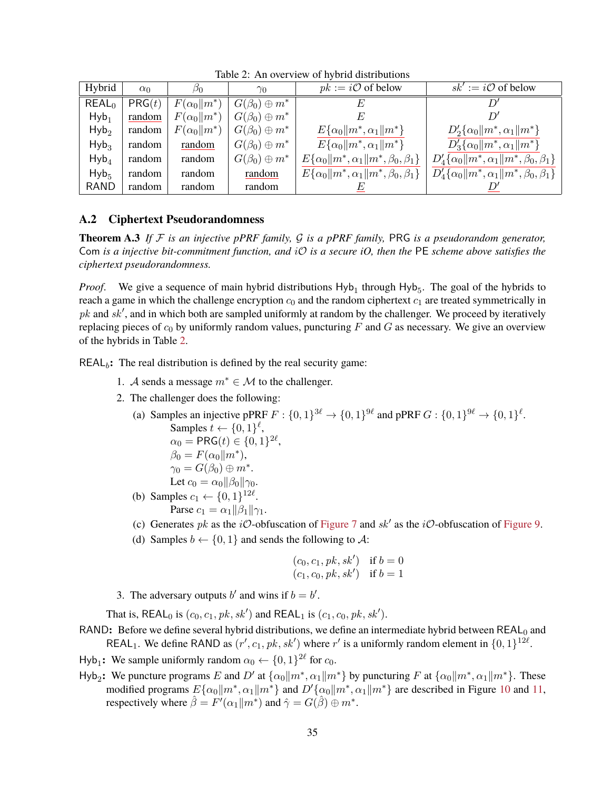| Hybrid            | $\alpha_0$ | $\beta_0$          | $\gamma_0$              | $pk := i\mathcal{O}$ of below                      | $sk' := i\mathcal{O}$ of below                        |
|-------------------|------------|--------------------|-------------------------|----------------------------------------------------|-------------------------------------------------------|
| REAL <sub>0</sub> | PRG(t)     | $F(\alpha_0  m^*)$ | $G(\beta_0) \oplus m^*$ | E                                                  | D'                                                    |
| Hyb <sub>1</sub>  | random     | $F(\alpha_0  m^*)$ | $G(\beta_0) \oplus m^*$ |                                                    | $D^i$                                                 |
| Hyb <sub>2</sub>  | random     | $F(\alpha_0  m^*)$ | $G(\beta_0) \oplus m^*$ | $E\{\alpha_0  m^*,\alpha_1  m^*\}$                 | $D_2' {\alpha_0 \  m^*, \alpha_1 \  m^*}$             |
| Hyb <sub>3</sub>  | random     | random             | $G(\beta_0) \oplus m^*$ | $E\{\alpha_0  m^*, \alpha_1  m^*\}$                | $D'_3\{\alpha_0\ m^*,\alpha_1\ m^*\}$                 |
| Hyb <sub>4</sub>  | random     | random             | $G(\beta_0) \oplus m^*$ | $E\{\alpha_0  m^*,\alpha_1  m^*,\beta_0,\beta_1\}$ | $D'_4\{\alpha_0\ m^*,\alpha_1\ m^*,\beta_0,\beta_1\}$ |
| Hyb <sub>5</sub>  | random     | random             | random                  | $E\{\alpha_0  m^*,\alpha_1  m^*,\beta_0,\beta_1\}$ | $D'_4\{\alpha_0\ m^*,\alpha_1\ m^*,\beta_0,\beta_1\}$ |
| RAND              | random     | random             | random                  |                                                    |                                                       |

<span id="page-36-0"></span>Table 2: An overview of hybrid distributions

### **A.2 Ciphertext Pseudorandomness**

<span id="page-36-1"></span>**Theorem A.3** *If* F *is an injective pPRF family,* G *is a pPRF family,* PRG *is a pseudorandom generator,* Com *is a injective bit-commitment function, and* iO *is a secure iO, then the* PE *scheme above satisfies the ciphertext pseudorandomness.*

*Proof.* We give a sequence of main hybrid distributions  $Hyb_1$  through  $Hyb_5$ . The goal of the hybrids to reach a game in which the challenge encryption  $c_0$  and the random ciphertext  $c_1$  are treated symmetrically in  $pk$  and  $sk'$ , and in which both are sampled uniformly at random by the challenger. We proceed by iteratively replacing pieces of  $c_0$  by uniformly random values, puncturing F and G as necessary. We give an overview of the hybrids in Table [2.](#page-36-0)

 $REAL<sub>b</sub>$ : The real distribution is defined by the real security game:

- 1. A sends a message  $m^* \in \mathcal{M}$  to the challenger.
- 2. The challenger does the following:

(a) Samples an injective pPRF  $F: \{0,1\}^{3\ell} \to \{0,1\}^{9\ell}$  and pPRF  $G: \{0,1\}^{9\ell} \to \{0,1\}^{\ell}$ . Samples  $t \leftarrow \{0, 1\}^{\ell}$ ,

 $\alpha_0 = \textsf{PRG}(t) \in \{0, 1\}^{2\ell},$  $\beta_0 = F(\alpha_0 || m^*),$ .

$$
\gamma_0 = G(\beta_0) \oplus m^*
$$

Let 
$$
c_0 = \alpha_0 ||\beta_0|| \gamma_0
$$
.

- (b) Samples  $c_1 \leftarrow \{0, 1\}^{12\ell}$ . Parse  $c_1 = \alpha_1 || \beta_1 || \gamma_1$ .
- (c) Generates pk as the iO-obfuscation of [Figure 7](#page-35-1) and sk<sup>1</sup> as the iO-obfuscation of [Figure 9.](#page-35-3)
- (d) Samples  $b \leftarrow \{0, 1\}$  and sends the following to A:

$$
(c_0, c_1, pk, sk')
$$
 if  $b = 0$   
 $(c_1, c_0, pk, sk')$  if  $b = 1$ 

3. The adversary outputs b' and wins if  $b = b'$ .

That is, REAL<sub>0</sub> is  $(c_0, c_1, pk, sk)$  and REAL<sub>1</sub> is  $(c_1, c_0, pk, sk')$ .

RAND: Before we define several hybrid distributions, we define an intermediate hybrid between REAL<sub>0</sub> and REAL<sub>1</sub>. We define RAND as  $(r', c_1, pk, sk')$  where r' is a uniformly random element in  $\{0, 1\}^{12\ell}$ .

Hyb<sub>1</sub>: We sample uniformly random  $\alpha_0 \leftarrow \{0, 1\}^{2\ell}$  for  $c_0$ .

Hyb<sub>2</sub>: We puncture programs E and D' at  $\{\alpha_0 \| m^*, \alpha_1 \| m^*\}$  by puncturing F at  $\{\alpha_0 \| m^*, \alpha_1 \| m^*\}$ . These modified programs  $E\{\alpha_0||m^*, \alpha_1||m^*\}$  and  $D'\{\alpha_0||m^*, \alpha_1||m^*\}$  are described in Figure [10](#page-37-0) and [11,](#page-37-1) respectively where  $\hat{\beta} = F'(\alpha_1 || m^*)$  and  $\hat{\gamma} = G(\hat{\beta}) \oplus m^*$ .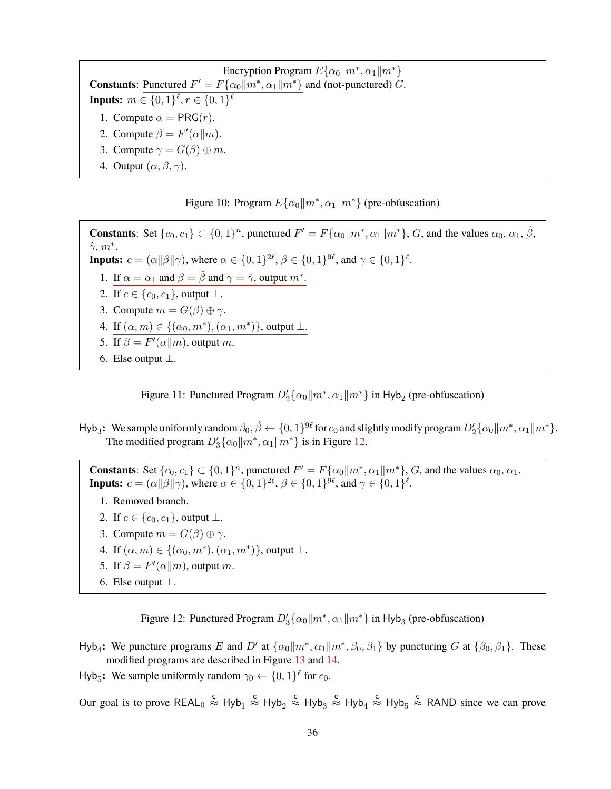Encryption Program  $E\{\alpha_0||m^*, \alpha_1||m^*\}$ **Constants:** Punctured  $F' = F\{\alpha_0 || m^*, \alpha_1 || m^*\}$  and (not-punctured) G. **Inputs:**  $m \in \{0,1\}^{\ell}, r \in \{0,1\}^{\ell}$ 1. Compute  $\alpha = PRG(r)$ . 2. Compute  $\beta = F'(\alpha||m)$ . 3. Compute  $\gamma = G(\beta) \oplus m$ . 4. Output  $(\alpha, \beta, \gamma)$ .

<span id="page-37-0"></span>Figure 10: Program  $E\{\alpha_0||m^*, \alpha_1||m^*\}$  (pre-obfuscation)

**Constants**: Set  $\{c_0, c_1\} \subset \{0, 1\}^n$ , punctured  $F' = F\{\alpha_0 || m^*, \alpha_1 || m^*\}$ , G, and the values  $\alpha_0, \alpha_1, \hat{\beta}$ ,  $\hat{\gamma}, m^*$ . **Inputs:**  $c = (\alpha ||\beta||\gamma)$ , where  $\alpha \in \{0, 1\}^{2\ell}, \beta \in \{0, 1\}^{9\ell}$ , and  $\gamma \in \{0, 1\}^{\ell}$ . 1. If  $\alpha = \alpha_1$  and  $\beta = \hat{\beta}$  and  $\gamma = \hat{\gamma}$ , output  $m^*$ . 2. If  $c \in \{c_0, c_1\}$ , output  $\perp$ . 3. Compute  $m = G(\beta) \oplus \gamma$ . 4. If  $(\alpha, m) \in \{(\alpha_0, m^*), (\alpha_1, m^*)\}$ , output  $\perp$ . 5. If  $\beta = F'(\alpha || m)$ , output m.

6. Else output  $\perp$ .

<span id="page-37-1"></span>Figure 11: Punctured Program  $D_2^{\prime} \{\alpha_0 \| m^*, \alpha_1 \| m^* \}$  in Hyb<sub>2</sub> (pre-obfuscation)

Hyb<sub>3</sub>: We sample uniformly random  $\beta_0$ ,  $\hat{\beta} \leftarrow \{0, 1\}^{9\ell}$  for  $c_0$  and slightly modify program  $D'_2\{\alpha_0||m^*, \alpha_1||m^*\}$ . The modified program  $D'_3\{\alpha_0\|m^*,\alpha_1\|m^*\}$  is in Figure [12.](#page-37-2)

**Constants**: Set  $\{c_0, c_1\} \subset \{0, 1\}^n$ , punctured  $F' = F\{\alpha_0 || m^*, \alpha_1 || m^*\}$ , G, and the values  $\alpha_0, \alpha_1$ . **Inputs:**  $c = (\alpha ||\beta||\gamma)$ , where  $\alpha \in \{0, 1\}^{2\ell}, \beta \in \{0, 1\}^{9\ell}$ , and  $\gamma \in \{0, 1\}^{\ell}$ .

- 1. Removed branch.
- 2. If  $c \in \{c_0, c_1\}$ , output  $\perp$ .
- 3. Compute  $m = G(\beta) \oplus \gamma$ .
- 4. If  $(\alpha, m) \in \{(\alpha_0, m^*), (\alpha_1, m^*)\}$ , output  $\perp$ .
- 5. If  $\beta = F'(\alpha||m)$ , output m.
- 6. Else output ⊥.

<span id="page-37-2"></span>Figure 12: Punctured Program  $D'_3\{\alpha_0\|m^*,\alpha_1\|m^*\}\$  in Hyb<sub>3</sub> (pre-obfuscation)

- Hyb<sub>4</sub>: We puncture programs E and D' at  $\{\alpha_0 || m^*, \alpha_1 || m^*, \beta_0, \beta_1\}$  by puncturing G at  $\{\beta_0, \beta_1\}$ . These modified programs are described in Figure [13](#page-38-0) and [14.](#page-38-1)
- Hyb<sub>5</sub>: We sample uniformly random  $\gamma_0 \leftarrow \{0, 1\}^{\ell}$  for  $c_0$ .

Our goal is to prove  $REAL_0 \stackrel{c}{\approx} Hyb_1 \stackrel{c}{\approx} Hyb_2 \stackrel{c}{\approx} Hyb_3 \stackrel{c}{\approx} Hyb_4 \stackrel{c}{\approx} Hyb_5 \stackrel{c}{\approx} RAND$  since we can prove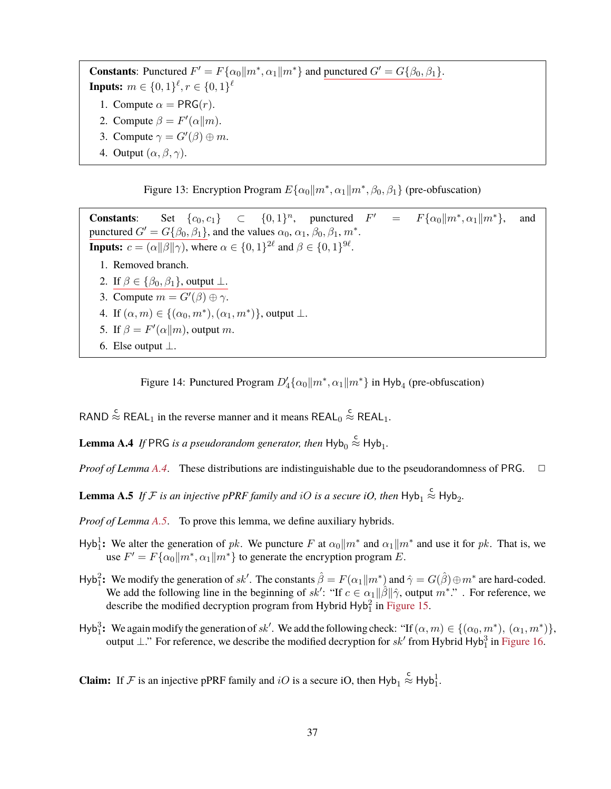**Constants**: Punctured  $F' = F\{\alpha_0 || m^*, \alpha_1 || m^*\}$  and punctured  $G' = G\{\beta_0, \beta_1\}.$ **Inputs:**  $m \in \{0,1\}^{\ell}, r \in \{0,1\}^{\ell}$ 

- 1. Compute  $\alpha = PRG(r)$ .
- 2. Compute  $\beta = F'(\alpha || m)$ .
- 3. Compute  $\gamma = G'(\beta) \oplus m$ .
- 4. Output  $(\alpha, \beta, \gamma)$ .

<span id="page-38-0"></span>Figure 13: Encryption Program  $E\{\alpha_0||m^*, \alpha_1||m^*, \beta_0, \beta_1\}$  (pre-obfuscation)

```
Constants: Set \{c_0, c_1\} ⊂
                                                              <sup>n</sup>, punctured F' = F\{\alpha_0 || m^*, \alpha_1 || m^* \}, and
punctured G' = G\{\beta_0, \beta_1\}, and the values \alpha_0, \alpha_1, \beta_0, \beta_1, m^*.
Inputs: c = (\alpha ||\beta||\gamma), where \alpha \in \{0, 1\}^{2\ell} and \beta \in \{0, 1\}^{9\ell}.
   1. Removed branch.
   2. If \beta \in {\beta_0, \beta_1}, output \bot.
   3. Compute m = G'(\beta) \oplus \gamma.
   4. If (\alpha, m) \in \{(\alpha_0, m^*), (\alpha_1, m^*)\}, output \perp.
   5. If \beta = F'(\alpha||m), output m.
   6. Else output ⊥.
```
<span id="page-38-1"></span>Figure 14: Punctured Program  $D'_4\{\alpha_0||m^*, \alpha_1||m^*\}\$  in Hyb<sub>4</sub> (pre-obfuscation)

RAND  $\stackrel{c}{\approx}$  REAL<sub>1</sub> in the reverse manner and it means REAL<sub>0</sub>  $\stackrel{c}{\approx}$  REAL<sub>1</sub>.

<span id="page-38-2"></span>**Lemma A.4** If PRG is a pseudorandom generator, then  $Hyb_0 \stackrel{c}{\approx} Hyb_1$ .

*Proof of Lemma [A.4](#page-38-2).* These distributions are indistinguishable due to the pseudorandomness of PRG.  $\Box$ 

<span id="page-38-3"></span>**Lemma A.5** If F is an injective pPRF family and iO is a secure iO, then  $Hyb_1 \stackrel{c}{\approx} Hyb_2$ .

*Proof of Lemma [A.5](#page-38-3)*. To prove this lemma, we define auxiliary hybrids.

- Hyb<sub>1</sub>: We alter the generation of pk. We puncture F at  $\alpha_0 || m^*$  and  $\alpha_1 || m^*$  and use it for pk. That is, we use  $F' = F\{\alpha_0 || m^*, \alpha_1 || m^*\}$  to generate the encryption program E.
- Hyb<sup>2</sup>: We modify the generation of sk'. The constants  $\hat{\beta} = F(\alpha_1 || m^*)$  and  $\hat{\gamma} = G(\hat{\beta}) \oplus m^*$  are hard-coded. We add the following line in the beginning of sk': "If  $c \in \alpha_1 || \hat{\beta} || \hat{\gamma}$ , output  $m^*$ ." . For reference, we describe the modified decryption program from Hybrid Hyb $_1^2$  in [Figure 15.](#page-39-0)
- Hyb<sub>1</sub><sup>2</sup>: We again modify the generation of sk'. We add the following check: "If  $(\alpha, m) \in \{(\alpha_0, m^*)$ ,  $(\alpha_1, m^*)\}$ , output  $\perp$ ." For reference, we describe the modified decryption for sk' from Hybrid Hyb $_1^3$  in [Figure 16.](#page-39-1)

**Claim:** If F is an injective pPRF family and *iO* is a secure iO, then  $Hyb_1 \stackrel{c}{\approx} Hyb_1^1$ .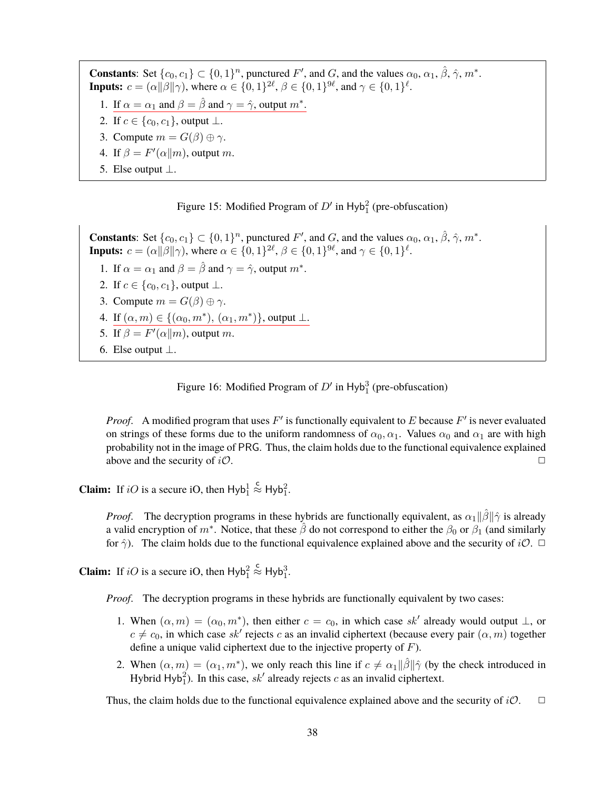**Constants**: Set  $\{c_0, c_1\} \subset \{0, 1\}^n$ , punctured F', and G, and the values  $\alpha_0, \alpha_1, \hat{\beta}, \hat{\gamma}, m^*$ . **Inputs:**  $c = (\alpha ||\beta||\gamma)$ , where  $\alpha \in \{0, 1\}^{2\ell}, \beta \in \{0, 1\}^{9\ell}$ , and  $\gamma \in \{0, 1\}^{\ell}$ .

- 1. If  $\alpha = \alpha_1$  and  $\beta = \hat{\beta}$  and  $\gamma = \hat{\gamma}$ , output  $m^*$ .
- 2. If  $c \in \{c_0, c_1\}$ , output  $\perp$ .
- 3. Compute  $m = G(\beta) \oplus \gamma$ .
- 4. If  $\beta = F'(\alpha || m)$ , output m.
- 5. Else output ⊥.

<span id="page-39-0"></span>

**Constants**: Set  $\{c_0, c_1\} \subset \{0, 1\}^n$ , punctured F', and G, and the values  $\alpha_0, \alpha_1, \hat{\beta}, \hat{\gamma}, m^*$ . **Inputs:**  $c = (\alpha || \beta || \gamma)$ , where  $\alpha \in \{0, 1\}^{2\ell}, \beta \in \{0, 1\}^{9\ell}$ , and  $\gamma \in \{0, 1\}^{\ell}$ . 1. If  $\alpha = \alpha_1$  and  $\beta = \hat{\beta}$  and  $\gamma = \hat{\gamma}$ , output  $m^*$ .

- 2. If  $c \in \{c_0, c_1\}$ , output  $\perp$ .
- 3. Compute  $m = G(\beta) \oplus \gamma$ .
- 4. If  $(\alpha, m) \in \{(\alpha_0, m^*), (\alpha_1, m^*)\}$ , output  $\perp$ .
- 5. If  $\beta = F'(\alpha || m)$ , output m.
- 6. Else output  $\perp$ .

<span id="page-39-1"></span>Figure 16: Modified Program of  $D'$  in Hyb $_1^3$  (pre-obfuscation)

*Proof.* A modified program that uses  $F'$  is functionally equivalent to E because  $F'$  is never evaluated on strings of these forms due to the uniform randomness of  $\alpha_0, \alpha_1$ . Values  $\alpha_0$  and  $\alpha_1$  are with high probability not in the image of PRG. Thus, the claim holds due to the functional equivalence explained above and the security of iO.  $\Box$ 

**Claim:** If *iO* is a secure iO, then  $Hyb_1^1$  $\stackrel{c}{\approx}$  Hyb $_1^2$ .

> *Proof.* The decryption programs in these hybrids are functionally equivalent, as  $\alpha_1 || \hat{\beta} || \hat{\gamma}$  is already a valid encryption of  $m^*$ . Notice, that these  $\hat{\beta}$  do not correspond to either the  $\beta_0$  or  $\beta_1$  (and similarly for  $\hat{\gamma}$ ). The claim holds due to the functional equivalence explained above and the security of  $i\mathcal{O}$ .  $\Box$

**Claim:** If *iO* is a secure iO, then  $Hyb_1^2$  $\stackrel{c}{\approx}$  Hyb $_1^3$ .

*Proof.* The decryption programs in these hybrids are functionally equivalent by two cases:

- 1. When  $(\alpha, m) = (\alpha_0, m^*)$ , then either  $c = c_0$ , in which case sk' already would output  $\perp$ , or  $c \neq c_0$ , in which case sk' rejects c as an invalid ciphertext (because every pair  $(\alpha, m)$  together define a unique valid ciphertext due to the injective property of  $F$ ).
- 2. When  $(\alpha, m) = (\alpha_1, m^*)$ , we only reach this line if  $c \neq \alpha_1 || \hat{\beta} || \hat{\gamma}$  (by the check introduced in Hybrid Hyb<sup>2</sup><sub>1</sub>). In this case, sk' already rejects c as an invalid ciphertext.

Thus, the claim holds due to the functional equivalence explained above and the security of  $i\mathcal{O}$ .  $\Box$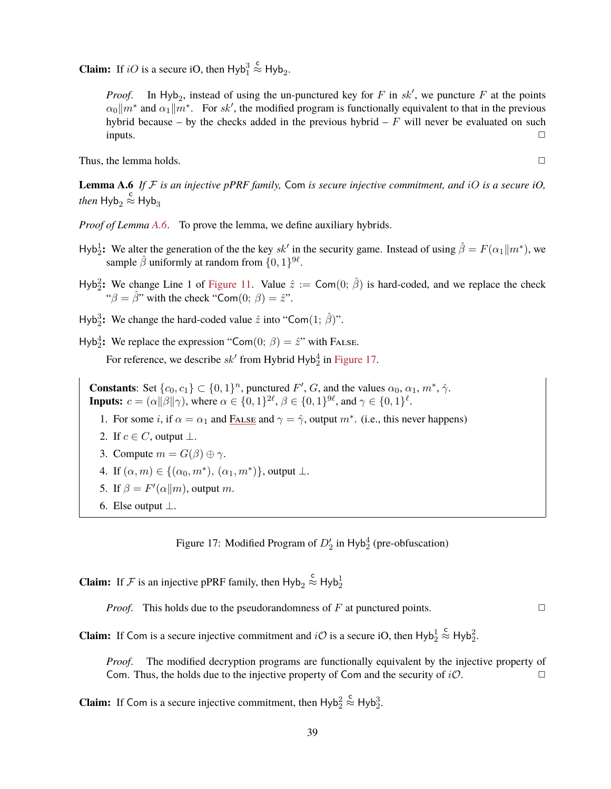**Claim:** If *iO* is a secure iO, then  $Hyb<sub>1</sub><sup>3</sup>$  $\stackrel{c}{\approx}$  Hyb<sub>2</sub>.

> *Proof.* In Hyb<sub>2</sub>, instead of using the un-punctured key for F in  $sk'$ , we puncture F at the points  $\alpha_0||m^*$  and  $\alpha_1||m^*$ . For sk', the modified program is functionally equivalent to that in the previous hybrid because – by the checks added in the previous hybrid –  $F$  will never be evaluated on such  $\Box$ inputs.  $\Box$

Thus, the lemma holds.  $\Box$ 

<span id="page-40-0"></span>**Lemma A.6** *If* F *is an injective pPRF family,* Com *is secure injective commitment, and* iO *is a secure iO,*  $\Delta t$ <sub>then</sub> Hyb<sub>2</sub>  $\stackrel{\circ}{\approx}$  Hyb<sub>3</sub>

*Proof of Lemma [A.6](#page-40-0)*. To prove the lemma, we define auxiliary hybrids.

- Hyb<sub>2</sub>: We alter the generation of the the key sk<sup>'</sup> in the security game. Instead of using  $\hat{\beta} = F(\alpha_1 || m^*)$ , we sample  $\hat{\beta}$  uniformly at random from  $\{0, 1\}^{9\ell}$ .
- Hyb<sub>2</sub>: We change Line 1 of [Figure 11.](#page-37-1) Value  $\hat{z} := \text{Com}(0; \hat{\beta})$  is hard-coded, and we replace the check " $\beta = \hat{\beta}$ " with the check "Com(0;  $\beta$ ) =  $\hat{z}$ ".
- Hyb<sup>3</sup>: We change the hard-coded value  $\hat{z}$  into "Com $(1; \hat{\beta})$ ".
- Hyb<sup>4</sup><sub>2</sub>: We replace the expression "Com(0;  $\beta$ ) =  $\hat{z}$ " with FALSE.

For reference, we describe  $sk'$  from Hybrid Hyb $_2^4$  in [Figure 17.](#page-40-1)

**Constants**: Set  $\{c_0, c_1\} \subset \{0, 1\}^n$ , punctured  $F'$ , G, and the values  $\alpha_0, \alpha_1, m^*, \hat{\gamma}$ . **Inputs:**  $c = (\alpha ||\beta||\gamma)$ , where  $\alpha \in \{0, 1\}^{2\ell}, \beta \in \{0, 1\}^{9\ell}$ , and  $\gamma \in \{0, 1\}^{\ell}$ .

- 1. For some *i*, if  $\alpha = \alpha_1$  and <u>FALSE</u> and  $\gamma = \hat{\gamma}$ , output  $m^*$ . (i.e., this never happens)
- 2. If  $c \in C$ , output  $\perp$ .
- 3. Compute  $m = G(\beta) \oplus \gamma$ .
- 4. If  $(\alpha, m) \in \{(\alpha_0, m^*), (\alpha_1, m^*)\}$ , output  $\perp$ .
- 5. If  $\beta = F'(\alpha || m)$ , output m.
- 6. Else output ⊥.

<span id="page-40-1"></span>Figure 17: Modified Program of  $D_2'$  in Hyb $_2^4$  (pre-obfuscation)

**Claim:** If F is an injective pPRF family, then  $Hyb_2 \stackrel{c}{\approx} Hyb_2^1$ 

*Proof.* This holds due to the pseudorandomness of  $F$  at punctured points.  $\Box$ 

**Claim:** If Com is a secure injective commitment and  $i\mathcal{O}$  is a secure iO, then  $Hyb_2^1$  $\stackrel{c}{\approx}$  Hyb $_2^2$ .

*Proof.* The modified decryption programs are functionally equivalent by the injective property of Com. Thus, the holds due to the injective property of Com and the security of  $i\mathcal{O}$ .

**Claim:** If Com is a secure injective commitment, then  $Hyb<sub>2</sub><sup>2</sup>$  $\stackrel{\mathsf{c}}{\approx}$  Hyb $_2^3$ .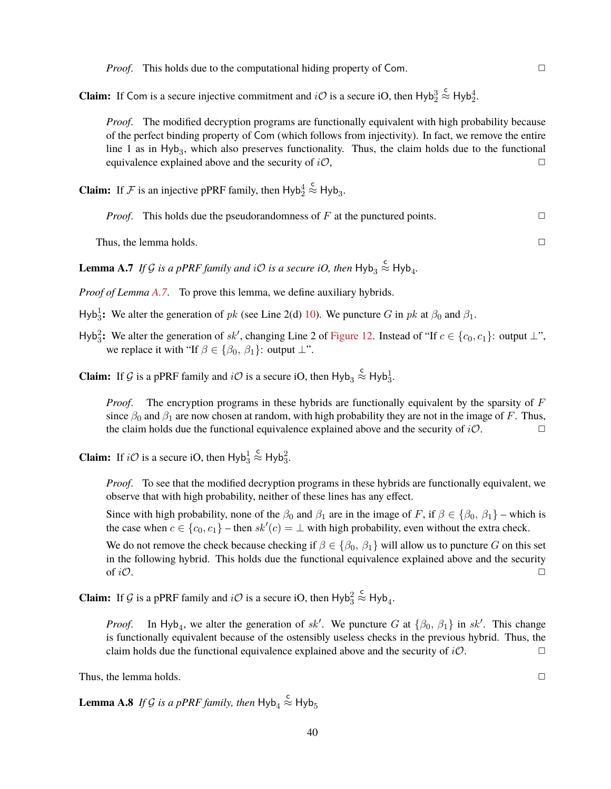*Proof.* This holds due to the computational hiding property of Com. □

**Claim:** If Com is a secure injective commitment and  $i\mathcal{O}$  is a secure iO, then  $Hyb<sub>2</sub><sup>3</sup>$  $\stackrel{c}{\approx}$  Hyb $_2^4$ .

*Proof*. The modified decryption programs are functionally equivalent with high probability because of the perfect binding property of Com (which follows from injectivity). In fact, we remove the entire line 1 as in  $Hyb_3$ , which also preserves functionality. Thus, the claim holds due to the functional equivalence explained above and the security of  $i\mathcal{O}$ ,  $\Box$ 

**Claim:** If  $\mathcal F$  is an injective pPRF family, then  $\text{Hyb}_2^4$  $\stackrel{c}{\approx}$  Hyb<sub>3</sub>.

*Proof.* This holds due the pseudorandomness of F at the punctured points.  $\Box$ 

Thus, the lemma holds.  $\Box$ 

<span id="page-41-0"></span>**Lemma A.7** If G is a pPRF family and iO is a secure iO, then  $Hyb_3 \stackrel{c}{\approx} Hyb_4$ .

*Proof of Lemma [A.7](#page-41-0)*. To prove this lemma, we define auxiliary hybrids.

- Hyb<sup>1</sup>/<sub>2</sub>: We alter the generation of pk (see Line 2(d) [10\)](#page-37-0). We puncture G in pk at  $\beta_0$  and  $\beta_1$ .
- Hyb<sub>3</sub>: We alter the generation of sk', changing Line 2 of [Figure 12.](#page-37-2) Instead of "If  $c \in \{c_0, c_1\}$ : output  $\perp$ ", we replace it with "If  $\beta \in {\beta_0, \beta_1}$ : output ⊥".

**Claim:** If G is a pPRF family and  $iO$  is a secure iO, then  $Hyb_3 \stackrel{c}{\approx} Hyb_3^1$ .

*Proof.* The encryption programs in these hybrids are functionally equivalent by the sparsity of F since  $\beta_0$  and  $\beta_1$  are now chosen at random, with high probability they are not in the image of F. Thus, the claim holds due the functional equivalence explained above and the security of  $i\mathcal{O}$ .

**Claim:** If  $i\mathcal{O}$  is a secure iO, then  $Hyb_3^1$  $\stackrel{\mathsf{c}}{\approx}$  Hyb $_3^2$ .

> *Proof.* To see that the modified decryption programs in these hybrids are functionally equivalent, we observe that with high probability, neither of these lines has any effect.

> Since with high probability, none of the  $\beta_0$  and  $\beta_1$  are in the image of F, if  $\beta \in {\beta_0, \beta_1}$  – which is the case when  $c \in \{c_0, c_1\}$  – then  $sk'(c) = \perp$  with high probability, even without the extra check.

> We do not remove the check because checking if  $\beta \in {\beta_0, \beta_1}$  will allow us to puncture G on this set in the following hybrid. This holds due the functional equivalence explained above and the security of  $iO$ .

**Claim:** If G is a pPRF family and  $iO$  is a secure iO, then  $Hyb_3^2$  $\stackrel{c}{\approx}$  Hyb<sub>4</sub>.

*Proof.* In Hyb<sub>4</sub>, we alter the generation of sk'. We puncture G at  $\{\beta_0, \beta_1\}$  in sk'. This change is functionally equivalent because of the ostensibly useless checks in the previous hybrid. Thus, the claim holds due the functional equivalence explained above and the security of  $i\mathcal{O}$ .

Thus, the lemma holds.  $\Box$ 

<span id="page-41-1"></span>**Lemma A.8** If G is a pPRF family, then  $Hyb_4 \stackrel{c}{\approx} Hyb_5$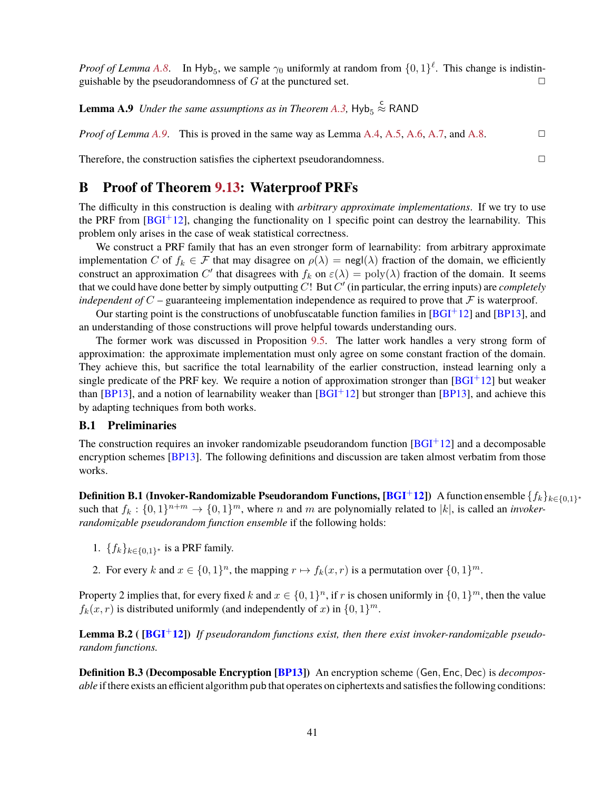*Proof of Lemma [A.8](#page-41-1)*. In Hyb<sub>5</sub>, we sample  $\gamma_0$  uniformly at random from  $\{0,1\}^{\ell}$ . This change is indistinguishable by the pseudorandomness of  $G$  at the punctured set.  $\Box$ 

<span id="page-42-2"></span>**Lemma A.9** *Under the same assumptions as in Theorem A.3*,  $Hyb_5 \stackrel{c}{\approx} RAND$ 

*Proof of Lemma*  $A.9$ . This is proved in the same way as Lemma  $A.4$ ,  $A.5$ ,  $A.6$ ,  $A.7$ , and  $A.8$ .

Therefore, the construction satisfies the ciphertext pseudorandomness.  $\Box$ 

### <span id="page-42-0"></span>**B Proof of Theorem [9.13:](#page-30-1) Waterproof PRFs**

The difficulty in this construction is dealing with *arbitrary approximate implementations*. If we try to use the PRF from  $[BGI^+12]$  $[BGI^+12]$ , changing the functionality on 1 specific point can destroy the learnability. This problem only arises in the case of weak statistical correctness.

We construct a PRF family that has an even stronger form of learnability: from arbitrary approximate implementation C of  $f_k \in \mathcal{F}$  that may disagree on  $\rho(\lambda) = \text{negl}(\lambda)$  fraction of the domain, we efficiently construct an approximation C' that disagrees with  $f_k$  on  $\varepsilon(\lambda) = \text{poly}(\lambda)$  fraction of the domain. It seems that we could have done better by simply outputting  $C!$  But  $C'$  (in particular, the erring inputs) are *completely independent of*  $C$  – guaranteeing implementation independence as required to prove that  $\mathcal F$  is waterproof.

Our starting point is the constructions of unobfuscatable function families in  $[BGI^+12]$  $[BGI^+12]$  and  $[BPI3]$ , and an understanding of those constructions will prove helpful towards understanding ours.

The former work was discussed in Proposition [9.5.](#page-28-3) The latter work handles a very strong form of approximation: the approximate implementation must only agree on some constant fraction of the domain. They achieve this, but sacrifice the total learnability of the earlier construction, instead learning only a single predicate of the PRF key. We require a notion of approximation stronger than  $[BGI^+12]$  $[BGI^+12]$  but weaker than [\[BP13\]](#page-32-9), and a notion of learnability weaker than  $[BGI^+12]$  $[BGI^+12]$  but stronger than [BP13], and achieve this by adapting techniques from both works.

#### <span id="page-42-1"></span>**B.1 Preliminaries**

The construction requires an invoker randomizable pseudorandom function  $[{\rm BGI^+12}]$  and a decomposable encryption schemes [\[BP13\]](#page-32-9). The following definitions and discussion are taken almost verbatim from those works.

**Definition B.1 (Invoker-Randomizable Pseudorandom Functions, [\[BGI](#page-32-1)<sup>+</sup>12])** A function ensemble  $\{f_k\}_{k\in\{0,1\}^*}$ such that  $f_k: \{0,1\}^{n+m} \to \{0,1\}^m$ , where n and m are polynomially related to |k|, is called an *invokerrandomizable pseudorandom function ensemble* if the following holds:

- 1.  ${f_k}_{k \in \{0,1\}^*}$  is a PRF family.
- 2. For every k and  $x \in \{0,1\}^n$ , the mapping  $r \mapsto f_k(x,r)$  is a permutation over  $\{0,1\}^m$ .

Property 2 implies that, for every fixed k and  $x \in \{0,1\}^n$ , if r is chosen uniformly in  $\{0,1\}^m$ , then the value  $f_k(x,r)$  is distributed uniformly (and independently of x) in  $\{0,1\}^m$ .

**Lemma B.2 ( [\[BGI](#page-32-1)**+**12])** *If pseudorandom functions exist, then there exist invoker-randomizable pseudorandom functions.*

**Definition B.3 (Decomposable Encryption [\[BP13\]](#page-32-9))** An encryption scheme (Gen, Enc, Dec) is *decomposable* if there exists an efficient algorithm pub that operates on ciphertexts and satisfies the following conditions: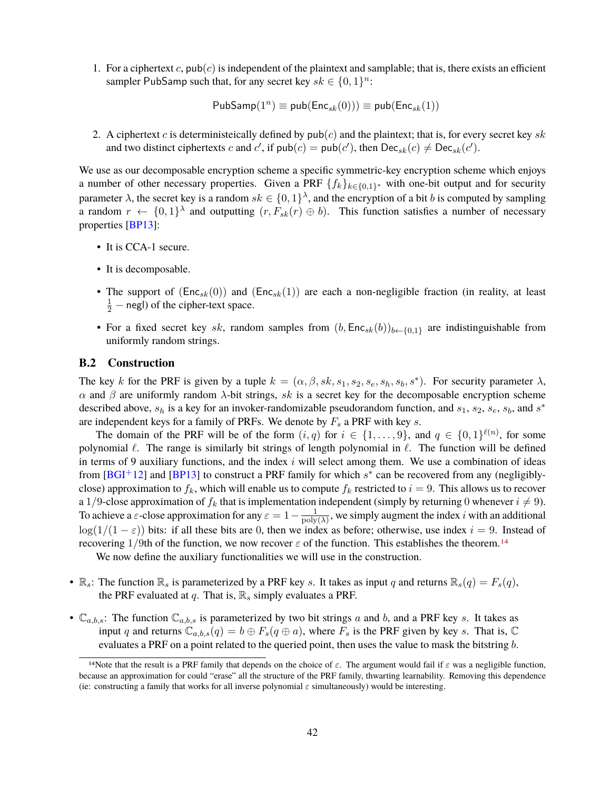1. For a ciphertext c,  $\text{pub}(c)$  is independent of the plaintext and samplable; that is, there exists an efficient sampler PubSamp such that, for any secret key  $sk \in \{0, 1\}^n$ :

 $\mathsf{PubSamp}(1^n) \equiv \mathsf{pub}(\mathsf{Enc}_{sk}(0))) \equiv \mathsf{pub}(\mathsf{Enc}_{sk}(1))$ 

2. A ciphertext c is deterministeically defined by  $\text{pub}(c)$  and the plaintext; that is, for every secret key sk and two distinct ciphertexts c and  $c'$ , if  $\mathsf{pub}(c) = \mathsf{pub}(c')$ , then  $\mathsf{Dec}_{sk}(c) \neq \mathsf{Dec}_{sk}(c')$ .

We use as our decomposable encryption scheme a specific symmetric-key encryption scheme which enjoys a number of other necessary properties. Given a PRF  $\{f_k\}_{k\in\{0,1\}^*}$  with one-bit output and for security parameter  $\lambda$ , the secret key is a random  $sk \in \{0,1\}^{\lambda}$ , and the encryption of a bit b is computed by sampling a random  $r \leftarrow \{0,1\}^{\lambda}$  and outputting  $(r, F_{sk}(r) \oplus b)$ . This function satisfies a number of necessary properties [\[BP13\]](#page-32-9):

- It is CCA-1 secure.
- It is decomposable.
- The support of  $(Enc_{sk}(0))$  and  $(Enc_{sk}(1))$  are each a non-negligible fraction (in reality, at least  $\frac{1}{2}$  – negl) of the cipher-text space.
- For a fixed secret key sk, random samples from  $(b, Enc_{sk}(b))_{b \leftarrow \{0,1\}}$  are indistinguishable from uniformly random strings.

### <span id="page-43-0"></span>**B.2 Construction**

The key k for the PRF is given by a tuple  $k = (\alpha, \beta, sk, s_1, s_2, s_e, s_h, s_b, s^*)$ . For security parameter  $\lambda$ ,  $\alpha$  and  $\beta$  are uniformly random  $\lambda$ -bit strings, sk is a secret key for the decomposable encryption scheme described above,  $s_h$  is a key for an invoker-randomizable pseudorandom function, and  $s_1$ ,  $s_2$ ,  $s_e$ ,  $s_b$ , and  $s^*$ are independent keys for a family of PRFs. We denote by  $F_s$  a PRF with key  $s$ .

The domain of the PRF will be of the form  $(i, q)$  for  $i \in \{1, \ldots, 9\}$ , and  $q \in \{0, 1\}^{\ell(n)}$ , for some polynomial  $\ell$ . The range is similarly bit strings of length polynomial in  $\ell$ . The function will be defined in terms of 9 auxiliary functions, and the index  $i$  will select among them. We use a combination of ideas from  $[BGI^+12]$  $[BGI^+12]$  and  $[BP13]$  to construct a PRF family for which  $s^*$  can be recovered from any (negligiblyclose) approximation to  $f_k$ , which will enable us to compute  $f_k$  restricted to  $i = 9$ . This allows us to recover a 1/9-close approximation of  $f_k$  that is implementation independent (simply by returning 0 whenever  $i \neq 9$ ). To achieve a  $\varepsilon$ -close approximation for any  $\varepsilon = 1 - \frac{1}{\text{poly}}$  $\frac{1}{\text{poly}(\lambda)}$ , we simply augment the index i with an additional  $\log(1/(1-\varepsilon))$  bits: if all these bits are 0, then we index as before; otherwise, use index  $i=9$ . Instead of recovering 1/9th of the function, we now recover  $\varepsilon$  of the function. This establishes the theorem.<sup>[14](#page-43-1)</sup>

We now define the auxiliary functionalities we will use in the construction.

- $\mathbb{R}_s$ : The function  $\mathbb{R}_s$  is parameterized by a PRF key s. It takes as input q and returns  $\mathbb{R}_s(q) = F_s(q)$ , the PRF evaluated at q. That is,  $\mathbb{R}_s$  simply evaluates a PRF.
- $\mathbb{C}_{a,b,s}$ : The function  $\mathbb{C}_{a,b,s}$  is parameterized by two bit strings a and b, and a PRF key s. It takes as input q and returns  $\mathbb{C}_{a,b,s}(q) = b \oplus F_s(q \oplus a)$ , where  $F_s$  is the PRF given by key s. That is,  $\mathbb{C}_{a,b,s}(q)$ evaluates a PRF on a point related to the queried point, then uses the value to mask the bitstring  $b$ .

<span id="page-43-1"></span><sup>&</sup>lt;sup>14</sup>Note that the result is a PRF family that depends on the choice of  $\varepsilon$ . The argument would fail if  $\varepsilon$  was a negligible function, because an approximation for could "erase" all the structure of the PRF family, thwarting learnability. Removing this dependence (ie: constructing a family that works for all inverse polynomial  $\varepsilon$  simultaneously) would be interesting.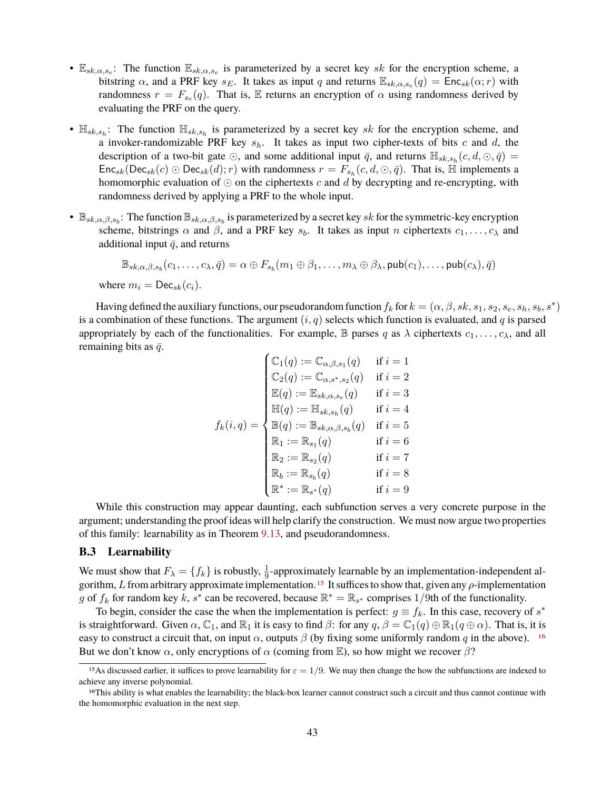- $\mathbb{E}_{sk,\alpha,s_e}$ : The function  $\mathbb{E}_{sk,\alpha,s_e}$  is parameterized by a secret key sk for the encryption scheme, a bitstring  $\alpha$ , and a PRF key  $s_E$ . It takes as input q and returns  $\mathbb{E}_{sk,\alpha,s_e}(q) = \text{Enc}_{sk}(\alpha; r)$  with randomness  $r = F_{s_e}(q)$ . That is, E returns an encryption of  $\alpha$  using randomness derived by evaluating the PRF on the query.
- $\mathbb{H}_{sk, s_h}$ : The function  $\mathbb{H}_{sk, s_h}$  is parameterized by a secret key sk for the encryption scheme, and a invoker-randomizable PRF key  $s_h$ . It takes as input two cipher-texts of bits c and d, the description of a two-bit gate  $\odot$ , and some additional input  $\bar{q}$ , and returns  $\mathbb{H}_{sk, s_h}(c, d, \odot, \bar{q}) =$  $Enc_{sk}(Dec_{sk}(c) \odot Dec_{sk}(d); r)$  with randomness  $r = F_{s_h}(c, d, \odot, \overline{q})$ . That is,  $\mathbb H$  implements a homomorphic evaluation of  $\odot$  on the ciphertexts c and d by decrypting and re-encrypting, with randomness derived by applying a PRF to the whole input.
- $\bullet$   $\mathbb{B}_{sk,\alpha,\beta,s_b}$ : The function  $\mathbb{B}_{sk,\alpha,\beta,s_b}$  is parameterized by a secret key sk for the symmetric-key encryption scheme, bitstrings  $\alpha$  and  $\beta$ , and a PRF key  $s_b$ . It takes as input n ciphertexts  $c_1, \ldots, c_\lambda$  and additional input  $\bar{q}$ , and returns

$$
\mathbb{B}_{sk,\alpha,\beta,s_b}(c_1,\ldots,c_\lambda,\bar{q}) = \alpha \oplus F_{s_b}(m_1 \oplus \beta_1,\ldots,m_\lambda \oplus \beta_\lambda,\mathsf{pub}(c_1),\ldots,\mathsf{pub}(c_\lambda),\bar{q})
$$
  
where  $m_i = \text{Dec}_{sk}(c_i)$ .

Having defined the auxiliary functions, our pseudorandom function  $f_k$  for  $k = (\alpha, \beta, sk, s_1, s_2, s_e, s_h, s_b, s^*)$ is a combination of these functions. The argument  $(i, q)$  selects which function is evaluated, and q is parsed appropriately by each of the functionalities. For example,  $\mathbb B$  parses q as  $\lambda$  ciphertexts  $c_1, \ldots, c_\lambda$ , and all remaining bits as  $\bar{q}$ .

$$
f_k(i,q) = \begin{cases} \mathbb{C}_1(q) := \mathbb{C}_{\alpha,\beta,s_1}(q) & \text{if } i = 1\\ \mathbb{C}_2(q) := \mathbb{C}_{\alpha,s^*,s_2}(q) & \text{if } i = 2\\ \mathbb{E}(q) := \mathbb{E}_{sk,\alpha,s_e}(q) & \text{if } i = 3\\ \mathbb{H}(q) := \mathbb{H}_{sk,s_h}(q) & \text{if } i = 4\\ \mathbb{B}(q) := \mathbb{B}_{sk,\alpha,\beta,s_b}(q) & \text{if } i = 5\\ \mathbb{R}_1 := \mathbb{R}_{s_1}(q) & \text{if } i = 6\\ \mathbb{R}_2 := \mathbb{R}_{s_2}(q) & \text{if } i = 7\\ \mathbb{R}_b := \mathbb{R}_{s_b}(q) & \text{if } i = 8\\ \mathbb{R}^* := \mathbb{R}_{s^*}(q) & \text{if } i = 9 \end{cases}
$$

While this construction may appear daunting, each subfunction serves a very concrete purpose in the argument; understanding the proof ideas will help clarify the construction. We must now argue two properties of this family: learnability as in Theorem [9.13,](#page-30-1) and pseudorandomness.

### <span id="page-44-0"></span>**B.3 Learnability**

We must show that  $F_{\lambda} = \{f_k\}$  is robustly,  $\frac{1}{9}$ -approximately learnable by an implementation-independent al-gorithm, L from arbitrary approximate implementation.<sup>[15](#page-44-1)</sup> It suffices to show that, given any  $\rho$ -implementation g of  $f_k$  for random key k, s<sup>\*</sup> can be recovered, because  $\mathbb{R}^* = \mathbb{R}_{s^*}$  comprises 1/9th of the functionality.

To begin, consider the case the when the implementation is perfect:  $g \equiv f_k$ . In this case, recovery of  $s^*$ is straightforward. Given  $\alpha$ ,  $\mathbb{C}_1$ , and  $\mathbb{R}_1$  it is easy to find  $\beta$ : for any  $q$ ,  $\beta = \mathbb{C}_1(q) \oplus \mathbb{R}_1(q \oplus \alpha)$ . That is, it is easy to construct a circuit that, on input  $\alpha$ , outputs  $\beta$  (by fixing some uniformly random q in the above). <sup>[16](#page-44-2)</sup> But we don't know  $\alpha$ , only encryptions of  $\alpha$  (coming from E), so how might we recover  $\beta$ ?

<span id="page-44-1"></span><sup>&</sup>lt;sup>15</sup>As discussed earlier, it suffices to prove learnability for  $\varepsilon = 1/9$ . We may then change the how the subfunctions are indexed to achieve any inverse polynomial.

<span id="page-44-2"></span><sup>&</sup>lt;sup>16</sup>This ability is what enables the learnability; the black-box learner cannot construct such a circuit and thus cannot continue with the homomorphic evaluation in the next step.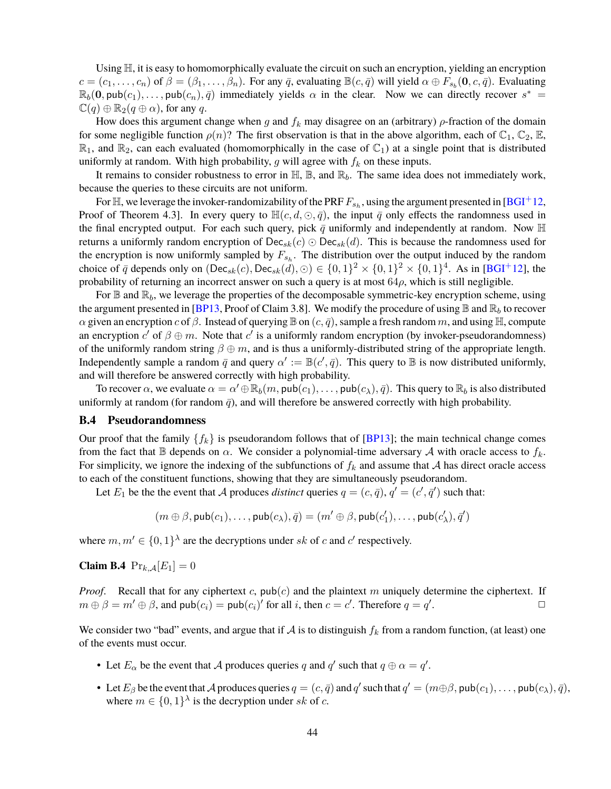Using  $\mathbb{H}$ , it is easy to homomorphically evaluate the circuit on such an encryption, yielding an encryption  $c = (c_1, \ldots, c_n)$  of  $\beta = (\beta_1, \ldots, \beta_n)$ . For any  $\bar{q}$ , evaluating  $\mathbb{B}(c, \bar{q})$  will yield  $\alpha \oplus F_{s_b}(\mathbf{0}, c, \bar{q})$ . Evaluating  $\mathbb{R}_b(0, \text{pub}(c_1), \ldots, \text{pub}(c_n), \bar{q})$  immediately yields  $\alpha$  in the clear. Now we can directly recover  $s^* =$  $\mathbb{C}(q) \oplus \mathbb{R}_2(q \oplus \alpha)$ , for any q.

How does this argument change when q and  $f_k$  may disagree on an (arbitrary)  $\rho$ -fraction of the domain for some negligible function  $\rho(n)$ ? The first observation is that in the above algorithm, each of  $\mathbb{C}_1$ ,  $\mathbb{C}_2$ ,  $\mathbb{E}$ ,  $\mathbb{R}_1$ , and  $\mathbb{R}_2$ , can each evaluated (homomorphically in the case of  $\mathbb{C}_1$ ) at a single point that is distributed uniformly at random. With high probability, g will agree with  $f_k$  on these inputs.

It remains to consider robustness to error in  $\mathbb{H}$ ,  $\mathbb{B}$ , and  $\mathbb{R}_b$ . The same idea does not immediately work, because the queries to these circuits are not uniform.

For  $\mathbb H$ , we leverage the invoker-randomizability of the PRF  $F_{s_h}$ , using the argument presented in [\[BGI](#page-32-1)<sup>+</sup>12, Proof of Theorem 4.3]. In every query to  $\mathbb{H}(c, d, \odot, \bar{q})$ , the input  $\bar{q}$  only effects the randomness used in the final encrypted output. For each such query, pick  $\bar{q}$  uniformly and independently at random. Now  $\mathbb H$ returns a uniformly random encryption of  $\text{Dec}_{sk}(c) \odot \text{Dec}_{sk}(d)$ . This is because the randomness used for the encryption is now uniformly sampled by  $F_{s_h}$ . The distribution over the output induced by the random choice of  $\bar{q}$  depends only on  $(Dec_{sk}(c), Dec_{sk}(\tilde{d}), \odot) \in \{0,1\}^2 \times \{0,1\}^2 \times \{0,1\}^4$ . As in [\[BGI](#page-32-1)<sup>+</sup>12], the probability of returning an incorrect answer on such a query is at most  $64\rho$ , which is still negligible.

For  $\mathbb B$  and  $\mathbb R_b$ , we leverage the properties of the decomposable symmetric-key encryption scheme, using the argument presented in [\[BP13,](#page-32-9) Proof of Claim 3.8]. We modify the procedure of using  $\mathbb B$  and  $\mathbb R_b$  to recover  $\alpha$  given an encryption  $c$  of  $\beta$ . Instead of querying  $\mathbb B$  on  $(c, \bar{q})$ , sample a fresh random m, and using  $\mathbb H$ , compute an encryption  $c'$  of  $\beta \oplus m$ . Note that  $c'$  is a uniformly random encryption (by invoker-pseudorandomness) of the uniformly random string  $\beta \oplus m$ , and is thus a uniformly-distributed string of the appropriate length. Independently sample a random  $\bar{q}$  and query  $\alpha' := \mathbb{B}(c', \bar{q})$ . This query to  $\bar{\mathbb{B}}$  is now distributed uniformly, and will therefore be answered correctly with high probability.

To recover  $\alpha$ , we evaluate  $\alpha = \alpha' \oplus \mathbb{R}_b(m, \text{pub}(c_1), \dots, \text{pub}(c_\lambda), \bar{q})$ . This query to  $\mathbb{R}_b$  is also distributed uniformly at random (for random  $\bar{q}$ ), and will therefore be answered correctly with high probability.

#### <span id="page-45-0"></span>**B.4 Pseudorandomness**

Our proof that the family  $\{f_k\}$  is pseudorandom follows that of [\[BP13\]](#page-32-9); the main technical change comes from the fact that  $\mathbb B$  depends on  $\alpha$ . We consider a polynomial-time adversary A with oracle access to  $f_k$ . For simplicity, we ignore the indexing of the subfunctions of  $f_k$  and assume that A has direct oracle access to each of the constituent functions, showing that they are simultaneously pseudorandom.

Let  $E_1$  be the the event that A produces *distinct* queries  $q = (c, \bar{q}), q' = (c', \bar{q}')$  such that:

$$
(m\oplus \beta, \mathsf{pub}(c_1), \ldots, \mathsf{pub}(c_\lambda), \bar{q}) = (m'\oplus \beta, \mathsf{pub}(c'_1), \ldots, \mathsf{pub}(c'_\lambda), \bar{q}')
$$

where  $m, m' \in \{0, 1\}^{\lambda}$  are the decryptions under sk of c and c' respectively.

**Claim B.4**  $Pr_{k, \mathcal{A}}[E_1] = 0$ 

*Proof.* Recall that for any ciphertext c,  $\text{pub}(c)$  and the plaintext m uniquely determine the ciphertext. If  $m \oplus \beta = m' \oplus \beta$ , and  $\mathsf{pub}(c_i) = \mathsf{pub}(c_i)'$  for all i, then  $c = c'$ . Therefore  $q = q'$ .  $\Box$ 

We consider two "bad" events, and argue that if A is to distinguish  $f_k$  from a random function, (at least) one of the events must occur.

- Let  $E_{\alpha}$  be the event that A produces queries q and q' such that  $q \oplus \alpha = q'$ .
- <span id="page-45-1"></span>• Let  $E_\beta$  be the event that  $\mathcal A$  produces queries  $q=(c,\bar q)$  and  $q'$  such that  $q'=(m\oplus\beta,\text{pub}(c_1),\ldots,\text{pub}(c_\lambda),\bar q)$ , where  $m \in \{0,1\}^{\lambda}$  is the decryption under sk of c.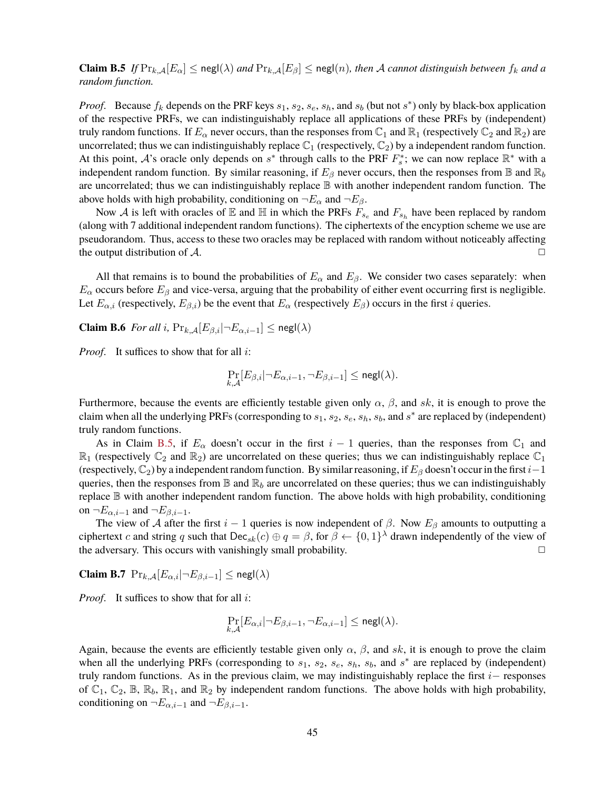**Claim B.5** *If*  $Pr_{k,A}[E_\alpha] \leq$  negl( $\lambda$ ) *and*  $Pr_{k,A}[E_\beta] \leq$  negl(n), *then* A *cannot distinguish between*  $f_k$  *and a random function.*

*Proof.* Because  $f_k$  depends on the PRF keys  $s_1$ ,  $s_2$ ,  $s_e$ ,  $s_h$ , and  $s_b$  (but not  $s^*$ ) only by black-box application of the respective PRFs, we can indistinguishably replace all applications of these PRFs by (independent) truly random functions. If  $E_\alpha$  never occurs, than the responses from  $\mathbb{C}_1$  and  $\mathbb{R}_1$  (respectively  $\mathbb{C}_2$  and  $\mathbb{R}_2$ ) are uncorrelated; thus we can indistinguishably replace  $\mathbb{C}_1$  (respectively,  $\mathbb{C}_2$ ) by a independent random function. At this point, A's oracle only depends on  $s^*$  through calls to the PRF  $F_s^*$ ; we can now replace  $\mathbb{R}^*$  with a independent random function. By similar reasoning, if  $E_\beta$  never occurs, then the responses from  $\mathbb B$  and  $\mathbb R_b$ are uncorrelated; thus we can indistinguishably replace  $\mathbb B$  with another independent random function. The above holds with high probability, conditioning on  $\neg E_{\alpha}$  and  $\neg E_{\beta}$ .

Now A is left with oracles of E and H in which the PRFs  $F_{s_e}$  and  $F_{s_h}$  have been replaced by random (along with 7 additional independent random functions). The ciphertexts of the encyption scheme we use are pseudorandom. Thus, access to these two oracles may be replaced with random without noticeably affecting the output distribution of  $A$ .  $\Box$ 

All that remains is to bound the probabilities of  $E_\alpha$  and  $E_\beta$ . We consider two cases separately: when  $E_\alpha$  occurs before  $E_\beta$  and vice-versa, arguing that the probability of either event occurring first is negligible. Let  $E_{\alpha,i}$  (respectively,  $E_{\beta,i}$ ) be the event that  $E_{\alpha}$  (respectively  $E_{\beta}$ ) occurs in the first *i* queries.

**Claim B.6** *For all i*,  $Pr_{k,A}[E_{\beta,i}|\neg E_{\alpha,i-1}] \leq \text{negl}(\lambda)$ 

*Proof.* It suffices to show that for all *i*:

$$
\Pr_{k,\mathcal{A}}[E_{\beta,i} | \neg E_{\alpha,i-1}, \neg E_{\beta,i-1}] \leq \mathsf{negl}(\lambda).
$$

Furthermore, because the events are efficiently testable given only  $\alpha$ ,  $\beta$ , and sk, it is enough to prove the claim when all the underlying PRFs (corresponding to  $s_1, s_2, s_e, s_h, s_b$ , and  $s^*$  are replaced by (independent) truly random functions.

As in Claim [B.5,](#page-45-1) if  $E_\alpha$  doesn't occur in the first  $i - 1$  queries, than the responses from  $\mathbb{C}_1$  and  $\mathbb{R}_1$  (respectively  $\mathbb{C}_2$  and  $\mathbb{R}_2$ ) are uncorrelated on these queries; thus we can indistinguishably replace  $\mathbb{C}_1$ (respectively,  $\mathbb{C}_2$ ) by a independent random function. By similar reasoning, if  $E_\beta$  doesn't occur in the first  $i-1$ queries, then the responses from  $\mathbb B$  and  $\mathbb R_b$  are uncorrelated on these queries; thus we can indistinguishably replace B with another independent random function. The above holds with high probability, conditioning on  $\neg E_{\alpha,i-1}$  and  $\neg E_{\beta,i-1}$ .

The view of A after the first  $i - 1$  queries is now independent of  $\beta$ . Now  $E_{\beta}$  amounts to outputting a ciphertext c and string q such that  $\mathsf{Dec}_{sk}(c) \oplus q = \beta$ , for  $\beta \leftarrow \{0,1\}^{\lambda}$  drawn independently of the view of the adversary. This occurs with vanishingly small probability.  $\Box$ 

**Claim B.7**  $Pr_{k,A}[E_{\alpha,i}|\neg E_{\beta,i-1}] \leq$  negl( $\lambda$ )

*Proof.* It suffices to show that for all *i*:

$$
\Pr_{k,\mathcal{A}}[E_{\alpha,i} | \neg E_{\beta,i-1}, \neg E_{\alpha,i-1}] \leq \mathsf{negl}(\lambda).
$$

Again, because the events are efficiently testable given only  $\alpha$ ,  $\beta$ , and sk, it is enough to prove the claim when all the underlying PRFs (corresponding to  $s_1$ ,  $s_2$ ,  $s_e$ ,  $s_h$ ,  $s_b$ , and  $s^*$  are replaced by (independent) truly random functions. As in the previous claim, we may indistinguishably replace the first  $i-$  responses of  $\mathbb{C}_1$ ,  $\mathbb{C}_2$ ,  $\mathbb{B}$ ,  $\mathbb{R}_b$ ,  $\mathbb{R}_1$ , and  $\mathbb{R}_2$  by independent random functions. The above holds with high probability, conditioning on  $\neg E_{\alpha,i-1}$  and  $\neg E_{\beta,i-1}$ .